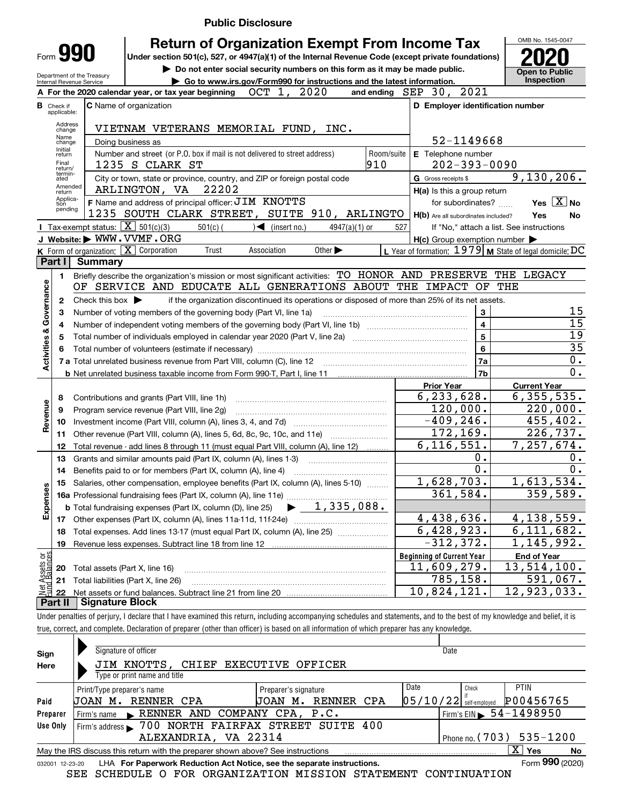|                                |                                                                                                                |                                                                   | <b>Public Disclosure</b>                                                                                                                                                   |                                                           |                                                       |  |  |  |
|--------------------------------|----------------------------------------------------------------------------------------------------------------|-------------------------------------------------------------------|----------------------------------------------------------------------------------------------------------------------------------------------------------------------------|-----------------------------------------------------------|-------------------------------------------------------|--|--|--|
|                                |                                                                                                                |                                                                   | <b>Return of Organization Exempt From Income Tax</b>                                                                                                                       |                                                           | OMB No. 1545-0047                                     |  |  |  |
|                                | Form 990<br>Under section 501(c), 527, or 4947(a)(1) of the Internal Revenue Code (except private foundations) |                                                                   |                                                                                                                                                                            |                                                           |                                                       |  |  |  |
|                                |                                                                                                                |                                                                   | Do not enter social security numbers on this form as it may be made public.                                                                                                |                                                           | Open to Public                                        |  |  |  |
|                                |                                                                                                                | Department of the Treasury<br>Internal Revenue Service            | Go to www.irs.gov/Form990 for instructions and the latest information.                                                                                                     |                                                           | Inspection                                            |  |  |  |
|                                |                                                                                                                |                                                                   | OCT 1, 2020<br>A For the 2020 calendar year, or tax year beginning                                                                                                         | 2021<br>and ending $SEP$ 30,                              |                                                       |  |  |  |
|                                | <b>B</b> Check if<br>applicable:                                                                               |                                                                   | <b>C</b> Name of organization                                                                                                                                              | D Employer identification number                          |                                                       |  |  |  |
|                                | Address<br>change                                                                                              |                                                                   | VIETNAM VETERANS MEMORIAL FUND, INC.                                                                                                                                       |                                                           |                                                       |  |  |  |
|                                | Name<br>change                                                                                                 |                                                                   | Doing business as                                                                                                                                                          | 52-1149668                                                |                                                       |  |  |  |
|                                | Initial<br>return                                                                                              |                                                                   | Number and street (or P.O. box if mail is not delivered to street address)<br>Room/suite                                                                                   | E Telephone number                                        |                                                       |  |  |  |
|                                | Final<br>return/<br>termin-                                                                                    |                                                                   | 910<br>1235 S CLARK ST                                                                                                                                                     | $202 - 393 - 0090$                                        |                                                       |  |  |  |
|                                | ated<br>Amended                                                                                                |                                                                   | City or town, state or province, country, and ZIP or foreign postal code                                                                                                   | G Gross receipts \$                                       | 9,130,206.                                            |  |  |  |
|                                | return<br>Applica-                                                                                             |                                                                   | ARLINGTON, VA<br>22202                                                                                                                                                     | H(a) Is this a group return                               |                                                       |  |  |  |
|                                | tion<br>pending                                                                                                |                                                                   | F Name and address of principal officer: JIM KNOTTS<br>1235 SOUTH CLARK STREET, SUITE 910, ARLINGTO                                                                        | for subordinates?                                         | Yes $X$ No                                            |  |  |  |
|                                |                                                                                                                | Tax-exempt status: $\boxed{\mathbf{X}}$ 501(c)(3)                 | $501(c)$ (<br>$\sqrt{\frac{1}{1}}$ (insert no.)<br>$4947(a)(1)$ or                                                                                                         | H(b) Are all subordinates included?<br>527                | Yes<br>No<br>If "No," attach a list. See instructions |  |  |  |
|                                |                                                                                                                |                                                                   | J Website: WWW.VVMF.ORG                                                                                                                                                    | $H(c)$ Group exemption number $\blacktriangleright$       |                                                       |  |  |  |
|                                |                                                                                                                |                                                                   | K Form of organization: X Corporation<br>Association<br>Other $\blacktriangleright$<br>Trust                                                                               | L Year of formation: $1979$ M State of legal domicile: DC |                                                       |  |  |  |
|                                | Part I                                                                                                         | <b>Summary</b>                                                    |                                                                                                                                                                            |                                                           |                                                       |  |  |  |
|                                | 1.                                                                                                             |                                                                   | Briefly describe the organization's mission or most significant activities: TO HONOR AND PRESERVE                                                                          |                                                           | THE LEGACY                                            |  |  |  |
| Activities & Governance        |                                                                                                                |                                                                   | OF SERVICE AND EDUCATE ALL GENERATIONS ABOUT THE                                                                                                                           | <b>IMPACT</b><br>OF.                                      | THE                                                   |  |  |  |
|                                | $\mathbf{2}$                                                                                                   | Check this box $\blacktriangleright$                              | if the organization discontinued its operations or disposed of more than 25% of its net assets.                                                                            |                                                           |                                                       |  |  |  |
|                                | 3                                                                                                              | Number of voting members of the governing body (Part VI, line 1a) | 3                                                                                                                                                                          | 15                                                        |                                                       |  |  |  |
|                                | 4                                                                                                              |                                                                   |                                                                                                                                                                            | $\overline{4}$                                            | $\overline{15}$                                       |  |  |  |
|                                | 5                                                                                                              |                                                                   |                                                                                                                                                                            | $\overline{5}$                                            | 19                                                    |  |  |  |
|                                | 6                                                                                                              |                                                                   |                                                                                                                                                                            | $6\phantom{a}$                                            | $\overline{35}$                                       |  |  |  |
|                                |                                                                                                                |                                                                   | 7 a Total unrelated business revenue from Part VIII, column (C), line 12                                                                                                   | 7a                                                        | 0.<br>0.                                              |  |  |  |
|                                |                                                                                                                |                                                                   |                                                                                                                                                                            | 7 <sub>b</sub>                                            |                                                       |  |  |  |
|                                |                                                                                                                |                                                                   |                                                                                                                                                                            | <b>Prior Year</b><br>$\overline{6,233},628.$              | <b>Current Year</b><br>6, 355, 535.                   |  |  |  |
|                                | 8<br>9                                                                                                         |                                                                   | Contributions and grants (Part VIII, line 1h)<br>Program service revenue (Part VIII, line 2g)                                                                              | 120,000.                                                  | 220,000.                                              |  |  |  |
| Revenue                        | 10                                                                                                             |                                                                   |                                                                                                                                                                            | $-409, 246.$                                              | $\overline{455}$ , $\overline{402}$ .                 |  |  |  |
|                                | 11                                                                                                             |                                                                   | Other revenue (Part VIII, column (A), lines 5, 6d, 8c, 9c, 10c, and 11e)                                                                                                   | 172,169.                                                  | 226,737.                                              |  |  |  |
|                                | 12                                                                                                             |                                                                   | Total revenue - add lines 8 through 11 (must equal Part VIII, column (A), line 12)                                                                                         | 6, 116, 551.                                              | 7,257,674.                                            |  |  |  |
|                                | 13                                                                                                             |                                                                   | Grants and similar amounts paid (Part IX, column (A), lines 1-3)                                                                                                           | 0.                                                        | 0.                                                    |  |  |  |
|                                | 14                                                                                                             |                                                                   | Benefits paid to or for members (Part IX, column (A), line 4)                                                                                                              | 0.                                                        | 0.                                                    |  |  |  |
|                                | 15                                                                                                             |                                                                   | Salaries, other compensation, employee benefits (Part IX, column (A), lines 5-10)                                                                                          | 1,628,703.                                                | 1,613,534.                                            |  |  |  |
| Expenses                       |                                                                                                                |                                                                   |                                                                                                                                                                            | 361,584.                                                  | $\overline{359,589}$ .                                |  |  |  |
|                                |                                                                                                                |                                                                   | $\blacktriangleright$ 1,335,088.<br><b>b</b> Total fundraising expenses (Part IX, column (D), line 25)                                                                     |                                                           |                                                       |  |  |  |
|                                | 17                                                                                                             |                                                                   |                                                                                                                                                                            | 4,438,636.                                                | $\overline{4,138,559}$ .                              |  |  |  |
|                                | 18                                                                                                             |                                                                   | Total expenses. Add lines 13-17 (must equal Part IX, column (A), line 25)                                                                                                  | 6,428,923.                                                | 6,111,682.                                            |  |  |  |
|                                | 19                                                                                                             |                                                                   | Revenue less expenses. Subtract line 18 from line 12                                                                                                                       | $-312, 372.$                                              | $\overline{1,145}$ , 992.                             |  |  |  |
| Net Assets or<br>Eund Balances |                                                                                                                |                                                                   |                                                                                                                                                                            | <b>Beginning of Current Year</b>                          | <b>End of Year</b>                                    |  |  |  |
|                                | 20                                                                                                             | Total assets (Part X, line 16)                                    |                                                                                                                                                                            | 11,609,279.<br>785, 158.                                  | 13,514,100.<br>591,067.                               |  |  |  |
|                                | 21                                                                                                             |                                                                   | Total liabilities (Part X, line 26)                                                                                                                                        | $\overline{10}$ , 824, 121.                               | 12,923,033.                                           |  |  |  |
|                                | 22<br>Part II                                                                                                  | <b>Signature Block</b>                                            |                                                                                                                                                                            |                                                           |                                                       |  |  |  |
|                                |                                                                                                                |                                                                   | Under penalties of perjury, I declare that I have examined this return, including accompanying schedules and statements, and to the best of my knowledge and belief, it is |                                                           |                                                       |  |  |  |

true, correct, and complete. Declaration of preparer (other than officer) is based on all information of which preparer has any knowledge.

| Sign            | Signature of officer<br>Date                                                                                |                                        |  |  |  |  |  |  |  |  |
|-----------------|-------------------------------------------------------------------------------------------------------------|----------------------------------------|--|--|--|--|--|--|--|--|
| Here            | JIM KNOTTS, CHIEF EXECUTIVE OFFICER                                                                         |                                        |  |  |  |  |  |  |  |  |
|                 | Type or print name and title                                                                                |                                        |  |  |  |  |  |  |  |  |
|                 | Date<br>Print/Type preparer's name<br>Preparer's signature                                                  | <b>PTIN</b><br>Check                   |  |  |  |  |  |  |  |  |
| Paid            | RENNER CPA<br>RENNER CPA<br>UOAN M.<br>UOAN M.                                                              | P00456765<br>$05/10/22$ self-employed  |  |  |  |  |  |  |  |  |
| Preparer        | RENNER AND COMPANY CPA, P.C.<br>Firm's name                                                                 | Firm's EIN $\triangleright$ 54-1498950 |  |  |  |  |  |  |  |  |
| Use Only        | Firm's address > 700 NORTH FAIRFAX STREET SUITE 400                                                         |                                        |  |  |  |  |  |  |  |  |
|                 | ALEXANDRIA, VA 22314<br>$535 - 1200$<br>Phone no. $(703)$                                                   |                                        |  |  |  |  |  |  |  |  |
|                 | $\overline{X}$ Yes<br>No<br>May the IRS discuss this return with the preparer shown above? See instructions |                                        |  |  |  |  |  |  |  |  |
| 032001 12-23-20 | LHA For Paperwork Reduction Act Notice, see the separate instructions.                                      | Form 990 (2020)                        |  |  |  |  |  |  |  |  |
|                 | SEE SCHEDULE O FOR ORGANIZATION MISSION STATEMENT CONTINUATION                                              |                                        |  |  |  |  |  |  |  |  |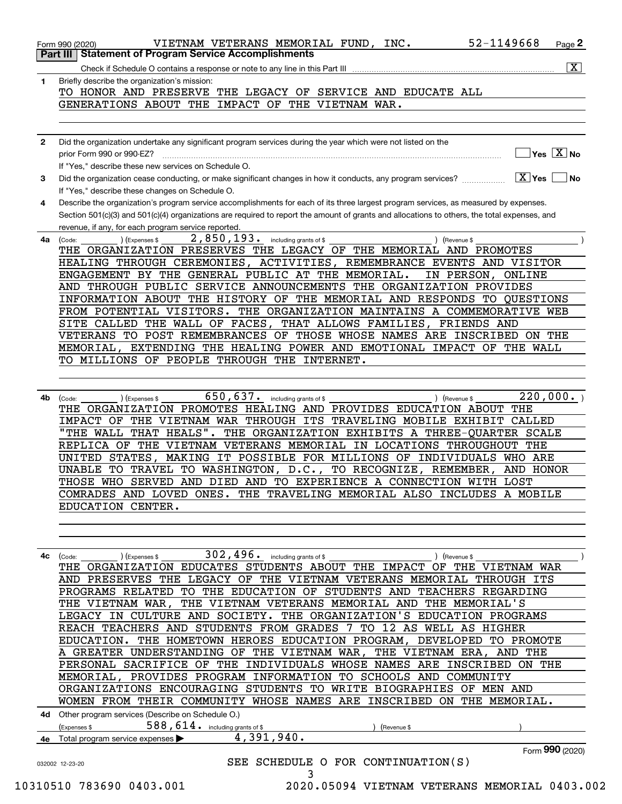|              | 52-1149668<br>VIETNAM VETERANS MEMORIAL FUND, INC.<br>Page 2<br>Form 990 (2020)                                                                           |
|--------------|-----------------------------------------------------------------------------------------------------------------------------------------------------------|
|              | <b>Statement of Program Service Accomplishments</b><br>Part III                                                                                           |
|              | $\overline{\mathbf{x}}$<br>Check if Schedule O contains a response or note to any line in this Part III                                                   |
| 1            | Briefly describe the organization's mission:                                                                                                              |
|              | TO HONOR AND PRESERVE THE LEGACY OF SERVICE AND EDUCATE ALL                                                                                               |
|              | GENERATIONS ABOUT THE IMPACT OF THE VIETNAM WAR.                                                                                                          |
|              |                                                                                                                                                           |
|              |                                                                                                                                                           |
| $\mathbf{2}$ | Did the organization undertake any significant program services during the year which were not listed on the<br>$Yes$ $X$ No<br>prior Form 990 or 990-EZ? |
|              | If "Yes," describe these new services on Schedule O.                                                                                                      |
| 3            | $X$ Yes<br>Did the organization cease conducting, or make significant changes in how it conducts, any program services?<br><b>No</b>                      |
|              | If "Yes," describe these changes on Schedule O.                                                                                                           |
| 4            | Describe the organization's program service accomplishments for each of its three largest program services, as measured by expenses.                      |
|              | Section 501(c)(3) and 501(c)(4) organizations are required to report the amount of grants and allocations to others, the total expenses, and              |
|              | revenue, if any, for each program service reported.                                                                                                       |
| 4a           | 2,850,193. including grants of \$<br>) (Expenses \$<br>) (Revenue \$<br>(Code:                                                                            |
|              | THE ORGANIZATION PRESERVES THE LEGACY OF THE MEMORIAL AND PROMOTES                                                                                        |
|              | HEALING THROUGH CEREMONIES, ACTIVITIES, REMEMBRANCE EVENTS AND VISITOR                                                                                    |
|              | ENGAGEMENT BY THE GENERAL PUBLIC AT THE MEMORIAL.<br>IN PERSON, ONLINE                                                                                    |
|              | AND THROUGH PUBLIC SERVICE ANNOUNCEMENTS THE ORGANIZATION PROVIDES                                                                                        |
|              | INFORMATION ABOUT THE HISTORY OF THE MEMORIAL AND RESPONDS TO QUESTIONS<br>FROM POTENTIAL VISITORS. THE ORGANIZATION MAINTAINS A COMMEMORATIVE WEB        |
|              | SITE CALLED THE WALL OF FACES, THAT ALLOWS FAMILIES,<br>FRIENDS AND                                                                                       |
|              | VETERANS TO POST REMEMBRANCES OF THOSE WHOSE NAMES ARE INSCRIBED ON THE                                                                                   |
|              | MEMORIAL, EXTENDING THE HEALING POWER AND EMOTIONAL IMPACT OF THE WALL                                                                                    |
|              | TO MILLIONS OF PEOPLE THROUGH THE INTERNET.                                                                                                               |
|              |                                                                                                                                                           |
|              |                                                                                                                                                           |
| 4b           | $650, 637$ . including grants of \$<br>220,000.<br>) (Revenue \$<br>(Expenses \$<br>(Code:                                                                |
|              | THE ORGANIZATION PROMOTES HEALING AND PROVIDES EDUCATION ABOUT THE                                                                                        |
|              | IMPACT OF THE VIETNAM WAR THROUGH ITS TRAVELING MOBILE EXHIBIT CALLED                                                                                     |
|              | "THE WALL THAT HEALS". THE ORGANIZATION EXHIBITS A THREE-OUARTER SCALE                                                                                    |
|              | REPLICA OF THE VIETNAM VETERANS MEMORIAL IN LOCATIONS THROUGHOUT THE                                                                                      |
|              | MAKING IT POSSIBLE FOR MILLIONS OF INDIVIDUALS WHO ARE<br>UNITED STATES,<br>AND HONOR                                                                     |
|              | TO WASHINGTON, D.C., TO RECOGNIZE, REMEMBER,<br>UNABLE TO TRAVEL<br>THOSE WHO SERVED AND DIED AND TO EXPERIENCE A CONNECTION WITH LOST                    |
|              | COMRADES AND LOVED ONES. THE TRAVELING MEMORIAL ALSO INCLUDES A MOBILE                                                                                    |
|              | EDUCATION CENTER.                                                                                                                                         |
|              |                                                                                                                                                           |
|              |                                                                                                                                                           |
|              |                                                                                                                                                           |
| 4с           | ) (Expenses \$<br>) (Revenue \$<br>(Code:                                                                                                                 |
|              | THE ORGANIZATION EDUCATES STUDENTS ABOUT THE IMPACT OF THE VIETNAM WAR                                                                                    |
|              | AND PRESERVES THE LEGACY OF THE VIETNAM VETERANS MEMORIAL THROUGH ITS                                                                                     |
|              | PROGRAMS RELATED TO THE EDUCATION OF STUDENTS AND TEACHERS REGARDING                                                                                      |
|              | THE VIETNAM WAR, THE VIETNAM VETERANS MEMORIAL AND THE MEMORIAL'S                                                                                         |
|              | LEGACY IN CULTURE AND SOCIETY. THE ORGANIZATION'S EDUCATION PROGRAMS                                                                                      |
|              | REACH TEACHERS AND STUDENTS FROM GRADES 7 TO 12 AS WELL AS HIGHER<br>EDUCATION. THE HOMETOWN HEROES EDUCATION PROGRAM, DEVELOPED TO PROMOTE               |
|              | A GREATER UNDERSTANDING OF THE VIETNAM WAR, THE VIETNAM ERA, AND THE                                                                                      |
|              | PERSONAL SACRIFICE OF THE INDIVIDUALS WHOSE NAMES ARE INSCRIBED ON THE                                                                                    |
|              | MEMORIAL, PROVIDES PROGRAM INFORMATION TO SCHOOLS AND COMMUNITY                                                                                           |
|              | ORGANIZATIONS ENCOURAGING STUDENTS TO WRITE BIOGRAPHIES OF MEN AND                                                                                        |
|              | WOMEN FROM THEIR COMMUNITY WHOSE NAMES ARE INSCRIBED ON THE MEMORIAL.                                                                                     |
|              | 4d Other program services (Describe on Schedule O.)                                                                                                       |
|              | $588, 614$ . including grants of \$<br>(Expenses \$<br>(Revenue \$                                                                                        |
|              | $4,391,940$ .<br>4e Total program service expenses                                                                                                        |
|              | Form 990 (2020)                                                                                                                                           |

| 032002 12-23-20          | SEE SCHEDULE O FOR CONTINUATION(S) |  |  |                                               |  |
|--------------------------|------------------------------------|--|--|-----------------------------------------------|--|
|                          |                                    |  |  |                                               |  |
| 10310510 783690 0403.001 |                                    |  |  | 2020.05094 VIETNAM VETERANS MEMORIAL 0403.002 |  |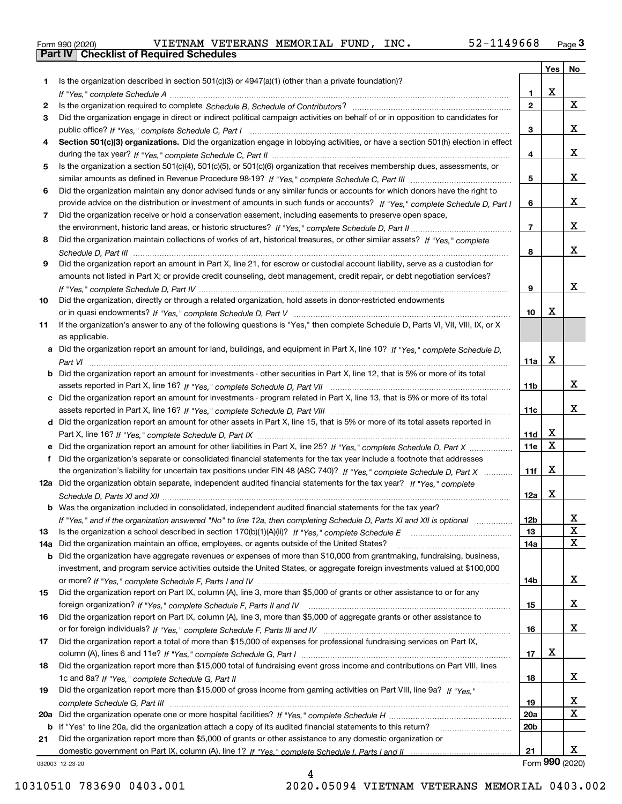|  | Form 990 (2020) |
|--|-----------------|

|     |                                                                                                                                                                                                                                                           |                 | Yes         | No                    |
|-----|-----------------------------------------------------------------------------------------------------------------------------------------------------------------------------------------------------------------------------------------------------------|-----------------|-------------|-----------------------|
| 1   | Is the organization described in section $501(c)(3)$ or $4947(a)(1)$ (other than a private foundation)?                                                                                                                                                   |                 |             |                       |
|     |                                                                                                                                                                                                                                                           | 1.              | X           |                       |
| 2   |                                                                                                                                                                                                                                                           | $\overline{2}$  |             | X                     |
| 3   | Did the organization engage in direct or indirect political campaign activities on behalf of or in opposition to candidates for                                                                                                                           |                 |             |                       |
|     |                                                                                                                                                                                                                                                           | 3               |             | x                     |
| 4   | Section 501(c)(3) organizations. Did the organization engage in lobbying activities, or have a section 501(h) election in effect                                                                                                                          |                 |             | x                     |
|     |                                                                                                                                                                                                                                                           | 4               |             |                       |
| 5   | Is the organization a section 501(c)(4), 501(c)(5), or 501(c)(6) organization that receives membership dues, assessments, or                                                                                                                              | 5               |             | x                     |
| 6   |                                                                                                                                                                                                                                                           |                 |             |                       |
|     | Did the organization maintain any donor advised funds or any similar funds or accounts for which donors have the right to<br>provide advice on the distribution or investment of amounts in such funds or accounts? If "Yes," complete Schedule D, Part I | 6               |             | x                     |
| 7   | Did the organization receive or hold a conservation easement, including easements to preserve open space,                                                                                                                                                 |                 |             |                       |
|     |                                                                                                                                                                                                                                                           | $\overline{7}$  |             | x                     |
| 8   | Did the organization maintain collections of works of art, historical treasures, or other similar assets? If "Yes," complete                                                                                                                              |                 |             |                       |
|     |                                                                                                                                                                                                                                                           | 8               |             | x                     |
| 9   | Did the organization report an amount in Part X, line 21, for escrow or custodial account liability, serve as a custodian for                                                                                                                             |                 |             |                       |
|     | amounts not listed in Part X; or provide credit counseling, debt management, credit repair, or debt negotiation services?                                                                                                                                 |                 |             |                       |
|     |                                                                                                                                                                                                                                                           | 9               |             | x                     |
| 10  | Did the organization, directly or through a related organization, hold assets in donor-restricted endowments                                                                                                                                              |                 |             |                       |
|     |                                                                                                                                                                                                                                                           | 10              | X           |                       |
| 11  | If the organization's answer to any of the following questions is "Yes," then complete Schedule D, Parts VI, VII, VIII, IX, or X                                                                                                                          |                 |             |                       |
|     | as applicable.                                                                                                                                                                                                                                            |                 |             |                       |
|     | a Did the organization report an amount for land, buildings, and equipment in Part X, line 10? If "Yes," complete Schedule D,                                                                                                                             |                 |             |                       |
|     |                                                                                                                                                                                                                                                           | 11a             | $\mathbf X$ |                       |
| b   | Did the organization report an amount for investments - other securities in Part X, line 12, that is 5% or more of its total                                                                                                                              |                 |             |                       |
|     |                                                                                                                                                                                                                                                           | 11 <sub>b</sub> |             | x                     |
| c   | Did the organization report an amount for investments - program related in Part X, line 13, that is 5% or more of its total                                                                                                                               |                 |             |                       |
|     |                                                                                                                                                                                                                                                           | 11c             |             | x                     |
|     | d Did the organization report an amount for other assets in Part X, line 15, that is 5% or more of its total assets reported in                                                                                                                           |                 |             |                       |
|     |                                                                                                                                                                                                                                                           | 11d             | х           |                       |
|     | Did the organization report an amount for other liabilities in Part X, line 25? If "Yes," complete Schedule D, Part X                                                                                                                                     | 11e             | $\mathbf X$ |                       |
| f   | Did the organization's separate or consolidated financial statements for the tax year include a footnote that addresses                                                                                                                                   |                 | X           |                       |
|     | the organization's liability for uncertain tax positions under FIN 48 (ASC 740)? If "Yes," complete Schedule D, Part X                                                                                                                                    | 11f             |             |                       |
|     | 12a Did the organization obtain separate, independent audited financial statements for the tax year? If "Yes," complete                                                                                                                                   |                 | X           |                       |
|     | <b>b</b> Was the organization included in consolidated, independent audited financial statements for the tax year?                                                                                                                                        | 12a             |             |                       |
|     |                                                                                                                                                                                                                                                           |                 |             |                       |
| 13  | If "Yes," and if the organization answered "No" to line 12a, then completing Schedule D, Parts XI and XII is optional                                                                                                                                     | 12D<br>13       |             | ᅀ<br>X                |
| 14a | Did the organization maintain an office, employees, or agents outside of the United States?                                                                                                                                                               | 14a             |             | X                     |
| b   | Did the organization have aggregate revenues or expenses of more than \$10,000 from grantmaking, fundraising, business,                                                                                                                                   |                 |             |                       |
|     | investment, and program service activities outside the United States, or aggregate foreign investments valued at \$100,000                                                                                                                                |                 |             |                       |
|     |                                                                                                                                                                                                                                                           | 14b             |             | x                     |
| 15  | Did the organization report on Part IX, column (A), line 3, more than \$5,000 of grants or other assistance to or for any                                                                                                                                 |                 |             |                       |
|     |                                                                                                                                                                                                                                                           | 15              |             | x                     |
| 16  | Did the organization report on Part IX, column (A), line 3, more than \$5,000 of aggregate grants or other assistance to                                                                                                                                  |                 |             |                       |
|     |                                                                                                                                                                                                                                                           | 16              |             | x                     |
| 17  | Did the organization report a total of more than \$15,000 of expenses for professional fundraising services on Part IX,                                                                                                                                   |                 |             |                       |
|     |                                                                                                                                                                                                                                                           | 17              | X           |                       |
| 18  | Did the organization report more than \$15,000 total of fundraising event gross income and contributions on Part VIII, lines                                                                                                                              |                 |             |                       |
|     |                                                                                                                                                                                                                                                           | 18              |             | x                     |
| 19  | Did the organization report more than \$15,000 of gross income from gaming activities on Part VIII, line 9a? If "Yes."                                                                                                                                    |                 |             |                       |
|     |                                                                                                                                                                                                                                                           | 19              |             | х                     |
| 20a |                                                                                                                                                                                                                                                           | 20a             |             | $\mathbf x$           |
| b   | If "Yes" to line 20a, did the organization attach a copy of its audited financial statements to this return?                                                                                                                                              | 20 <sub>b</sub> |             |                       |
| 21  | Did the organization report more than \$5,000 of grants or other assistance to any domestic organization or                                                                                                                                               |                 |             |                       |
|     |                                                                                                                                                                                                                                                           | 21              |             | X.<br>Form 990 (2020) |
|     | 032003 12-23-20                                                                                                                                                                                                                                           |                 |             |                       |

032003 12-23-20

4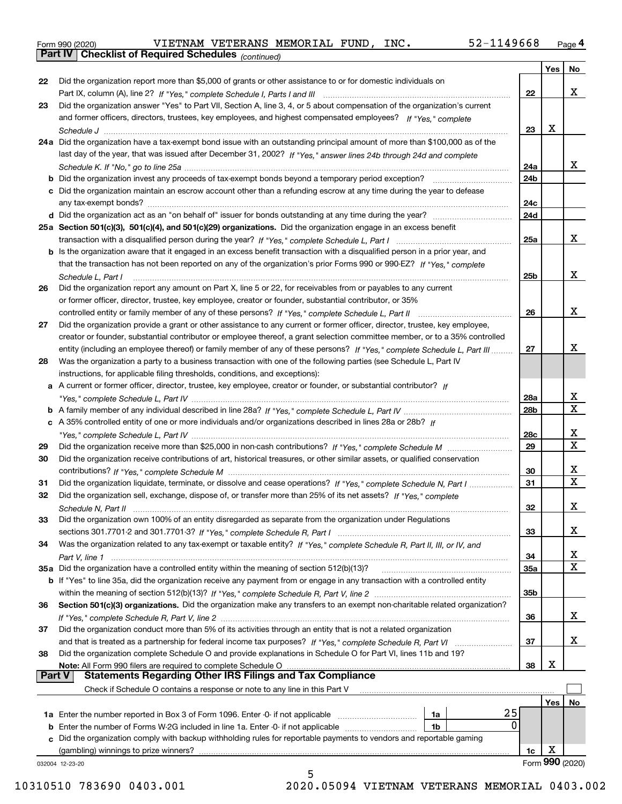|  | Form 990 (2020) |
|--|-----------------|
|  |                 |

*(continued)*

|               |                                                                                                                                                                                                                                   |                 | Yes $ $ | No                           |
|---------------|-----------------------------------------------------------------------------------------------------------------------------------------------------------------------------------------------------------------------------------|-----------------|---------|------------------------------|
| 22            | Did the organization report more than \$5,000 of grants or other assistance to or for domestic individuals on                                                                                                                     |                 |         |                              |
|               |                                                                                                                                                                                                                                   | 22              |         | x                            |
| 23            | Did the organization answer "Yes" to Part VII, Section A, line 3, 4, or 5 about compensation of the organization's current                                                                                                        |                 |         |                              |
|               | and former officers, directors, trustees, key employees, and highest compensated employees? If "Yes," complete                                                                                                                    |                 |         |                              |
|               |                                                                                                                                                                                                                                   | 23              | х       |                              |
|               | 24a Did the organization have a tax-exempt bond issue with an outstanding principal amount of more than \$100,000 as of the                                                                                                       |                 |         |                              |
|               | last day of the year, that was issued after December 31, 2002? If "Yes," answer lines 24b through 24d and complete                                                                                                                |                 |         |                              |
|               |                                                                                                                                                                                                                                   | 24a             |         | X.                           |
|               |                                                                                                                                                                                                                                   | 24b             |         |                              |
|               | c Did the organization maintain an escrow account other than a refunding escrow at any time during the year to defease                                                                                                            |                 |         |                              |
|               |                                                                                                                                                                                                                                   | 24c             |         |                              |
|               |                                                                                                                                                                                                                                   | 24d             |         |                              |
|               | 25a Section 501(c)(3), 501(c)(4), and 501(c)(29) organizations. Did the organization engage in an excess benefit                                                                                                                  |                 |         |                              |
|               |                                                                                                                                                                                                                                   | 25a             |         | X.                           |
|               | b Is the organization aware that it engaged in an excess benefit transaction with a disqualified person in a prior year, and                                                                                                      |                 |         |                              |
|               | that the transaction has not been reported on any of the organization's prior Forms 990 or 990-EZ? If "Yes," complete                                                                                                             |                 |         |                              |
|               | Schedule L. Part I                                                                                                                                                                                                                | 25b             |         | x                            |
| 26            | Did the organization report any amount on Part X, line 5 or 22, for receivables from or payables to any current                                                                                                                   |                 |         |                              |
|               | or former officer, director, trustee, key employee, creator or founder, substantial contributor, or 35%                                                                                                                           |                 |         |                              |
|               |                                                                                                                                                                                                                                   | 26              |         | x                            |
|               | controlled entity or family member of any of these persons? If "Yes," complete Schedule L, Part II<br>Did the organization provide a grant or other assistance to any current or former officer, director, trustee, key employee, |                 |         |                              |
| 27            |                                                                                                                                                                                                                                   |                 |         |                              |
|               | creator or founder, substantial contributor or employee thereof, a grant selection committee member, or to a 35% controlled                                                                                                       |                 |         | x.                           |
|               | entity (including an employee thereof) or family member of any of these persons? If "Yes," complete Schedule L, Part III                                                                                                          | 27              |         |                              |
| 28            | Was the organization a party to a business transaction with one of the following parties (see Schedule L, Part IV                                                                                                                 |                 |         |                              |
|               | instructions, for applicable filing thresholds, conditions, and exceptions):                                                                                                                                                      |                 |         |                              |
|               | a A current or former officer, director, trustee, key employee, creator or founder, or substantial contributor? If                                                                                                                |                 |         |                              |
|               |                                                                                                                                                                                                                                   | 28a             |         | x<br>$\overline{\mathbf{X}}$ |
|               |                                                                                                                                                                                                                                   | 28 <sub>b</sub> |         |                              |
|               | c A 35% controlled entity of one or more individuals and/or organizations described in lines 28a or 28b? If                                                                                                                       |                 |         |                              |
|               |                                                                                                                                                                                                                                   | 28c             |         | x                            |
| 29            |                                                                                                                                                                                                                                   | 29              |         | $\overline{\mathbf{x}}$      |
| 30            | Did the organization receive contributions of art, historical treasures, or other similar assets, or qualified conservation                                                                                                       |                 |         |                              |
|               |                                                                                                                                                                                                                                   | 30              |         | x                            |
| 31            | Did the organization liquidate, terminate, or dissolve and cease operations? If "Yes," complete Schedule N, Part I                                                                                                                | 31              |         | $\mathbf X$                  |
| 32            | Did the organization sell, exchange, dispose of, or transfer more than 25% of its net assets? If "Yes," complete                                                                                                                  |                 |         |                              |
|               |                                                                                                                                                                                                                                   | 32              |         | x                            |
| 33            | Did the organization own 100% of an entity disregarded as separate from the organization under Regulations                                                                                                                        |                 |         |                              |
|               |                                                                                                                                                                                                                                   | 33              |         | x                            |
| 34            | Was the organization related to any tax-exempt or taxable entity? If "Yes," complete Schedule R, Part II, III, or IV, and                                                                                                         |                 |         |                              |
|               |                                                                                                                                                                                                                                   | 34              |         | x                            |
|               | 35a Did the organization have a controlled entity within the meaning of section 512(b)(13)?                                                                                                                                       | <b>35a</b>      |         | $\mathbf{X}$                 |
|               | <b>b</b> If "Yes" to line 35a, did the organization receive any payment from or engage in any transaction with a controlled entity                                                                                                |                 |         |                              |
|               |                                                                                                                                                                                                                                   | 35b             |         |                              |
| 36            | Section 501(c)(3) organizations. Did the organization make any transfers to an exempt non-charitable related organization?                                                                                                        |                 |         |                              |
|               |                                                                                                                                                                                                                                   | 36              |         | X.                           |
| 37            | Did the organization conduct more than 5% of its activities through an entity that is not a related organization                                                                                                                  |                 |         |                              |
|               |                                                                                                                                                                                                                                   | 37              |         | X.                           |
| 38            | Did the organization complete Schedule O and provide explanations in Schedule O for Part VI, lines 11b and 19?                                                                                                                    |                 |         |                              |
|               | Note: All Form 990 filers are required to complete Schedule O                                                                                                                                                                     | 38              | x       |                              |
| <b>Part V</b> | <b>Statements Regarding Other IRS Filings and Tax Compliance</b>                                                                                                                                                                  |                 |         |                              |
|               | Check if Schedule O contains a response or note to any line in this Part V                                                                                                                                                        |                 |         |                              |
|               |                                                                                                                                                                                                                                   |                 | Yes     | No                           |
|               | 25<br>1a Enter the number reported in Box 3 of Form 1096. Enter -0- if not applicable<br>1a                                                                                                                                       |                 |         |                              |
|               | 0<br><b>b</b> Enter the number of Forms W-2G included in line 1a. Enter -0- if not applicable<br>1b                                                                                                                               |                 |         |                              |
|               | c Did the organization comply with backup withholding rules for reportable payments to vendors and reportable gaming                                                                                                              |                 |         |                              |
|               | (gambling) winnings to prize winners?                                                                                                                                                                                             | 1c              | х       |                              |
|               | 032004 12-23-20                                                                                                                                                                                                                   |                 |         | Form 990 (2020)              |
|               | 5                                                                                                                                                                                                                                 |                 |         |                              |

10310510 783690 0403.001 2020.05094 VIETNAM VETERANS MEMORIAL 0403.002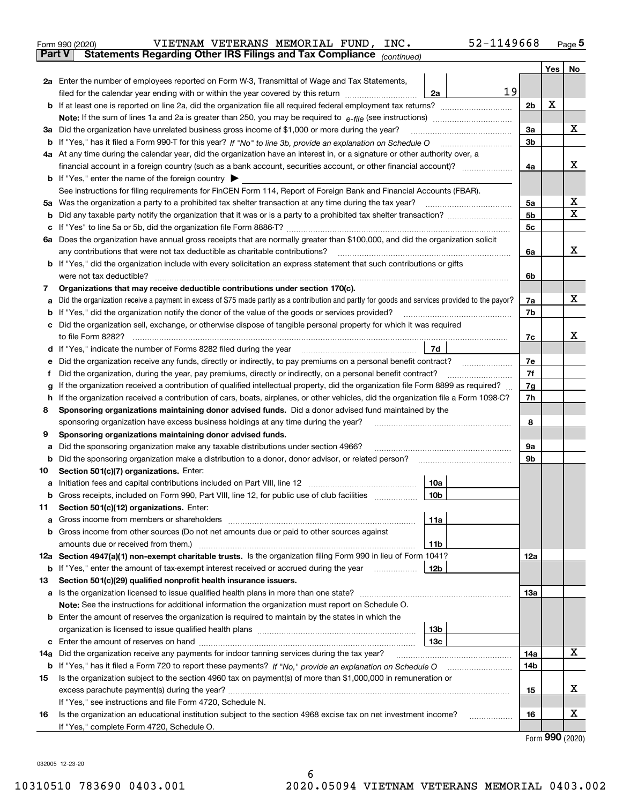|               | 52-1149668<br>VIETNAM VETERANS MEMORIAL FUND,<br>INC.<br>Form 990 (2020)                                                                        |                |     | $Page$ <sup>5</sup> |
|---------------|-------------------------------------------------------------------------------------------------------------------------------------------------|----------------|-----|---------------------|
| <b>Part V</b> | Statements Regarding Other IRS Filings and Tax Compliance (continued)                                                                           |                |     |                     |
|               |                                                                                                                                                 |                | Yes | No                  |
|               | 2a Enter the number of employees reported on Form W-3, Transmittal of Wage and Tax Statements,                                                  |                |     |                     |
|               | 19<br>filed for the calendar year ending with or within the year covered by this return<br>2a                                                   |                |     |                     |
| b             |                                                                                                                                                 | 2 <sub>b</sub> | х   |                     |
|               |                                                                                                                                                 |                |     |                     |
| За            | Did the organization have unrelated business gross income of \$1,000 or more during the year?                                                   | 3a             |     | x                   |
| b             |                                                                                                                                                 | 3b             |     |                     |
|               | 4a At any time during the calendar year, did the organization have an interest in, or a signature or other authority over, a                    |                |     |                     |
|               | financial account in a foreign country (such as a bank account, securities account, or other financial account)?                                | 4a             |     | х                   |
|               | <b>b</b> If "Yes," enter the name of the foreign country $\blacktriangleright$                                                                  |                |     |                     |
|               | See instructions for filing requirements for FinCEN Form 114, Report of Foreign Bank and Financial Accounts (FBAR).                             |                |     |                     |
| 5a            | Was the organization a party to a prohibited tax shelter transaction at any time during the tax year?                                           | 5a             |     | x                   |
| b             |                                                                                                                                                 | 5 <sub>b</sub> |     | $\mathbf X$         |
| c             |                                                                                                                                                 | 5c             |     |                     |
| 6а            | Does the organization have annual gross receipts that are normally greater than \$100,000, and did the organization solicit                     |                |     |                     |
|               | any contributions that were not tax deductible as charitable contributions?                                                                     | 6a             |     | x                   |
| b             | If "Yes," did the organization include with every solicitation an express statement that such contributions or gifts                            |                |     |                     |
|               | were not tax deductible?                                                                                                                        | 6b             |     |                     |
| 7             | Organizations that may receive deductible contributions under section 170(c).                                                                   |                |     |                     |
| a             | Did the organization receive a payment in excess of \$75 made partly as a contribution and partly for goods and services provided to the payor? | 7a             |     | x                   |
| b             | If "Yes," did the organization notify the donor of the value of the goods or services provided?                                                 | 7b             |     |                     |
| c             | Did the organization sell, exchange, or otherwise dispose of tangible personal property for which it was required                               |                |     |                     |
|               | to file Form 8282?                                                                                                                              | 7c             |     | X.                  |
| d             | 7d<br>If "Yes," indicate the number of Forms 8282 filed during the year                                                                         |                |     |                     |
| е             | Did the organization receive any funds, directly or indirectly, to pay premiums on a personal benefit contract?                                 | 7e             |     |                     |
| f             | Did the organization, during the year, pay premiums, directly or indirectly, on a personal benefit contract?                                    | 7f             |     |                     |
| g             | If the organization received a contribution of qualified intellectual property, did the organization file Form 8899 as required?                | 7g             |     |                     |
| h             | If the organization received a contribution of cars, boats, airplanes, or other vehicles, did the organization file a Form 1098-C?              | 7h             |     |                     |
| 8             | Sponsoring organizations maintaining donor advised funds. Did a donor advised fund maintained by the                                            |                |     |                     |
|               | sponsoring organization have excess business holdings at any time during the year?                                                              | 8              |     |                     |
| 9             | Sponsoring organizations maintaining donor advised funds.                                                                                       |                |     |                     |
| а             | Did the sponsoring organization make any taxable distributions under section 4966?                                                              | 9а             |     |                     |
| b             | Did the sponsoring organization make a distribution to a donor, donor advisor, or related person?                                               | 9b             |     |                     |
| 10            | Section 501(c)(7) organizations. Enter:                                                                                                         |                |     |                     |
|               | 10a<br>Initiation fees and capital contributions included on Part VIII, line 12 [100] [100] [100] [100] [100] [100] [                           |                |     |                     |
| b             | Gross receipts, included on Form 990, Part VIII, line 12, for public use of club facilities<br>10b                                              |                |     |                     |
| 11            | Section 501(c)(12) organizations. Enter:                                                                                                        |                |     |                     |
| a             | 11a<br>Gross income from members or shareholders                                                                                                |                |     |                     |
| b             | Gross income from other sources (Do not net amounts due or paid to other sources against                                                        |                |     |                     |
|               | amounts due or received from them.)<br>11b                                                                                                      |                |     |                     |
|               | 12a Section 4947(a)(1) non-exempt charitable trusts. Is the organization filing Form 990 in lieu of Form 1041?                                  | 12a            |     |                     |
| b             | 12b<br>If "Yes," enter the amount of tax-exempt interest received or accrued during the year <i>manuminim</i>                                   |                |     |                     |
| 13            | Section 501(c)(29) qualified nonprofit health insurance issuers.                                                                                |                |     |                     |
| а             | Is the organization licensed to issue qualified health plans in more than one state?                                                            | 13a            |     |                     |
|               | Note: See the instructions for additional information the organization must report on Schedule O.                                               |                |     |                     |
| b             | Enter the amount of reserves the organization is required to maintain by the states in which the                                                |                |     |                     |
|               | 13 <sub>b</sub>                                                                                                                                 |                |     |                     |
| c             | 13 <sub>c</sub>                                                                                                                                 |                |     | X                   |
| 14a           | Did the organization receive any payments for indoor tanning services during the tax year?                                                      | 14a            |     |                     |
|               |                                                                                                                                                 | 14b            |     |                     |

|    | <b>u</b> if it is, that it mea a form red to report these payments: if ind, provide all explanation on Schedule O | $-1$ |  |
|----|-------------------------------------------------------------------------------------------------------------------|------|--|
| 15 | Is the organization subject to the section 4960 tax on payment(s) of more than \$1,000,000 in remuneration or     |      |  |
|    | excess parachute payment(s) during the year?                                                                      | 15   |  |
|    | If "Yes," see instructions and file Form 4720, Schedule N.                                                        |      |  |
| 16 | Is the organization an educational institution subject to the section 4968 excise tax on net investment income?   | 16   |  |
|    | If "Yes," complete Form 4720, Schedule O.                                                                         |      |  |

6

Form (2020) **990**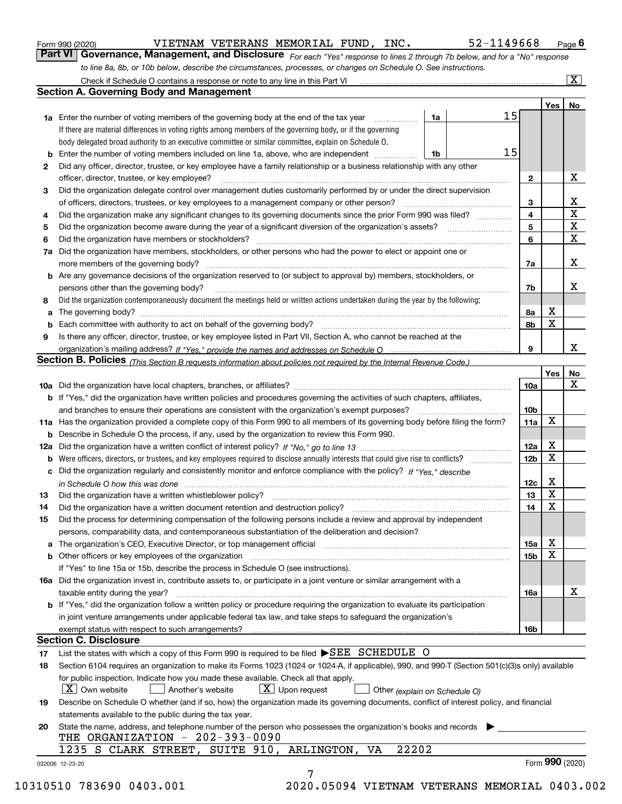|  | Form 990 (2020) |
|--|-----------------|
|  |                 |

| Form 990 (2020) |                                                                                                                  |  | VIETNAM VETERANS MEMORIAL FUND, | INC. | 52-1149668                                                                                                                  | $P$ <sub>age</sub> 6 |
|-----------------|------------------------------------------------------------------------------------------------------------------|--|---------------------------------|------|-----------------------------------------------------------------------------------------------------------------------------|----------------------|
|                 |                                                                                                                  |  |                                 |      | Part VI Governance, Management, and Disclosure For each "Yes" response to lines 2 through 7b below, and for a "No" response |                      |
|                 | to line 8a, 8b, or 10b below, describe the circumstances, processes, or changes on Schedule O. See instructions. |  |                                 |      |                                                                                                                             |                      |

|     | Check if Schedule O contains a response or note to any line in this Part VI                                                                                                                                                    |    |    |                 |     | $\mathbf{x}$    |
|-----|--------------------------------------------------------------------------------------------------------------------------------------------------------------------------------------------------------------------------------|----|----|-----------------|-----|-----------------|
|     | Section A. Governing Body and Management                                                                                                                                                                                       |    |    |                 |     |                 |
|     |                                                                                                                                                                                                                                |    |    |                 | Yes | No              |
|     | <b>1a</b> Enter the number of voting members of the governing body at the end of the tax year                                                                                                                                  | 1a | 15 |                 |     |                 |
|     | If there are material differences in voting rights among members of the governing body, or if the governing                                                                                                                    |    |    |                 |     |                 |
|     | body delegated broad authority to an executive committee or similar committee, explain on Schedule O.                                                                                                                          |    |    |                 |     |                 |
| b   | Enter the number of voting members included on line 1a, above, who are independent                                                                                                                                             | 1b | 15 |                 |     |                 |
| 2   | Did any officer, director, trustee, or key employee have a family relationship or a business relationship with any other                                                                                                       |    |    |                 |     |                 |
|     | officer, director, trustee, or key employee?                                                                                                                                                                                   |    |    | $\mathbf{2}$    |     | X               |
| 3   | Did the organization delegate control over management duties customarily performed by or under the direct supervision                                                                                                          |    |    |                 |     |                 |
|     | of officers, directors, trustees, or key employees to a management company or other person?                                                                                                                                    |    |    | 3               |     | X               |
| 4   | Did the organization make any significant changes to its governing documents since the prior Form 990 was filed?                                                                                                               |    |    | $\overline{4}$  |     | $\mathbf X$     |
| 5   |                                                                                                                                                                                                                                |    |    | 5               |     | X               |
| 6   | Did the organization have members or stockholders?                                                                                                                                                                             |    |    | 6               |     | X               |
| 7a  | Did the organization have members, stockholders, or other persons who had the power to elect or appoint one or                                                                                                                 |    |    |                 |     |                 |
|     | more members of the governing body?                                                                                                                                                                                            |    |    | 7a              |     | X               |
|     | <b>b</b> Are any governance decisions of the organization reserved to (or subject to approval by) members, stockholders, or                                                                                                    |    |    |                 |     |                 |
|     | persons other than the governing body?                                                                                                                                                                                         |    |    | 7b              |     | х               |
| 8   | Did the organization contemporaneously document the meetings held or written actions undertaken during the vear by the following:                                                                                              |    |    |                 |     |                 |
| а   |                                                                                                                                                                                                                                |    |    | 8а              | X   |                 |
| b   | Each committee with authority to act on behalf of the governing body?                                                                                                                                                          |    |    | 8b              | X   |                 |
|     |                                                                                                                                                                                                                                |    |    |                 |     |                 |
| 9   | Is there any officer, director, trustee, or key employee listed in Part VII, Section A, who cannot be reached at the                                                                                                           |    |    | 9               |     | x               |
|     |                                                                                                                                                                                                                                |    |    |                 |     |                 |
|     | <b>Section B. Policies</b> (This Section B requests information about policies not required by the Internal Revenue Code.)                                                                                                     |    |    |                 |     |                 |
|     |                                                                                                                                                                                                                                |    |    |                 | Yes | No<br>X         |
|     |                                                                                                                                                                                                                                |    |    | 10a             |     |                 |
|     | <b>b</b> If "Yes," did the organization have written policies and procedures governing the activities of such chapters, affiliates,                                                                                            |    |    |                 |     |                 |
|     | and branches to ensure their operations are consistent with the organization's exempt purposes?                                                                                                                                |    |    | 10 <sub>b</sub> | X   |                 |
|     | 11a Has the organization provided a complete copy of this Form 990 to all members of its governing body before filing the form?                                                                                                |    |    | 11a             |     |                 |
| b   | Describe in Schedule O the process, if any, used by the organization to review this Form 990.                                                                                                                                  |    |    |                 |     |                 |
| 12a |                                                                                                                                                                                                                                |    |    | 12a             | X   |                 |
| b   |                                                                                                                                                                                                                                |    |    | 12 <sub>b</sub> | X   |                 |
| c   | Did the organization regularly and consistently monitor and enforce compliance with the policy? If "Yes." describe                                                                                                             |    |    |                 |     |                 |
|     | in Schedule O how this was done measured and the control of the control of the state of the control of the control of the control of the control of the control of the control of the control of the control of the control of |    |    | 12c             | X   |                 |
| 13  | Did the organization have a written whistleblower policy?                                                                                                                                                                      |    |    | 13              | X   |                 |
| 14  | Did the organization have a written document retention and destruction policy?                                                                                                                                                 |    |    | 14              | X   |                 |
| 15  | Did the process for determining compensation of the following persons include a review and approval by independent                                                                                                             |    |    |                 |     |                 |
|     | persons, comparability data, and contemporaneous substantiation of the deliberation and decision?                                                                                                                              |    |    |                 |     |                 |
| а   | The organization's CEO, Executive Director, or top management official manufactured content of the organization's CEO, Executive Director, or top management official                                                          |    |    | 15a             | X   |                 |
| b   | Other officers or key employees of the organization                                                                                                                                                                            |    |    | 15b             | X   |                 |
|     | If "Yes" to line 15a or 15b, describe the process in Schedule O (see instructions).                                                                                                                                            |    |    |                 |     |                 |
|     | 16a Did the organization invest in, contribute assets to, or participate in a joint venture or similar arrangement with a                                                                                                      |    |    |                 |     |                 |
|     | taxable entity during the year?                                                                                                                                                                                                |    |    | 16a             |     | X               |
|     | <b>b</b> If "Yes," did the organization follow a written policy or procedure requiring the organization to evaluate its participation                                                                                          |    |    |                 |     |                 |
|     | in joint venture arrangements under applicable federal tax law, and take steps to safeguard the organization's                                                                                                                 |    |    |                 |     |                 |
|     | exempt status with respect to such arrangements?                                                                                                                                                                               |    |    | 16b             |     |                 |
|     | <b>Section C. Disclosure</b>                                                                                                                                                                                                   |    |    |                 |     |                 |
| 17  | List the states with which a copy of this Form 990 is required to be filed ▶SEE SCHEDULE O                                                                                                                                     |    |    |                 |     |                 |
| 18  | Section 6104 requires an organization to make its Forms 1023 (1024 or 1024-A, if applicable), 990, and 990-T (Section 501(c)(3)s only) available                                                                               |    |    |                 |     |                 |
|     | for public inspection. Indicate how you made these available. Check all that apply.                                                                                                                                            |    |    |                 |     |                 |
|     | $X$ Own website<br>$X$ Upon request<br>Another's website<br>Other (explain on Schedule O)                                                                                                                                      |    |    |                 |     |                 |
| 19  | Describe on Schedule O whether (and if so, how) the organization made its governing documents, conflict of interest policy, and financial                                                                                      |    |    |                 |     |                 |
|     | statements available to the public during the tax year.                                                                                                                                                                        |    |    |                 |     |                 |
| 20  | State the name, address, and telephone number of the person who possesses the organization's books and records                                                                                                                 |    |    |                 |     |                 |
|     | THE ORGANIZATION - 202-393-0090                                                                                                                                                                                                |    |    |                 |     |                 |
|     | 22202<br>1235 S CLARK STREET, SUITE 910, ARLINGTON,<br>VA                                                                                                                                                                      |    |    |                 |     |                 |
|     | 032006 12-23-20                                                                                                                                                                                                                |    |    |                 |     | Form 990 (2020) |
|     | 7                                                                                                                                                                                                                              |    |    |                 |     |                 |

10310510 783690 0403.001 2020.05094 VIETNAM VETERANS MEMORIAL 0403.002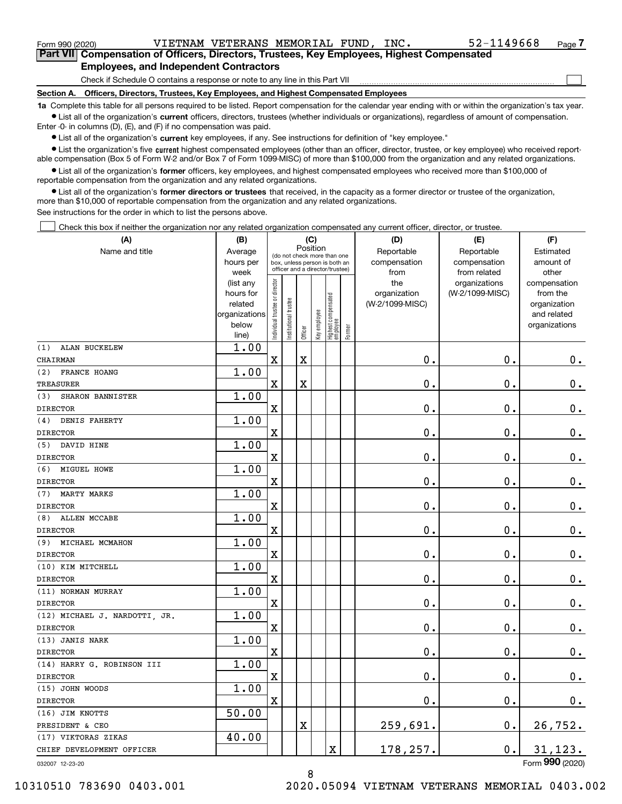|  | Form 990 (2020) |  |
|--|-----------------|--|
|  |                 |  |

<code>Form</code> 990 (2020) <code>VIETNAM VETERANS MEMORIAL FUND, INC.  $52\text{--}1149668$  <code>Page</code></code>

 $\mathcal{L}^{\text{max}}$ 

Form 990 (2020) VIETNAM VETERANS MEMORIAL FUND,INC**.** 52-1149668 <sub>Page</sub> 7<br>Part VII Compensation of Officers, Directors, Trustees, Key Employees, Highest Compensated **Employees, and Independent Contractors**

Check if Schedule O contains a response or note to any line in this Part VII

**Section A. Officers, Directors, Trustees, Key Employees, and Highest Compensated Employees**

**1a**  Complete this table for all persons required to be listed. Report compensation for the calendar year ending with or within the organization's tax year. **•** List all of the organization's current officers, directors, trustees (whether individuals or organizations), regardless of amount of compensation.

Enter -0- in columns (D), (E), and (F) if no compensation was paid.

 $\bullet$  List all of the organization's  $\,$ current key employees, if any. See instructions for definition of "key employee."

**•** List the organization's five current highest compensated employees (other than an officer, director, trustee, or key employee) who received reportable compensation (Box 5 of Form W-2 and/or Box 7 of Form 1099-MISC) of more than \$100,000 from the organization and any related organizations.

**•** List all of the organization's former officers, key employees, and highest compensated employees who received more than \$100,000 of reportable compensation from the organization and any related organizations.

**former directors or trustees**  ¥ List all of the organization's that received, in the capacity as a former director or trustee of the organization, more than \$10,000 of reportable compensation from the organization and any related organizations.

See instructions for the order in which to list the persons above.

Check this box if neither the organization nor any related organization compensated any current officer, director, or trustee.  $\mathcal{L}^{\text{max}}$ 

| (A)                           | (B)                                                                          |                                |                                                                                                             | (C)                     |                            |                                   |                        | (D)                                            | (E)                                              | (F)                                                                               |
|-------------------------------|------------------------------------------------------------------------------|--------------------------------|-------------------------------------------------------------------------------------------------------------|-------------------------|----------------------------|-----------------------------------|------------------------|------------------------------------------------|--------------------------------------------------|-----------------------------------------------------------------------------------|
| Name and title                | Average<br>hours per                                                         |                                | Position<br>(do not check more than one<br>box, unless person is both an<br>officer and a director/trustee) |                         | Reportable<br>compensation | Reportable<br>compensation        | Estimated<br>amount of |                                                |                                                  |                                                                                   |
|                               | week<br>(list any<br>hours for<br>related<br>organizations<br>below<br>line) | Individual trustee or director | Institutional trustee                                                                                       | Officer                 | Key employee               | Highest compensated<br>  employee | Former                 | from<br>the<br>organization<br>(W-2/1099-MISC) | from related<br>organizations<br>(W-2/1099-MISC) | other<br>compensation<br>from the<br>organization<br>and related<br>organizations |
| <b>ALAN BUCKELEW</b><br>(1)   | 1.00                                                                         |                                |                                                                                                             |                         |                            |                                   |                        |                                                |                                                  |                                                                                   |
| CHAIRMAN                      |                                                                              | X                              |                                                                                                             | $\overline{\mathbf{X}}$ |                            |                                   |                        | 0.                                             | $\mathbf 0$ .                                    | $\mathbf 0$ .                                                                     |
| FRANCE HOANG<br>(2)           | 1.00                                                                         |                                |                                                                                                             |                         |                            |                                   |                        |                                                |                                                  |                                                                                   |
| <b>TREASURER</b>              |                                                                              | X                              |                                                                                                             | $\rm X$                 |                            |                                   |                        | $\mathbf{0}$ .                                 | $\mathbf 0$ .                                    | $0_{.}$                                                                           |
| (3)<br>SHARON BANNISTER       | 1.00                                                                         |                                |                                                                                                             |                         |                            |                                   |                        |                                                |                                                  |                                                                                   |
| <b>DIRECTOR</b>               |                                                                              | $\overline{\mathbf{X}}$        |                                                                                                             |                         |                            |                                   |                        | 0.                                             | $\mathbf 0$ .                                    | $\mathbf 0$ .                                                                     |
| DENIS FAHERTY<br>(4)          | 1.00                                                                         |                                |                                                                                                             |                         |                            |                                   |                        |                                                |                                                  |                                                                                   |
| <b>DIRECTOR</b>               |                                                                              | $\mathbf x$                    |                                                                                                             |                         |                            |                                   |                        | 0.                                             | $\mathbf 0$ .                                    | $0_{.}$                                                                           |
| (5)<br>DAVID HINE             | 1.00                                                                         |                                |                                                                                                             |                         |                            |                                   |                        |                                                |                                                  |                                                                                   |
| <b>DIRECTOR</b>               |                                                                              | $\mathbf x$                    |                                                                                                             |                         |                            |                                   |                        | 0.                                             | $\mathbf 0$ .                                    | $\mathbf 0$ .                                                                     |
| MIGUEL HOWE<br>(6)            | 1.00                                                                         |                                |                                                                                                             |                         |                            |                                   |                        |                                                |                                                  |                                                                                   |
| <b>DIRECTOR</b>               |                                                                              | $\mathbf X$                    |                                                                                                             |                         |                            |                                   |                        | $\mathbf{0}$ .                                 | $\mathbf 0$ .                                    | $\mathbf 0$ .                                                                     |
| (7)<br><b>MARTY MARKS</b>     | 1.00                                                                         |                                |                                                                                                             |                         |                            |                                   |                        |                                                |                                                  |                                                                                   |
| <b>DIRECTOR</b>               |                                                                              | $\mathbf X$                    |                                                                                                             |                         |                            |                                   |                        | 0.                                             | $\mathbf 0$ .                                    | $\mathbf 0$ .                                                                     |
| ALLEN MCCABE<br>(8)           | 1.00                                                                         |                                |                                                                                                             |                         |                            |                                   |                        |                                                |                                                  |                                                                                   |
| <b>DIRECTOR</b>               |                                                                              | $\mathbf x$                    |                                                                                                             |                         |                            |                                   |                        | 0.                                             | $\mathbf 0$ .                                    | $\mathbf 0$ .                                                                     |
| (9)<br>MICHAEL MCMAHON        | 1.00                                                                         |                                |                                                                                                             |                         |                            |                                   |                        |                                                |                                                  |                                                                                   |
| <b>DIRECTOR</b>               |                                                                              | $\mathbf X$                    |                                                                                                             |                         |                            |                                   |                        | 0.                                             | $\mathbf 0$ .                                    | 0.                                                                                |
| (10) KIM MITCHELL             | 1.00                                                                         |                                |                                                                                                             |                         |                            |                                   |                        |                                                |                                                  |                                                                                   |
| <b>DIRECTOR</b>               |                                                                              | X                              |                                                                                                             |                         |                            |                                   |                        | 0.                                             | $\mathbf 0$ .                                    | $\mathbf 0$ .                                                                     |
| (11) NORMAN MURRAY            | 1.00                                                                         |                                |                                                                                                             |                         |                            |                                   |                        |                                                |                                                  |                                                                                   |
| <b>DIRECTOR</b>               |                                                                              | $\rm X$                        |                                                                                                             |                         |                            |                                   |                        | 0.                                             | $\mathbf 0$ .                                    | $0_{.}$                                                                           |
| (12) MICHAEL J. NARDOTTI, JR. | 1.00                                                                         |                                |                                                                                                             |                         |                            |                                   |                        |                                                |                                                  |                                                                                   |
| <b>DIRECTOR</b>               |                                                                              | X                              |                                                                                                             |                         |                            |                                   |                        | $\mathbf 0$ .                                  | $\mathbf 0$ .                                    | $0_{.}$                                                                           |
| (13) JANIS NARK               | 1.00                                                                         |                                |                                                                                                             |                         |                            |                                   |                        |                                                |                                                  |                                                                                   |
| <b>DIRECTOR</b>               |                                                                              | $\mathbf X$                    |                                                                                                             |                         |                            |                                   |                        | 0.                                             | $\mathbf 0$ .                                    | $\mathbf 0$ .                                                                     |
| (14) HARRY G. ROBINSON III    | 1.00                                                                         |                                |                                                                                                             |                         |                            |                                   |                        |                                                |                                                  |                                                                                   |
| <b>DIRECTOR</b>               |                                                                              | $\overline{\text{X}}$          |                                                                                                             |                         |                            |                                   |                        | 0.                                             | $\mathbf 0$ .                                    | 0.                                                                                |
| (15) JOHN WOODS               | 1.00                                                                         |                                |                                                                                                             |                         |                            |                                   |                        |                                                |                                                  |                                                                                   |
| <b>DIRECTOR</b>               |                                                                              | $\mathbf X$                    |                                                                                                             |                         |                            |                                   |                        | $0$ .                                          | $\mathbf 0$ .                                    | 0.                                                                                |
| (16) JIM KNOTTS               | 50.00                                                                        |                                |                                                                                                             |                         |                            |                                   |                        |                                                |                                                  |                                                                                   |
| PRESIDENT & CEO               |                                                                              |                                |                                                                                                             | X                       |                            |                                   |                        | 259,691.                                       | $\mathbf 0$ .                                    | 26,752.                                                                           |
| (17) VIKTORAS ZIKAS           | 40.00                                                                        |                                |                                                                                                             |                         |                            |                                   |                        |                                                |                                                  |                                                                                   |
| CHIEF DEVELOPMENT OFFICER     |                                                                              |                                |                                                                                                             |                         |                            | $\mathbf X$                       |                        | 178,257.                                       | $\mathbf 0$ .                                    | 31, 123.                                                                          |
| 032007 12-23-20               |                                                                              |                                |                                                                                                             |                         |                            |                                   |                        |                                                |                                                  | Form 990 (2020)                                                                   |

8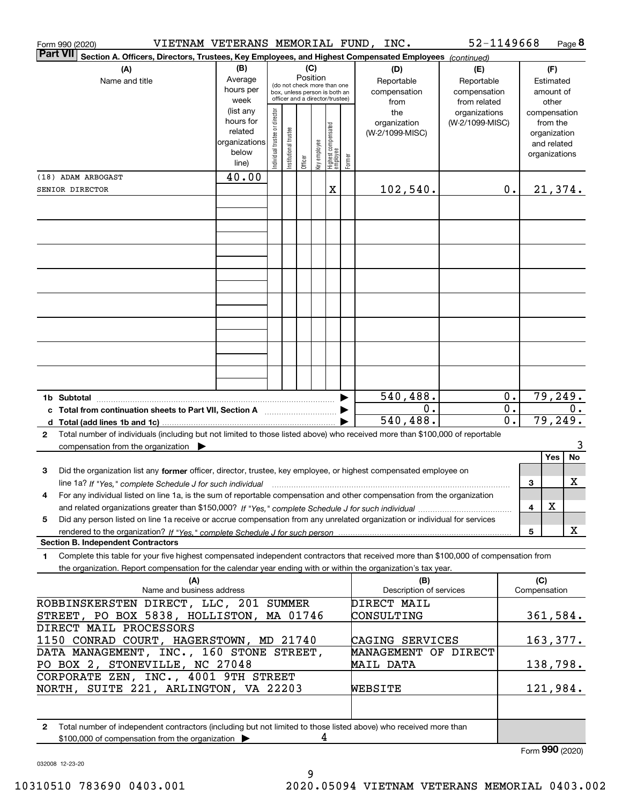| VIETNAM VETERANS MEMORIAL FUND, INC.<br>Form 990 (2020)                                                                                          |                      |                                |                                                                  |                 |              |                                 |           |                                | 52-1149668                    |                  |                     | Page 8                |
|--------------------------------------------------------------------------------------------------------------------------------------------------|----------------------|--------------------------------|------------------------------------------------------------------|-----------------|--------------|---------------------------------|-----------|--------------------------------|-------------------------------|------------------|---------------------|-----------------------|
| <b>Part VII</b><br>Section A. Officers, Directors, Trustees, Key Employees, and Highest Compensated Employees (continued)                        |                      |                                |                                                                  |                 |              |                                 |           |                                |                               |                  |                     |                       |
| (A)                                                                                                                                              | (B)                  |                                |                                                                  | (C)<br>Position |              |                                 |           | (D)                            | (E)                           |                  |                     | (F)                   |
| Name and title                                                                                                                                   | Average<br>hours per |                                | (do not check more than one                                      |                 |              |                                 |           | Reportable                     | Reportable                    |                  |                     | Estimated             |
|                                                                                                                                                  | week                 |                                | box, unless person is both an<br>officer and a director/trustee) |                 |              |                                 |           | compensation                   | compensation                  |                  |                     | amount of             |
|                                                                                                                                                  | (list any            |                                |                                                                  |                 |              |                                 |           | from<br>the                    | from related<br>organizations |                  |                     | other<br>compensation |
|                                                                                                                                                  | hours for            |                                |                                                                  |                 |              |                                 |           | organization                   | (W-2/1099-MISC)               |                  |                     | from the              |
|                                                                                                                                                  | related              |                                |                                                                  |                 |              |                                 |           | (W-2/1099-MISC)                |                               |                  |                     | organization          |
|                                                                                                                                                  | organizations        |                                |                                                                  |                 |              |                                 |           |                                |                               |                  |                     | and related           |
|                                                                                                                                                  | below<br>line)       | Individual trustee or director | Institutional trustee                                            | Officer         | key employee | Highest compensated<br>employee | Former    |                                |                               |                  |                     | organizations         |
| (18) ADAM ARBOGAST                                                                                                                               | 40.00                |                                |                                                                  |                 |              |                                 |           |                                |                               |                  |                     |                       |
| SENIOR DIRECTOR                                                                                                                                  |                      |                                |                                                                  |                 |              | X                               |           | 102,540.                       |                               | 0.               |                     | 21,374.               |
|                                                                                                                                                  |                      |                                |                                                                  |                 |              |                                 |           |                                |                               |                  |                     |                       |
|                                                                                                                                                  |                      |                                |                                                                  |                 |              |                                 |           |                                |                               |                  |                     |                       |
|                                                                                                                                                  |                      |                                |                                                                  |                 |              |                                 |           |                                |                               |                  |                     |                       |
|                                                                                                                                                  |                      |                                |                                                                  |                 |              |                                 |           |                                |                               |                  |                     |                       |
|                                                                                                                                                  |                      |                                |                                                                  |                 |              |                                 |           |                                |                               |                  |                     |                       |
|                                                                                                                                                  |                      |                                |                                                                  |                 |              |                                 |           |                                |                               |                  |                     |                       |
|                                                                                                                                                  |                      |                                |                                                                  |                 |              |                                 |           |                                |                               |                  |                     |                       |
|                                                                                                                                                  |                      |                                |                                                                  |                 |              |                                 |           |                                |                               |                  |                     |                       |
|                                                                                                                                                  |                      |                                |                                                                  |                 |              |                                 |           |                                |                               |                  |                     |                       |
|                                                                                                                                                  |                      |                                |                                                                  |                 |              |                                 |           |                                |                               |                  |                     |                       |
|                                                                                                                                                  |                      |                                |                                                                  |                 |              |                                 |           |                                |                               |                  |                     |                       |
|                                                                                                                                                  |                      |                                |                                                                  |                 |              |                                 |           |                                |                               |                  |                     |                       |
|                                                                                                                                                  |                      |                                |                                                                  |                 |              |                                 |           |                                |                               |                  |                     |                       |
|                                                                                                                                                  |                      |                                |                                                                  |                 |              |                                 |           |                                |                               |                  |                     |                       |
| 1b Subtotal                                                                                                                                      |                      |                                |                                                                  |                 |              |                                 |           | 540,488.                       |                               | 0.               |                     | 79,249.               |
|                                                                                                                                                  |                      |                                |                                                                  |                 |              |                                 |           | 0.                             |                               | $\overline{0}$ . |                     | 0.                    |
|                                                                                                                                                  |                      |                                |                                                                  |                 |              |                                 |           | $\overline{540}$ , 488.        |                               | $\overline{0}$ . |                     | 79,249.               |
| Total number of individuals (including but not limited to those listed above) who received more than \$100,000 of reportable<br>2                |                      |                                |                                                                  |                 |              |                                 |           |                                |                               |                  |                     |                       |
| compensation from the organization $\blacktriangleright$                                                                                         |                      |                                |                                                                  |                 |              |                                 |           |                                |                               |                  |                     | 3<br>No<br>Yes        |
| Did the organization list any former officer, director, trustee, key employee, or highest compensated employee on<br>3                           |                      |                                |                                                                  |                 |              |                                 |           |                                |                               |                  |                     |                       |
| line 1a? If "Yes," complete Schedule J for such individual material content content to the 1a? If "Yes," complete Schedule J for such individual |                      |                                |                                                                  |                 |              |                                 |           |                                |                               |                  | 3                   | х                     |
| For any individual listed on line 1a, is the sum of reportable compensation and other compensation from the organization<br>4                    |                      |                                |                                                                  |                 |              |                                 |           |                                |                               |                  |                     |                       |
|                                                                                                                                                  |                      |                                |                                                                  |                 |              |                                 |           |                                |                               |                  | 4                   | X                     |
| Did any person listed on line 1a receive or accrue compensation from any unrelated organization or individual for services<br>5                  |                      |                                |                                                                  |                 |              |                                 |           |                                |                               |                  |                     |                       |
|                                                                                                                                                  |                      |                                |                                                                  |                 |              |                                 |           |                                |                               |                  | 5                   | X                     |
| <b>Section B. Independent Contractors</b>                                                                                                        |                      |                                |                                                                  |                 |              |                                 |           |                                |                               |                  |                     |                       |
| Complete this table for your five highest compensated independent contractors that received more than \$100,000 of compensation from<br>1        |                      |                                |                                                                  |                 |              |                                 |           |                                |                               |                  |                     |                       |
| the organization. Report compensation for the calendar year ending with or within the organization's tax year.                                   |                      |                                |                                                                  |                 |              |                                 |           |                                |                               |                  |                     |                       |
| (A)<br>Name and business address                                                                                                                 |                      |                                |                                                                  |                 |              |                                 |           | (B)<br>Description of services |                               |                  | (C)<br>Compensation |                       |
|                                                                                                                                                  |                      |                                |                                                                  |                 |              |                                 |           |                                |                               |                  |                     |                       |
| ROBBINSKERSTEN DIRECT, LLC, 201 SUMMER<br>STREET, PO BOX 5838, HOLLISTON, MA 01746                                                               |                      |                                |                                                                  |                 |              |                                 |           | DIRECT MAIL<br>CONSULTING      |                               |                  |                     | 361,584.              |
| DIRECT MAIL PROCESSORS                                                                                                                           |                      |                                |                                                                  |                 |              |                                 |           |                                |                               |                  |                     |                       |
| 1150 CONRAD COURT, HAGERSTOWN, MD 21740                                                                                                          |                      |                                |                                                                  |                 |              |                                 |           | CAGING SERVICES                |                               |                  |                     | 163,377.              |
| DATA MANAGEMENT, INC., 160 STONE STREET,                                                                                                         |                      |                                |                                                                  |                 |              |                                 |           | <b>MANAGEMENT OF DIRECT</b>    |                               |                  |                     |                       |
| PO BOX 2, STONEVILLE, NC 27048                                                                                                                   |                      |                                |                                                                  |                 |              |                                 | MAIL DATA |                                |                               |                  | 138,798.            |                       |
| CORPORATE ZEN, INC., 4001 9TH STREET                                                                                                             |                      |                                |                                                                  |                 |              |                                 |           |                                |                               |                  |                     |                       |
| NORTH, SUITE 221, ARLINGTON, VA 22203                                                                                                            |                      |                                |                                                                  |                 |              |                                 |           | WEBSITE                        |                               |                  |                     | 121,984.              |
|                                                                                                                                                  |                      |                                |                                                                  |                 |              |                                 |           |                                |                               |                  |                     |                       |
|                                                                                                                                                  |                      |                                |                                                                  |                 |              |                                 |           |                                |                               |                  |                     |                       |
| Total number of independent contractors (including but not limited to those listed above) who received more than<br>2                            |                      |                                |                                                                  |                 | 4            |                                 |           |                                |                               |                  |                     |                       |
| \$100,000 of compensation from the organization                                                                                                  |                      |                                |                                                                  |                 |              |                                 |           |                                |                               |                  |                     | Form 990 (2020)       |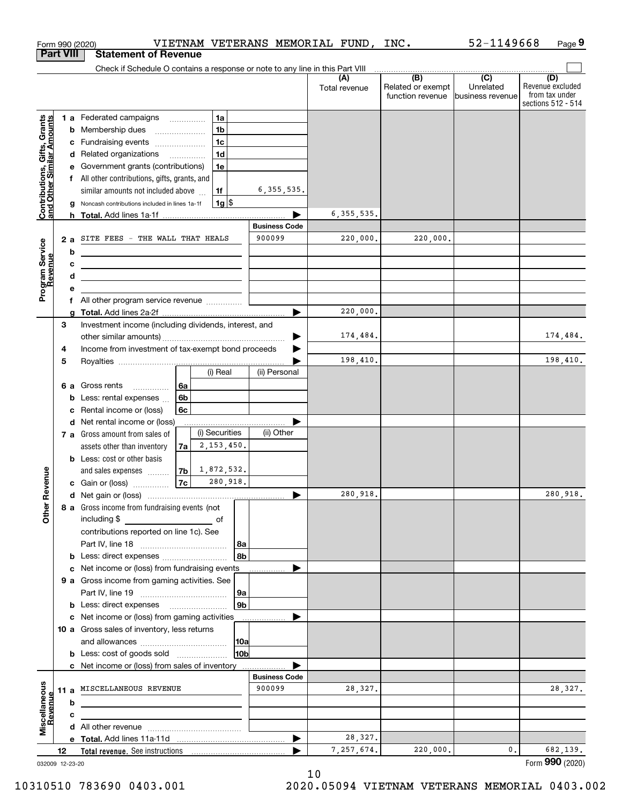|                                                           |    |   | VIETNAM VETERANS MEMORIAL FUND, INC.<br>Form 990 (2020)                         |                                |                      |                                                                                                          | 52-1149668                    | Page 9                                                          |
|-----------------------------------------------------------|----|---|---------------------------------------------------------------------------------|--------------------------------|----------------------|----------------------------------------------------------------------------------------------------------|-------------------------------|-----------------------------------------------------------------|
| <b>Part VIII</b>                                          |    |   | <b>Statement of Revenue</b>                                                     |                                |                      |                                                                                                          |                               |                                                                 |
|                                                           |    |   | Check if Schedule O contains a response or note to any line in this Part VIII   |                                |                      | $\begin{array}{c c c c c c} \hline \text{ } & \text{(B)} & \text{ } & \text{(C)} & \text{ } \end{array}$ |                               |                                                                 |
|                                                           |    |   |                                                                                 |                                | (A)<br>Total revenue | Related or exempt<br>function revenue                                                                    | Unrelated<br>business revenue | (D)<br>Revenue excluded<br>from tax under<br>sections 512 - 514 |
|                                                           |    |   | 1 a Federated campaigns<br>1a                                                   |                                |                      |                                                                                                          |                               |                                                                 |
| Contributions, Gifts, Grants<br>and Other Similar Amounts |    |   | 1 <sub>b</sub><br><b>b</b> Membership dues<br>$\overline{\phantom{a}}$          |                                |                      |                                                                                                          |                               |                                                                 |
|                                                           |    |   | 1 <sub>c</sub><br>c Fundraising events                                          |                                |                      |                                                                                                          |                               |                                                                 |
|                                                           |    |   | 1 <sub>d</sub><br>d Related organizations                                       |                                |                      |                                                                                                          |                               |                                                                 |
|                                                           |    |   | e Government grants (contributions)<br>1e                                       |                                |                      |                                                                                                          |                               |                                                                 |
|                                                           |    |   | f All other contributions, gifts, grants, and                                   |                                |                      |                                                                                                          |                               |                                                                 |
|                                                           |    |   | 1f<br>similar amounts not included above<br>$1g$ \$                             | 6, 355, 535.                   |                      |                                                                                                          |                               |                                                                 |
|                                                           |    | g | Noncash contributions included in lines 1a-1f                                   |                                | 6, 355, 535.         |                                                                                                          |                               |                                                                 |
|                                                           |    |   |                                                                                 | <b>Business Code</b>           |                      |                                                                                                          |                               |                                                                 |
|                                                           |    |   | 2 a SITE FEES - THE WALL THAT HEALS                                             | 900099                         | 220,000.             | 220,000.                                                                                                 |                               |                                                                 |
|                                                           |    | b | <u> 1989 - Johann Stein, mars an de Brasilia (b. 1989)</u>                      |                                |                      |                                                                                                          |                               |                                                                 |
|                                                           |    | с | <u> 1980 - Andrea Stadt Britain, amerikansk politik (</u>                       |                                |                      |                                                                                                          |                               |                                                                 |
| Program Service<br>Revenue                                |    | d | the contract of the contract of the contract of the contract of the contract of |                                |                      |                                                                                                          |                               |                                                                 |
|                                                           |    | е |                                                                                 |                                |                      |                                                                                                          |                               |                                                                 |
|                                                           |    |   | f All other program service revenue                                             |                                |                      |                                                                                                          |                               |                                                                 |
|                                                           |    | a |                                                                                 |                                | 220,000.             |                                                                                                          |                               |                                                                 |
|                                                           | 3  |   | Investment income (including dividends, interest, and                           |                                |                      |                                                                                                          |                               |                                                                 |
|                                                           |    |   |                                                                                 |                                | 174,484.             |                                                                                                          |                               | 174, 484.                                                       |
|                                                           | 4  |   | Income from investment of tax-exempt bond proceeds                              |                                | 198,410.             |                                                                                                          |                               | 198,410.                                                        |
|                                                           | 5  |   | (i) Real                                                                        | (ii) Personal                  |                      |                                                                                                          |                               |                                                                 |
|                                                           |    |   | 6а<br>6 a Gross rents                                                           |                                |                      |                                                                                                          |                               |                                                                 |
|                                                           |    |   | 6b<br><b>b</b> Less: rental expenses $\ldots$                                   |                                |                      |                                                                                                          |                               |                                                                 |
|                                                           |    | c | Rental income or (loss)<br>6c                                                   |                                |                      |                                                                                                          |                               |                                                                 |
|                                                           |    |   | d Net rental income or (loss)                                                   |                                |                      |                                                                                                          |                               |                                                                 |
|                                                           |    |   | (i) Securities<br>7 a Gross amount from sales of                                | (ii) Other                     |                      |                                                                                                          |                               |                                                                 |
|                                                           |    |   | 2, 153, 450.<br>assets other than inventory<br>7a                               |                                |                      |                                                                                                          |                               |                                                                 |
|                                                           |    |   | <b>b</b> Less: cost or other basis                                              |                                |                      |                                                                                                          |                               |                                                                 |
|                                                           |    |   | 1,872,532.<br>7 <sub>b</sub><br>and sales expenses                              |                                |                      |                                                                                                          |                               |                                                                 |
| evenue                                                    |    |   | 280,918.<br>7c<br>c Gain or (loss)                                              |                                |                      |                                                                                                          |                               |                                                                 |
| Œ                                                         |    |   |                                                                                 |                                | 280,918.             |                                                                                                          |                               | 280,918.                                                        |
| Other                                                     |    |   | 8 a Gross income from fundraising events (not                                   |                                |                      |                                                                                                          |                               |                                                                 |
|                                                           |    |   | including \$<br><u>and the state of</u>                                         |                                |                      |                                                                                                          |                               |                                                                 |
|                                                           |    |   | contributions reported on line 1c). See<br> 8a                                  |                                |                      |                                                                                                          |                               |                                                                 |
|                                                           |    |   | 8b                                                                              |                                |                      |                                                                                                          |                               |                                                                 |
|                                                           |    |   | c Net income or (loss) from fundraising events __                               |                                |                      |                                                                                                          |                               |                                                                 |
|                                                           |    |   | 9 a Gross income from gaming activities. See                                    |                                |                      |                                                                                                          |                               |                                                                 |
|                                                           |    |   | 9a                                                                              |                                |                      |                                                                                                          |                               |                                                                 |
|                                                           |    |   | 9b                                                                              |                                |                      |                                                                                                          |                               |                                                                 |
|                                                           |    |   | c Net income or (loss) from gaming activities                                   | .                              |                      |                                                                                                          |                               |                                                                 |
|                                                           |    |   | 10 a Gross sales of inventory, less returns                                     |                                |                      |                                                                                                          |                               |                                                                 |
|                                                           |    |   | 10a                                                                             |                                |                      |                                                                                                          |                               |                                                                 |
|                                                           |    |   | 10b<br><b>b</b> Less: cost of goods sold                                        |                                |                      |                                                                                                          |                               |                                                                 |
|                                                           |    |   | c Net income or (loss) from sales of inventory                                  |                                |                      |                                                                                                          |                               |                                                                 |
|                                                           |    |   | 11 a MISCELLANEOUS REVENUE                                                      | <b>Business Code</b><br>900099 | 28,327.              |                                                                                                          |                               | 28,327.                                                         |
|                                                           |    | b |                                                                                 |                                |                      |                                                                                                          |                               |                                                                 |
|                                                           |    | с |                                                                                 |                                |                      |                                                                                                          |                               |                                                                 |
| Miscellaneous<br>Revenue                                  |    |   |                                                                                 |                                |                      |                                                                                                          |                               |                                                                 |
|                                                           |    |   |                                                                                 |                                | 28,327.              |                                                                                                          |                               |                                                                 |
|                                                           | 12 |   |                                                                                 |                                | 7,257,674.           | 220,000.                                                                                                 | 0.                            | 682,139.                                                        |
| 032009 12-23-20                                           |    |   |                                                                                 |                                |                      |                                                                                                          |                               | Form 990 (2020)                                                 |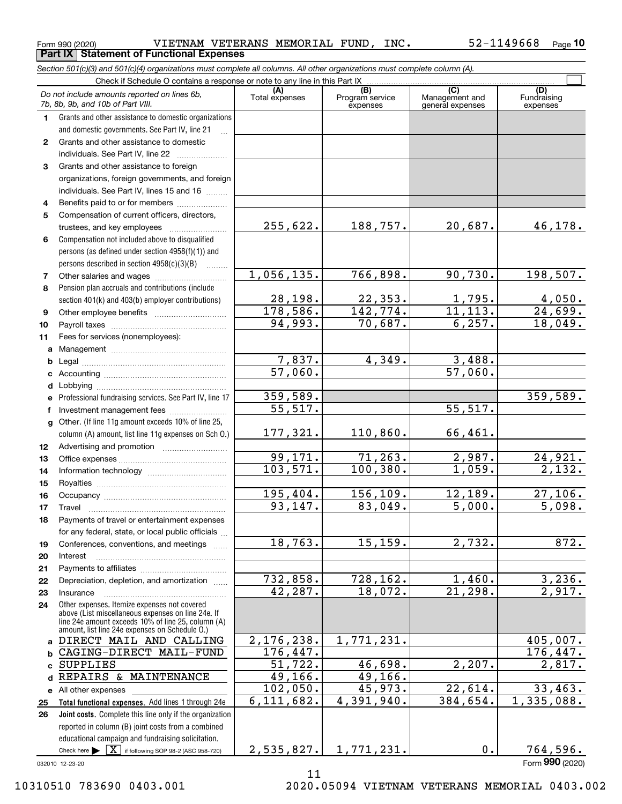$_{\rm Form}$   $_{990}$  (2020) VIETNAM VETERANS MEMORIAL FUND, INC.  $_{\rm 52-1149668}$   $_{\rm Page}$ **Part IX Statement of Functional Expenses**

*Section 501(c)(3) and 501(c)(4) organizations must complete all columns. All other organizations must complete column (A).*

|              | Do not include amounts reported on lines 6b,<br>7b, 8b, 9b, and 10b of Part VIII.                    | (A)<br>Total expenses | (B)<br>Program service<br>expenses | (C)<br>Management and<br>general expenses | (D)<br>Fundraising<br>expenses |
|--------------|------------------------------------------------------------------------------------------------------|-----------------------|------------------------------------|-------------------------------------------|--------------------------------|
| 1.           | Grants and other assistance to domestic organizations                                                |                       |                                    |                                           |                                |
|              | and domestic governments. See Part IV, line 21                                                       |                       |                                    |                                           |                                |
| $\mathbf{2}$ | Grants and other assistance to domestic                                                              |                       |                                    |                                           |                                |
|              | individuals. See Part IV, line 22                                                                    |                       |                                    |                                           |                                |
| 3            | Grants and other assistance to foreign                                                               |                       |                                    |                                           |                                |
|              | organizations, foreign governments, and foreign                                                      |                       |                                    |                                           |                                |
|              | individuals. See Part IV, lines 15 and 16                                                            |                       |                                    |                                           |                                |
| 4            | Benefits paid to or for members                                                                      |                       |                                    |                                           |                                |
| 5            | Compensation of current officers, directors,                                                         |                       |                                    |                                           |                                |
|              | trustees, and key employees                                                                          | 255,622.              | 188,757.                           | 20,687.                                   | 46, 178.                       |
| 6            | Compensation not included above to disqualified                                                      |                       |                                    |                                           |                                |
|              | persons (as defined under section 4958(f)(1)) and                                                    |                       |                                    |                                           |                                |
|              | persons described in section 4958(c)(3)(B)<br>.                                                      |                       |                                    |                                           |                                |
| 7            |                                                                                                      | 1,056,135.            | 766,898.                           | 90,730.                                   | 198,507.                       |
| 8            | Pension plan accruals and contributions (include                                                     |                       |                                    |                                           |                                |
|              | section 401(k) and 403(b) employer contributions)                                                    | 28, 198.<br>178,586.  | 22, 353.<br>142, 774.              | $\frac{1,795}{11,113}$ .                  | $\frac{4,050}{24,699}$ .       |
| 9            |                                                                                                      | 94,993.               | 70,687.                            | 6, 257.                                   | 18,049.                        |
| 10           |                                                                                                      |                       |                                    |                                           |                                |
| 11           | Fees for services (nonemployees):                                                                    |                       |                                    |                                           |                                |
| a            |                                                                                                      | 7,837.                | 4,349.                             | 3,488.                                    |                                |
| b<br>c       |                                                                                                      | 57,060.               |                                    | 57,060.                                   |                                |
| d            |                                                                                                      |                       |                                    |                                           |                                |
| е            | Professional fundraising services. See Part IV, line 17                                              | 359,589.              |                                    |                                           | 359,589.                       |
| f            | Investment management fees                                                                           | $\overline{55,517}$ . |                                    | 55, 517.                                  |                                |
| g            | Other. (If line 11g amount exceeds 10% of line 25,                                                   |                       |                                    |                                           |                                |
|              | column (A) amount, list line 11g expenses on Sch O.)                                                 | 177,321.              | 110,860.                           | 66,461.                                   |                                |
| 12           |                                                                                                      |                       |                                    |                                           |                                |
| 13           |                                                                                                      | 99,171.               | 71, 263.                           | 2,987.                                    | 24,921.                        |
| 14           |                                                                                                      | 103,571.              | 100, 380.                          | 1,059.                                    | $\overline{2,132.}$            |
| 15           |                                                                                                      |                       |                                    |                                           |                                |
| 16           |                                                                                                      | 195,404.              | 156,109.                           | 12,189.                                   | 27,106.                        |
| 17           | Travel                                                                                               | 93,147.               | 83,049.                            | 5,000.                                    | 5,098.                         |
| 18           | Payments of travel or entertainment expenses                                                         |                       |                                    |                                           |                                |
|              | for any federal, state, or local public officials                                                    |                       |                                    |                                           |                                |
| 19           | Conferences, conventions, and meetings                                                               | 18,763.               | 15, 159.                           | 2,732.                                    | 872.                           |
| 20           | Interest                                                                                             |                       |                                    |                                           |                                |
| 21           |                                                                                                      |                       |                                    |                                           |                                |
| 22           | Depreciation, depletion, and amortization                                                            | 732,858.              | 728,162.                           | 1,460.                                    | 3,236.                         |
| 23           | Insurance                                                                                            | 42,287.               | 18,072.                            | 21,298.                                   | 2,917.                         |
| 24           | Other expenses. Itemize expenses not covered<br>above (List miscellaneous expenses on line 24e. If   |                       |                                    |                                           |                                |
|              | line 24e amount exceeds 10% of line 25, column (A)<br>amount, list line 24e expenses on Schedule O.) |                       |                                    |                                           |                                |
|              | a DIRECT MAIL AND CALLING                                                                            | 2,176,238.            | 1,771,231.                         |                                           | 405,007.                       |
| b            | CAGING-DIRECT MAIL-FUND                                                                              | 176,447.              |                                    |                                           | 176,447.                       |
| c            | SUPPLIES                                                                                             | 51, 722.              | 46,698.                            | 2,207.                                    | 2,817.                         |
|              | d REPAIRS & MAINTENANCE                                                                              | 49,166.               | 49,166.                            |                                           |                                |
|              | e All other expenses                                                                                 | 102,050.              | 45,973.                            | 22,614.                                   | 33,463.                        |
| 25           | Total functional expenses. Add lines 1 through 24e                                                   | 6, 111, 682.          | 4,391,940.                         | 384,654.                                  | 1,335,088.                     |
| 26           | Joint costs. Complete this line only if the organization                                             |                       |                                    |                                           |                                |
|              | reported in column (B) joint costs from a combined                                                   |                       |                                    |                                           |                                |
|              | educational campaign and fundraising solicitation.                                                   |                       |                                    |                                           |                                |
|              | Check here $\blacktriangleright \boxed{\textbf{X}}$ if following SOP 98-2 (ASC 958-720)              | 2,535,827.            | 1,771,231.                         | 0.                                        | 764,596.                       |
|              | 032010 12-23-20                                                                                      |                       |                                    |                                           | Form 990 (2020)                |

11

032010 12-23-20

10310510 783690 0403.001 2020.05094 VIETNAM VETERANS MEMORIAL 0403.002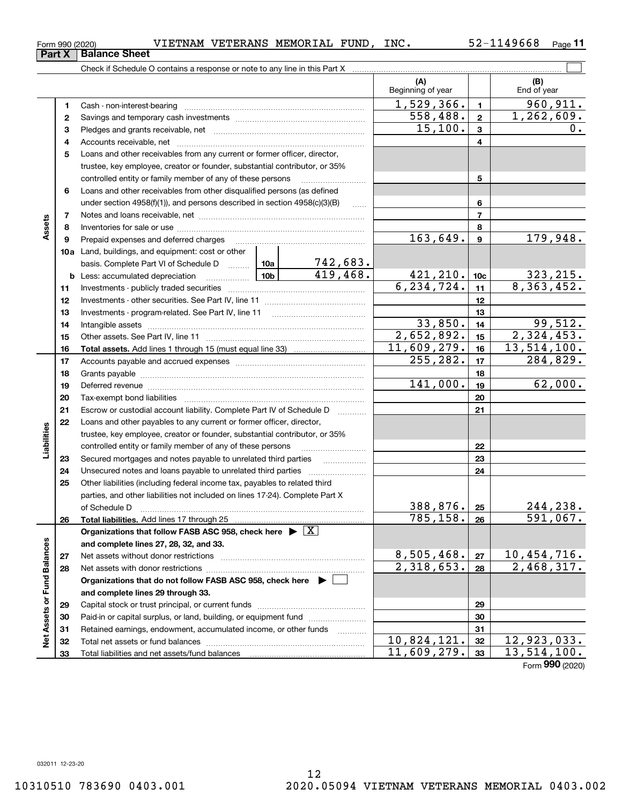Total liabilities and net assets/fund balances

#### **678910a**Land, buildings, and equipment: cost or other **1112131415161819202122232425262728293031325678910c11121314151617181920212223242526b** Less: accumulated depreciation  $\ldots$  **10b** basis. Complete Part VI of Schedule D www.ptimes. **Total assets.**  Add lines 1 through 15 (must equal line 33) **Total liabilities.**  Add lines 17 through 25 **Organizations that follow FASB ASC 958, check here** | X **and complete lines 27, 28, 32, and 33. 2728Organizations that do not follow FASB ASC 958, check here** | **and complete lines 29 through 33. 29303132**controlled entity or family member of any of these persons ............................ Loans and other receivables from other disqualified persons (as defined under section 4958(f)(1)), and persons described in section 4958(c)(3)(B) Notes and loans receivable, net ~~~~~~~~~~~~~~~~~~~~~~~Inventories for sale or use ~~~~~~~~~~~~~~~~~~~~~~~~~~ Prepaid expenses and deferred charges ~~~~~~~~~~~~~~~~~~ Investments - publicly traded securities ~~~~~~~~~~~~~~~~~~~ Investments - other securities. See Part IV, line 11 ~~~~~~~~~~~~~~ Investments - program-related. See Part IV, line 11 ~~~~~~~~~~~~~Intangible assets ~~~~~~~~~~~~~~~~~~~~~~~~~~~~~~ Other assets. See Part IV, line 11 ~~~~~~~~~~~~~~~~~~~~~~ Accounts payable and accrued expenses ~~~~~~~~~~~~~~~~~~ Grants payable ~~~~~~~~~~~~~~~~~~~~~~~~~~~~~~~ Deferred revenue ~~~~~~~~~~~~~~~~~~~~~~~~~~~~~~ Tax-exempt bond liabilities …………………………………………………………… Escrow or custodial account liability. Complete Part IV of Schedule D Loans and other payables to any current or former officer, director, trustee, key employee, creator or founder, substantial contributor, or 35% controlled entity or family member of any of these persons ~~~~~~~~~Secured mortgages and notes payable to unrelated third parties Unsecured notes and loans payable to unrelated third parties Other liabilities (including federal income tax, payables to related third parties, and other liabilities not included on lines 17-24). Complete Part X of Schedule D ~~~~~~~~~~~~~~~~~~~~~~~~~~~~~~~ Net assets without donor restrictions <sub>…………………………………………………</sub>…… Net assets with donor restrictions ~~~~~~~~~~~~~~~~~~~~~~Capital stock or trust principal, or current funds ~~~~~~~~~~~~~~~ Paid-in or capital surplus, or land, building, or equipment fund www.commun.com Retained earnings, endowment, accumulated income, or other funds www.com Total net assets or fund balances ~~~~~~~~~~~~~~~~~~~~~~ 163,649. 179,948.  $6, 234, 724.$  11 8, 363, 452. 742,683. 419,468. 421,210. 10c 323,215.  $2,652,892.$  15  $2,324,453.$  $11,609,279.$  16 13,514,100. 99,512.  $255, 282.$  17  $284, 829.$ 141,000. 62,000.  $388, 876$ .  $|25|$  244, 238. 785,158. 591,067.  $8,505,468.$   $27$  10,454,716.  $2,318,653. |28 | 2,468,317.$  $10,824,121.$   $32 \mid 12,923,033.$  $11,609,279.$  33 13,514,100. 33,850.

 $_{\rm Form}$   $_{990}$  (2020) VIETNAM VETERANS MEMORIAL FUND, INC.  $_{\rm 52-1149668}$   $_{\rm Page}$ 

**3** Pledges and grants receivable, net  $\ldots$  **multimes contained and grants receivable**, net **multimes contained and grants receivable**, net **multimes contained and grants receivable** 

Cash - non-interest-bearing ~~~~~~~~~~~~~~~~~~~~~~~~~ Savings and temporary cash investments ~~~~~~~~~~~~~~~~~~

Accounts receivable, net ~~~~~~~~~~~~~~~~~~~~~~~~~~ Loans and other receivables from any current or former officer, director, trustee, key employee, creator or founder, substantial contributor, or 35%

Check if Schedule O contains a response or note to any line in this Part X

52-1149668 <sub>Page</sub> 11

 $\mathcal{L}^{\text{max}}$ 

**(B)**

 $1,529,366.$  1 960,911.

 $15,100.$  |  $3$  |  $0.$ 

 $558,488.$  2 1,262,609.

Beginning of year  $\begin{vmatrix} 1 & 1 \\ 1 & 1 \end{vmatrix}$  End of year

**(A)**

Form (2020) **990**

**33**

032011 12-23-20

**33**

**Net Assets or Fund Balances**

 $\frac{1}{2}$ 

Assets or Fund Balances

**12**

**Part X** Balance Sheet

**45**

**Assets**

**17**

**Liabilities**

iabilities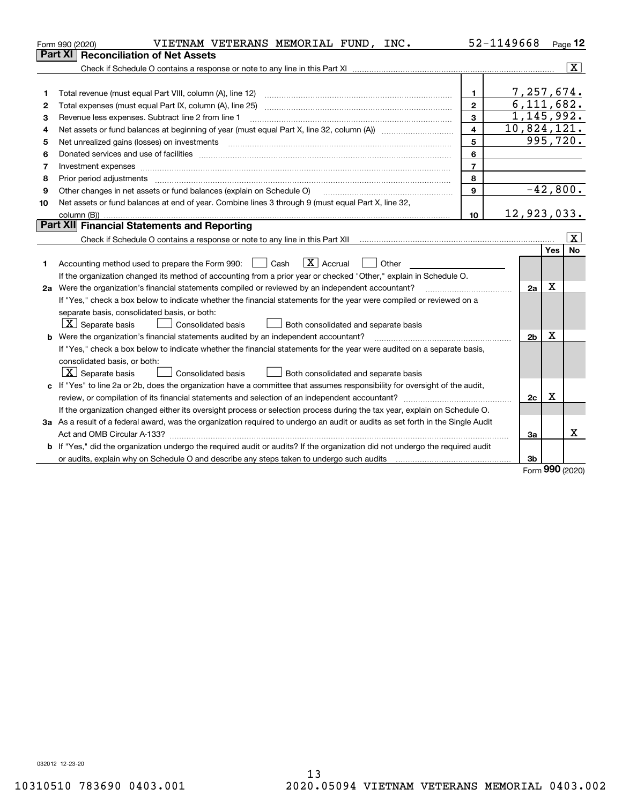| Part XI<br><b>Reconciliation of Net Assets</b>                                                                                  |                |            |                         |
|---------------------------------------------------------------------------------------------------------------------------------|----------------|------------|-------------------------|
|                                                                                                                                 |                |            |                         |
|                                                                                                                                 |                |            | $\overline{\mathbf{x}}$ |
|                                                                                                                                 |                |            |                         |
| $\mathbf{1}$<br>1                                                                                                               | 7,257,674.     |            |                         |
| $\overline{2}$<br>2                                                                                                             | 6, 111, 682.   |            |                         |
| $\overline{3}$<br>Revenue less expenses. Subtract line 2 from line 1<br>3                                                       | 1,145,992.     |            |                         |
| $\overline{\mathbf{A}}$<br>4                                                                                                    | 10,824,121.    |            |                         |
| 5<br>5                                                                                                                          | 995,720.       |            |                         |
| 6<br>6                                                                                                                          |                |            |                         |
| $\overline{7}$<br>7<br>Investment expenses                                                                                      |                |            |                         |
| 8<br>8                                                                                                                          |                |            |                         |
| $\mathbf{9}$<br>Other changes in net assets or fund balances (explain on Schedule O)<br>9                                       | $-42,800.$     |            |                         |
| Net assets or fund balances at end of year. Combine lines 3 through 9 (must equal Part X, line 32,<br>10                        |                |            |                         |
| 10                                                                                                                              | 12,923,033.    |            |                         |
| Part XII Financial Statements and Reporting                                                                                     |                |            |                         |
|                                                                                                                                 |                |            | $\overline{\mathbf{x}}$ |
|                                                                                                                                 |                | Yes        | <b>No</b>               |
| $\boxed{\text{X}}$ Accrual<br>Accounting method used to prepare the Form 990: <u>June</u> Cash<br>Other<br>$\mathbf{1}$<br>1    |                |            |                         |
| If the organization changed its method of accounting from a prior year or checked "Other," explain in Schedule O.               |                |            |                         |
| 2a Were the organization's financial statements compiled or reviewed by an independent accountant?                              | 2a             | X          |                         |
| If "Yes," check a box below to indicate whether the financial statements for the year were compiled or reviewed on a            |                |            |                         |
| separate basis, consolidated basis, or both:                                                                                    |                |            |                         |
| $X$ Separate basis<br>Both consolidated and separate basis<br>Consolidated basis                                                |                |            |                         |
| <b>b</b> Were the organization's financial statements audited by an independent accountant?                                     | 2 <sub>b</sub> | X          |                         |
| If "Yes," check a box below to indicate whether the financial statements for the year were audited on a separate basis,         |                |            |                         |
| consolidated basis, or both:                                                                                                    |                |            |                         |
| $\boxed{\textbf{X}}$ Separate basis<br>Consolidated basis<br>Both consolidated and separate basis                               |                |            |                         |
| c If "Yes" to line 2a or 2b, does the organization have a committee that assumes responsibility for oversight of the audit,     |                |            |                         |
|                                                                                                                                 | 2c             | X          |                         |
| If the organization changed either its oversight process or selection process during the tax year, explain on Schedule O.       |                |            |                         |
| 3a As a result of a federal award, was the organization required to undergo an audit or audits as set forth in the Single Audit |                |            |                         |
|                                                                                                                                 | За             |            | x                       |
| b If "Yes," did the organization undergo the required audit or audits? If the organization did not undergo the required audit   |                |            |                         |
| or audits, explain why on Schedule O and describe any steps taken to undergo such audits [11] content to under                  | 3b             | <b>nnn</b> |                         |

Form (2020) **990**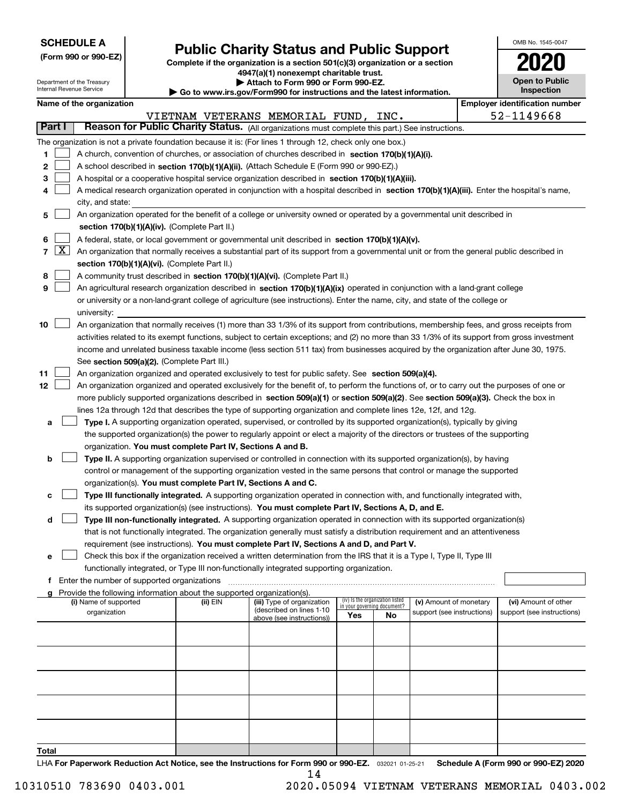| <b>SCHEDULE A</b> |
|-------------------|
|-------------------|

**(Form 990 or 990-EZ)**

## **Public Charity Status and Public Support**

**Complete if the organization is a section 501(c)(3) organization or a section 4947(a)(1) nonexempt charitable trust.**

| OMB No. 1545-0047                   |
|-------------------------------------|
|                                     |
| <b>Open to Public</b><br>Inspection |

|    |        |                                                                                                                           | Department of the Treasury<br>Internal Revenue Service |                                                      |                                                                                    | Attach to Form 990 or Form 990-EZ.<br>Go to www.irs.gov/Form990 for instructions and the latest information.                                 |     |                                 |                            |  |                                                     |  |  |  |
|----|--------|---------------------------------------------------------------------------------------------------------------------------|--------------------------------------------------------|------------------------------------------------------|------------------------------------------------------------------------------------|----------------------------------------------------------------------------------------------------------------------------------------------|-----|---------------------------------|----------------------------|--|-----------------------------------------------------|--|--|--|
|    |        |                                                                                                                           |                                                        |                                                      |                                                                                    |                                                                                                                                              |     |                                 |                            |  | Inspection<br><b>Employer identification number</b> |  |  |  |
|    |        |                                                                                                                           | Name of the organization                               |                                                      |                                                                                    |                                                                                                                                              |     |                                 |                            |  | 52-1149668                                          |  |  |  |
|    | Part I |                                                                                                                           |                                                        |                                                      |                                                                                    | VIETNAM VETERANS MEMORIAL FUND, INC.<br>Reason for Public Charity Status. (All organizations must complete this part.) See instructions.     |     |                                 |                            |  |                                                     |  |  |  |
|    |        |                                                                                                                           |                                                        |                                                      |                                                                                    |                                                                                                                                              |     |                                 |                            |  |                                                     |  |  |  |
|    |        |                                                                                                                           |                                                        |                                                      |                                                                                    | The organization is not a private foundation because it is: (For lines 1 through 12, check only one box.)                                    |     |                                 |                            |  |                                                     |  |  |  |
| 1  |        | A church, convention of churches, or association of churches described in section 170(b)(1)(A)(i).                        |                                                        |                                                      |                                                                                    |                                                                                                                                              |     |                                 |                            |  |                                                     |  |  |  |
| 2  |        | A school described in section 170(b)(1)(A)(ii). (Attach Schedule E (Form 990 or 990-EZ).)                                 |                                                        |                                                      |                                                                                    |                                                                                                                                              |     |                                 |                            |  |                                                     |  |  |  |
| з  |        |                                                                                                                           |                                                        |                                                      |                                                                                    | A hospital or a cooperative hospital service organization described in section 170(b)(1)(A)(iii).                                            |     |                                 |                            |  |                                                     |  |  |  |
|    |        |                                                                                                                           |                                                        |                                                      |                                                                                    | A medical research organization operated in conjunction with a hospital described in section 170(b)(1)(A)(iii). Enter the hospital's name,   |     |                                 |                            |  |                                                     |  |  |  |
|    |        |                                                                                                                           | city, and state:                                       |                                                      |                                                                                    |                                                                                                                                              |     |                                 |                            |  |                                                     |  |  |  |
| 5  |        | An organization operated for the benefit of a college or university owned or operated by a governmental unit described in |                                                        |                                                      |                                                                                    |                                                                                                                                              |     |                                 |                            |  |                                                     |  |  |  |
|    |        |                                                                                                                           |                                                        |                                                      | section 170(b)(1)(A)(iv). (Complete Part II.)                                      |                                                                                                                                              |     |                                 |                            |  |                                                     |  |  |  |
| 6  |        |                                                                                                                           |                                                        |                                                      |                                                                                    | A federal, state, or local government or governmental unit described in section 170(b)(1)(A)(v).                                             |     |                                 |                            |  |                                                     |  |  |  |
|    | 7   X  |                                                                                                                           |                                                        |                                                      |                                                                                    | An organization that normally receives a substantial part of its support from a governmental unit or from the general public described in    |     |                                 |                            |  |                                                     |  |  |  |
|    |        |                                                                                                                           |                                                        |                                                      | section 170(b)(1)(A)(vi). (Complete Part II.)                                      |                                                                                                                                              |     |                                 |                            |  |                                                     |  |  |  |
| 8  |        |                                                                                                                           |                                                        |                                                      |                                                                                    | A community trust described in section 170(b)(1)(A)(vi). (Complete Part II.)                                                                 |     |                                 |                            |  |                                                     |  |  |  |
| 9  |        |                                                                                                                           |                                                        |                                                      |                                                                                    | An agricultural research organization described in section 170(b)(1)(A)(ix) operated in conjunction with a land-grant college                |     |                                 |                            |  |                                                     |  |  |  |
|    |        |                                                                                                                           |                                                        |                                                      |                                                                                    | or university or a non-land-grant college of agriculture (see instructions). Enter the name, city, and state of the college or               |     |                                 |                            |  |                                                     |  |  |  |
|    |        |                                                                                                                           | university:                                            |                                                      |                                                                                    |                                                                                                                                              |     |                                 |                            |  |                                                     |  |  |  |
| 10 |        |                                                                                                                           |                                                        |                                                      |                                                                                    | An organization that normally receives (1) more than 33 1/3% of its support from contributions, membership fees, and gross receipts from     |     |                                 |                            |  |                                                     |  |  |  |
|    |        |                                                                                                                           |                                                        |                                                      |                                                                                    | activities related to its exempt functions, subject to certain exceptions; and (2) no more than 33 1/3% of its support from gross investment |     |                                 |                            |  |                                                     |  |  |  |
|    |        |                                                                                                                           |                                                        |                                                      |                                                                                    | income and unrelated business taxable income (less section 511 tax) from businesses acquired by the organization after June 30, 1975.        |     |                                 |                            |  |                                                     |  |  |  |
|    |        |                                                                                                                           |                                                        |                                                      | See section 509(a)(2). (Complete Part III.)                                        |                                                                                                                                              |     |                                 |                            |  |                                                     |  |  |  |
| 11 |        |                                                                                                                           |                                                        |                                                      |                                                                                    | An organization organized and operated exclusively to test for public safety. See section 509(a)(4).                                         |     |                                 |                            |  |                                                     |  |  |  |
| 12 |        |                                                                                                                           |                                                        |                                                      |                                                                                    | An organization organized and operated exclusively for the benefit of, to perform the functions of, or to carry out the purposes of one or   |     |                                 |                            |  |                                                     |  |  |  |
|    |        |                                                                                                                           |                                                        |                                                      |                                                                                    | more publicly supported organizations described in section 509(a)(1) or section 509(a)(2). See section 509(a)(3). Check the box in           |     |                                 |                            |  |                                                     |  |  |  |
|    |        |                                                                                                                           |                                                        |                                                      |                                                                                    | lines 12a through 12d that describes the type of supporting organization and complete lines 12e, 12f, and 12g.                               |     |                                 |                            |  |                                                     |  |  |  |
| а  |        |                                                                                                                           |                                                        |                                                      |                                                                                    | Type I. A supporting organization operated, supervised, or controlled by its supported organization(s), typically by giving                  |     |                                 |                            |  |                                                     |  |  |  |
|    |        |                                                                                                                           |                                                        |                                                      |                                                                                    | the supported organization(s) the power to regularly appoint or elect a majority of the directors or trustees of the supporting              |     |                                 |                            |  |                                                     |  |  |  |
|    |        |                                                                                                                           |                                                        |                                                      | organization. You must complete Part IV, Sections A and B.                         |                                                                                                                                              |     |                                 |                            |  |                                                     |  |  |  |
| b  |        |                                                                                                                           |                                                        |                                                      |                                                                                    | Type II. A supporting organization supervised or controlled in connection with its supported organization(s), by having                      |     |                                 |                            |  |                                                     |  |  |  |
|    |        |                                                                                                                           |                                                        |                                                      |                                                                                    | control or management of the supporting organization vested in the same persons that control or manage the supported                         |     |                                 |                            |  |                                                     |  |  |  |
|    |        |                                                                                                                           |                                                        |                                                      | organization(s). You must complete Part IV, Sections A and C.                      |                                                                                                                                              |     |                                 |                            |  |                                                     |  |  |  |
| с  |        |                                                                                                                           |                                                        |                                                      |                                                                                    | Type III functionally integrated. A supporting organization operated in connection with, and functionally integrated with,                   |     |                                 |                            |  |                                                     |  |  |  |
|    |        |                                                                                                                           |                                                        |                                                      |                                                                                    | its supported organization(s) (see instructions). You must complete Part IV, Sections A, D, and E.                                           |     |                                 |                            |  |                                                     |  |  |  |
| d  |        |                                                                                                                           |                                                        |                                                      |                                                                                    | Type III non-functionally integrated. A supporting organization operated in connection with its supported organization(s)                    |     |                                 |                            |  |                                                     |  |  |  |
|    |        |                                                                                                                           |                                                        |                                                      |                                                                                    | that is not functionally integrated. The organization generally must satisfy a distribution requirement and an attentiveness                 |     |                                 |                            |  |                                                     |  |  |  |
|    |        |                                                                                                                           |                                                        |                                                      |                                                                                    | requirement (see instructions). You must complete Part IV, Sections A and D, and Part V.                                                     |     |                                 |                            |  |                                                     |  |  |  |
| е  |        |                                                                                                                           |                                                        |                                                      |                                                                                    | Check this box if the organization received a written determination from the IRS that it is a Type I, Type II, Type III                      |     |                                 |                            |  |                                                     |  |  |  |
|    |        |                                                                                                                           |                                                        |                                                      |                                                                                    | functionally integrated, or Type III non-functionally integrated supporting organization.                                                    |     |                                 |                            |  |                                                     |  |  |  |
|    |        |                                                                                                                           |                                                        | <b>f</b> Enter the number of supported organizations |                                                                                    |                                                                                                                                              |     |                                 |                            |  |                                                     |  |  |  |
|    |        |                                                                                                                           | (i) Name of supported                                  |                                                      | Provide the following information about the supported organization(s).<br>(ii) EIN | (iii) Type of organization                                                                                                                   |     | (iv) Is the organization listed | (v) Amount of monetary     |  | (vi) Amount of other                                |  |  |  |
|    |        |                                                                                                                           | organization                                           |                                                      |                                                                                    | (described on lines 1-10                                                                                                                     |     | in your governing document?     | support (see instructions) |  | support (see instructions)                          |  |  |  |
|    |        |                                                                                                                           |                                                        |                                                      |                                                                                    | above (see instructions))                                                                                                                    | Yes | No                              |                            |  |                                                     |  |  |  |
|    |        |                                                                                                                           |                                                        |                                                      |                                                                                    |                                                                                                                                              |     |                                 |                            |  |                                                     |  |  |  |
|    |        |                                                                                                                           |                                                        |                                                      |                                                                                    |                                                                                                                                              |     |                                 |                            |  |                                                     |  |  |  |
|    |        |                                                                                                                           |                                                        |                                                      |                                                                                    |                                                                                                                                              |     |                                 |                            |  |                                                     |  |  |  |
|    |        |                                                                                                                           |                                                        |                                                      |                                                                                    |                                                                                                                                              |     |                                 |                            |  |                                                     |  |  |  |
|    |        |                                                                                                                           |                                                        |                                                      |                                                                                    |                                                                                                                                              |     |                                 |                            |  |                                                     |  |  |  |
|    |        |                                                                                                                           |                                                        |                                                      |                                                                                    |                                                                                                                                              |     |                                 |                            |  |                                                     |  |  |  |
|    |        |                                                                                                                           |                                                        |                                                      |                                                                                    |                                                                                                                                              |     |                                 |                            |  |                                                     |  |  |  |
|    |        |                                                                                                                           |                                                        |                                                      |                                                                                    |                                                                                                                                              |     |                                 |                            |  |                                                     |  |  |  |
|    |        |                                                                                                                           |                                                        |                                                      |                                                                                    |                                                                                                                                              |     |                                 |                            |  |                                                     |  |  |  |
|    |        |                                                                                                                           |                                                        |                                                      |                                                                                    |                                                                                                                                              |     |                                 |                            |  |                                                     |  |  |  |

**Total**

LHA For Paperwork Reduction Act Notice, see the Instructions for Form 990 or 990-EZ. <sub>032021</sub> o1-25-21 Schedule A (Form 990 or 990-EZ) 2020 14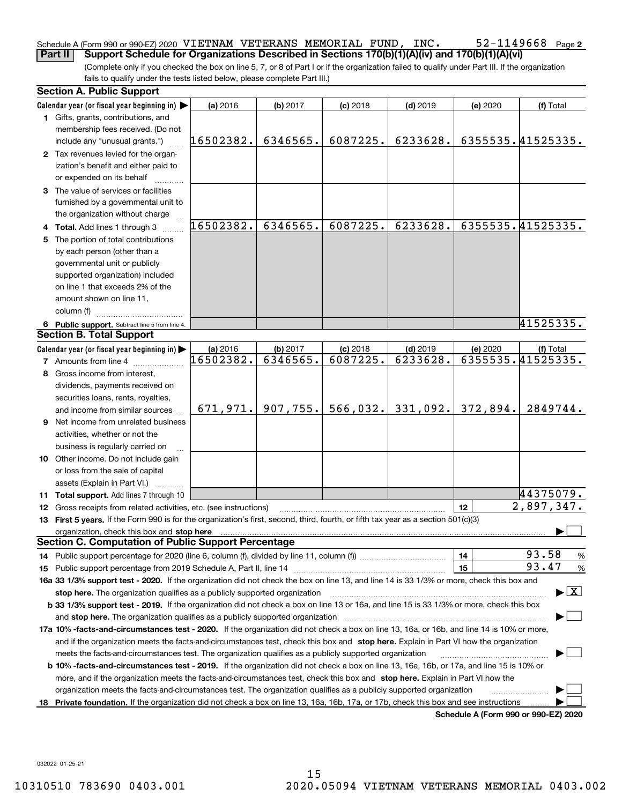#### 52-1149668 Page 2 Schedule A (Form 990 or 990-EZ) 2020 <code>VIETNAM VETERANS MEMORIAL FUND, INC.  $52\text{--}1149668$  Page</code> **Part II** Support Schedule for Organizations Described in Sections 170(b)(1)(A)(iv) and 170(b)(1)(A)(vi)

(Complete only if you checked the box on line 5, 7, or 8 of Part I or if the organization failed to qualify under Part III. If the organization fails to qualify under the tests listed below, please complete Part III.)

|    | <b>Section A. Public Support</b>                                                                                                               |           |          |            |            |          |                                          |
|----|------------------------------------------------------------------------------------------------------------------------------------------------|-----------|----------|------------|------------|----------|------------------------------------------|
|    | Calendar year (or fiscal year beginning in) $\blacktriangleright$                                                                              | (a) 2016  | (b) 2017 | $(c)$ 2018 | $(d)$ 2019 | (e) 2020 | (f) Total                                |
|    | <b>1</b> Gifts, grants, contributions, and                                                                                                     |           |          |            |            |          |                                          |
|    | membership fees received. (Do not                                                                                                              |           |          |            |            |          |                                          |
|    | include any "unusual grants.")                                                                                                                 | 16502382. | 6346565. | 6087225.   | 6233628.   |          | 6355535.41525335.                        |
|    | 2 Tax revenues levied for the organ-                                                                                                           |           |          |            |            |          |                                          |
|    | ization's benefit and either paid to                                                                                                           |           |          |            |            |          |                                          |
|    | or expended on its behalf                                                                                                                      |           |          |            |            |          |                                          |
|    | 3 The value of services or facilities                                                                                                          |           |          |            |            |          |                                          |
|    | furnished by a governmental unit to                                                                                                            |           |          |            |            |          |                                          |
|    | the organization without charge                                                                                                                |           |          |            |            |          |                                          |
|    | 4 Total. Add lines 1 through 3                                                                                                                 | 16502382. | 6346565. | 6087225.   | 6233628.   |          | 6355535.41525335.                        |
|    | 5 The portion of total contributions                                                                                                           |           |          |            |            |          |                                          |
|    | by each person (other than a                                                                                                                   |           |          |            |            |          |                                          |
|    | governmental unit or publicly                                                                                                                  |           |          |            |            |          |                                          |
|    | supported organization) included                                                                                                               |           |          |            |            |          |                                          |
|    | on line 1 that exceeds 2% of the                                                                                                               |           |          |            |            |          |                                          |
|    | amount shown on line 11,                                                                                                                       |           |          |            |            |          |                                          |
|    | column (f)                                                                                                                                     |           |          |            |            |          |                                          |
|    | 6 Public support. Subtract line 5 from line 4.                                                                                                 |           |          |            |            |          | 41525335.                                |
|    | <b>Section B. Total Support</b>                                                                                                                |           |          |            |            |          |                                          |
|    | Calendar year (or fiscal year beginning in)                                                                                                    | (a) 2016  | (b) 2017 | $(c)$ 2018 | $(d)$ 2019 | (e) 2020 | (f) Total                                |
|    | <b>7</b> Amounts from line 4                                                                                                                   | 16502382. | 6346565. | 6087225.   | 6233628.   |          | 6355535.41525335.                        |
|    | 8 Gross income from interest,                                                                                                                  |           |          |            |            |          |                                          |
|    |                                                                                                                                                |           |          |            |            |          |                                          |
|    | dividends, payments received on                                                                                                                |           |          |            |            |          |                                          |
|    | securities loans, rents, royalties,                                                                                                            | 671,971.  | 907,755. | 566,032.   | 331,092.   | 372,894. | 2849744.                                 |
|    | and income from similar sources                                                                                                                |           |          |            |            |          |                                          |
|    | 9 Net income from unrelated business                                                                                                           |           |          |            |            |          |                                          |
|    | activities, whether or not the                                                                                                                 |           |          |            |            |          |                                          |
|    | business is regularly carried on                                                                                                               |           |          |            |            |          |                                          |
|    | <b>10</b> Other income. Do not include gain                                                                                                    |           |          |            |            |          |                                          |
|    | or loss from the sale of capital                                                                                                               |           |          |            |            |          |                                          |
|    | assets (Explain in Part VI.)                                                                                                                   |           |          |            |            |          |                                          |
|    | <b>11 Total support.</b> Add lines 7 through 10                                                                                                |           |          |            |            |          | 44375079.                                |
|    | <b>12</b> Gross receipts from related activities, etc. (see instructions)                                                                      |           |          |            |            | 12       | $\overline{2,897},347.$                  |
|    | 13 First 5 years. If the Form 990 is for the organization's first, second, third, fourth, or fifth tax year as a section 501(c)(3)             |           |          |            |            |          |                                          |
|    | organization, check this box and stop here                                                                                                     |           |          |            |            |          |                                          |
|    | <b>Section C. Computation of Public Support Percentage</b>                                                                                     |           |          |            |            |          |                                          |
|    |                                                                                                                                                |           |          |            |            | 14       | 93.58<br>%                               |
|    |                                                                                                                                                |           |          |            |            | 15       | 93.47<br>$\%$                            |
|    | 16a 33 1/3% support test - 2020. If the organization did not check the box on line 13, and line 14 is 33 1/3% or more, check this box and      |           |          |            |            |          |                                          |
|    | stop here. The organization qualifies as a publicly supported organization                                                                     |           |          |            |            |          | $\blacktriangleright$ $\boxed{\text{X}}$ |
|    | b 33 1/3% support test - 2019. If the organization did not check a box on line 13 or 16a, and line 15 is 33 1/3% or more, check this box       |           |          |            |            |          |                                          |
|    | and stop here. The organization qualifies as a publicly supported organization                                                                 |           |          |            |            |          |                                          |
|    | 17a 10% -facts-and-circumstances test - 2020. If the organization did not check a box on line 13, 16a, or 16b, and line 14 is 10% or more,     |           |          |            |            |          |                                          |
|    | and if the organization meets the facts-and-circumstances test, check this box and stop here. Explain in Part VI how the organization          |           |          |            |            |          |                                          |
|    | meets the facts-and-circumstances test. The organization qualifies as a publicly supported organization                                        |           |          |            |            |          |                                          |
|    | <b>b 10% -facts-and-circumstances test - 2019.</b> If the organization did not check a box on line 13, 16a, 16b, or 17a, and line 15 is 10% or |           |          |            |            |          |                                          |
|    | more, and if the organization meets the facts-and-circumstances test, check this box and stop here. Explain in Part VI how the                 |           |          |            |            |          |                                          |
|    | organization meets the facts-and-circumstances test. The organization qualifies as a publicly supported organization                           |           |          |            |            |          |                                          |
| 18 | Private foundation. If the organization did not check a box on line 13, 16a, 16b, 17a, or 17b, check this box and see instructions             |           |          |            |            |          |                                          |
|    |                                                                                                                                                |           |          |            |            |          | Schedule A (Form 990 or 990-F7) 2020     |

**Schedule A (Form 990 or 990-EZ) 2020**

032022 01-25-21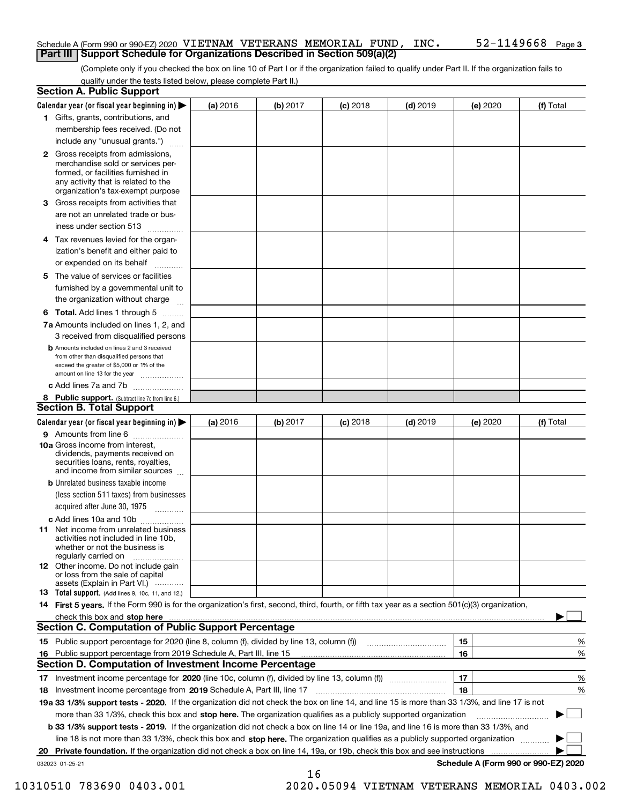#### Schedule A (Form 990 or 990-EZ) 2020 <code>VIETNAM VETERANS MEMORIAL FUND, INC.  $52\text{--}1149668$  Page</code> **Part III Support Schedule for Organizations Described in Section 509(a)(2)**

(Complete only if you checked the box on line 10 of Part I or if the organization failed to qualify under Part II. If the organization fails to qualify under the tests listed below, please complete Part II.)

|    | <b>Section A. Public Support</b>                                                                                                                                                                                                    |          |          |            |            |                                      |           |
|----|-------------------------------------------------------------------------------------------------------------------------------------------------------------------------------------------------------------------------------------|----------|----------|------------|------------|--------------------------------------|-----------|
|    | Calendar year (or fiscal year beginning in) $\blacktriangleright$                                                                                                                                                                   | (a) 2016 | (b) 2017 | $(c)$ 2018 | $(d)$ 2019 | (e) 2020                             | (f) Total |
|    | 1 Gifts, grants, contributions, and                                                                                                                                                                                                 |          |          |            |            |                                      |           |
|    | membership fees received. (Do not                                                                                                                                                                                                   |          |          |            |            |                                      |           |
|    | include any "unusual grants.")                                                                                                                                                                                                      |          |          |            |            |                                      |           |
|    | <b>2</b> Gross receipts from admissions,<br>merchandise sold or services per-<br>formed, or facilities furnished in<br>any activity that is related to the<br>organization's tax-exempt purpose                                     |          |          |            |            |                                      |           |
|    | 3 Gross receipts from activities that<br>are not an unrelated trade or bus-<br>iness under section 513                                                                                                                              |          |          |            |            |                                      |           |
|    | 4 Tax revenues levied for the organ-<br>ization's benefit and either paid to                                                                                                                                                        |          |          |            |            |                                      |           |
|    | or expended on its behalf                                                                                                                                                                                                           |          |          |            |            |                                      |           |
|    | 5 The value of services or facilities<br>furnished by a governmental unit to<br>the organization without charge                                                                                                                     |          |          |            |            |                                      |           |
|    | <b>6 Total.</b> Add lines 1 through 5                                                                                                                                                                                               |          |          |            |            |                                      |           |
|    | 7a Amounts included on lines 1, 2, and<br>3 received from disqualified persons                                                                                                                                                      |          |          |            |            |                                      |           |
|    | <b>b</b> Amounts included on lines 2 and 3 received<br>from other than disqualified persons that<br>exceed the greater of \$5,000 or 1% of the<br>amount on line 13 for the year                                                    |          |          |            |            |                                      |           |
|    | c Add lines 7a and 7b                                                                                                                                                                                                               |          |          |            |            |                                      |           |
|    | 8 Public support. (Subtract line 7c from line 6.)                                                                                                                                                                                   |          |          |            |            |                                      |           |
|    | <b>Section B. Total Support</b>                                                                                                                                                                                                     |          |          |            |            |                                      |           |
|    | Calendar year (or fiscal year beginning in)                                                                                                                                                                                         | (a) 2016 | (b) 2017 | $(c)$ 2018 | $(d)$ 2019 | (e) 2020                             | (f) Total |
|    | 9 Amounts from line 6                                                                                                                                                                                                               |          |          |            |            |                                      |           |
|    | <b>10a</b> Gross income from interest,<br>dividends, payments received on<br>securities loans, rents, royalties,<br>and income from similar sources                                                                                 |          |          |            |            |                                      |           |
|    | <b>b</b> Unrelated business taxable income                                                                                                                                                                                          |          |          |            |            |                                      |           |
|    | (less section 511 taxes) from businesses<br>acquired after June 30, 1975                                                                                                                                                            |          |          |            |            |                                      |           |
|    | c Add lines 10a and 10b<br>11 Net income from unrelated business<br>activities not included in line 10b,<br>whether or not the business is<br>regularly carried on                                                                  |          |          |            |            |                                      |           |
|    | <b>12</b> Other income. Do not include gain<br>or loss from the sale of capital<br>assets (Explain in Part VI.)                                                                                                                     |          |          |            |            |                                      |           |
|    | 13 Total support. (Add lines 9, 10c, 11, and 12.)                                                                                                                                                                                   |          |          |            |            |                                      |           |
|    | 14 First 5 years. If the Form 990 is for the organization's first, second, third, fourth, or fifth tax year as a section 501(c)(3) organization,                                                                                    |          |          |            |            |                                      |           |
|    | check this box and stop here <b>contractly constructed</b> that the state of the state of the state of the state of the state of the state of the state of the state of the state of the state of the state of the state of the sta |          |          |            |            |                                      |           |
|    | <b>Section C. Computation of Public Support Percentage</b>                                                                                                                                                                          |          |          |            |            |                                      |           |
|    | 15 Public support percentage for 2020 (line 8, column (f), divided by line 13, column (f))                                                                                                                                          |          |          |            |            | 15                                   | %         |
| 16 | Public support percentage from 2019 Schedule A, Part III, line 15                                                                                                                                                                   |          |          |            |            | 16                                   | %         |
|    | <b>Section D. Computation of Investment Income Percentage</b>                                                                                                                                                                       |          |          |            |            |                                      |           |
|    | 17 Investment income percentage for 2020 (line 10c, column (f), divided by line 13, column (f))                                                                                                                                     |          |          |            |            | 17                                   | %         |
|    | 18 Investment income percentage from 2019 Schedule A, Part III, line 17                                                                                                                                                             |          |          |            |            | 18                                   | %         |
|    | 19a 33 1/3% support tests - 2020. If the organization did not check the box on line 14, and line 15 is more than 33 1/3%, and line 17 is not                                                                                        |          |          |            |            |                                      |           |
|    | more than 33 1/3%, check this box and stop here. The organization qualifies as a publicly supported organization                                                                                                                    |          |          |            |            |                                      |           |
|    | b 33 1/3% support tests - 2019. If the organization did not check a box on line 14 or line 19a, and line 16 is more than 33 1/3%, and                                                                                               |          |          |            |            |                                      |           |
|    | line 18 is not more than 33 1/3%, check this box and stop here. The organization qualifies as a publicly supported organization                                                                                                     |          |          |            |            |                                      |           |
| 20 | Private foundation. If the organization did not check a box on line 14, 19a, or 19b, check this box and see instructions                                                                                                            |          |          |            |            |                                      |           |
|    | 032023 01-25-21                                                                                                                                                                                                                     |          |          |            |            | Schedule A (Form 990 or 990-EZ) 2020 |           |

16

 <sup>10310510 783690 0403.001 2020.05094</sup> VIETNAM VETERANS MEMORIAL 0403.002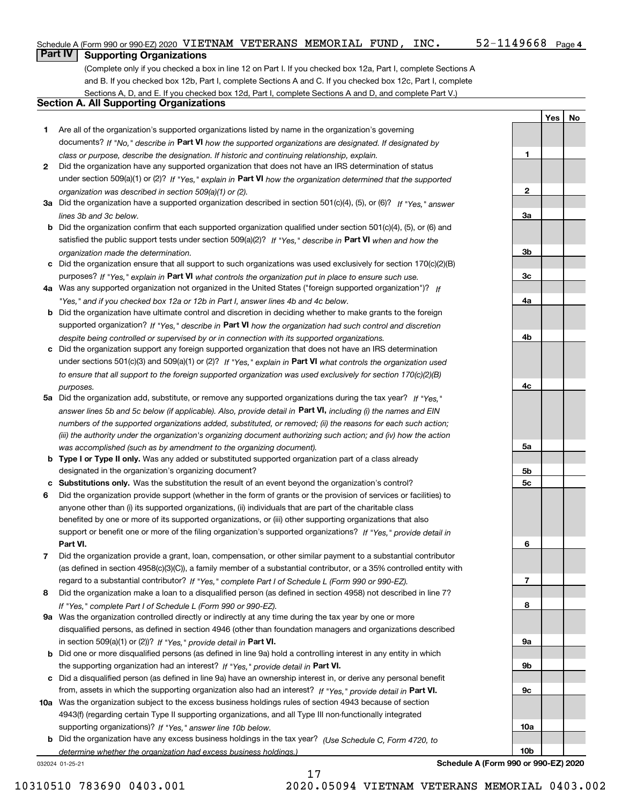**1**

**2**

**3a**

**3b**

**3c**

**4a**

**4b**

**4c**

**5a**

**5b5c**

**6**

**7**

**8**

**9a**

**9b**

**9c**

**10a**

**10b**

**YesNo**

## **Part IV Supporting Organizations**

(Complete only if you checked a box in line 12 on Part I. If you checked box 12a, Part I, complete Sections A and B. If you checked box 12b, Part I, complete Sections A and C. If you checked box 12c, Part I, complete Sections A, D, and E. If you checked box 12d, Part I, complete Sections A and D, and complete Part V.)

#### **Section A. All Supporting Organizations**

- **1** Are all of the organization's supported organizations listed by name in the organization's governing documents? If "No," describe in **Part VI** how the supported organizations are designated. If designated by *class or purpose, describe the designation. If historic and continuing relationship, explain.*
- **2** Did the organization have any supported organization that does not have an IRS determination of status under section 509(a)(1) or (2)? If "Yes," explain in Part VI how the organization determined that the supported *organization was described in section 509(a)(1) or (2).*
- **3a** Did the organization have a supported organization described in section 501(c)(4), (5), or (6)? If "Yes," answer *lines 3b and 3c below.*
- **b** Did the organization confirm that each supported organization qualified under section 501(c)(4), (5), or (6) and satisfied the public support tests under section 509(a)(2)? If "Yes," describe in **Part VI** when and how the *organization made the determination.*
- **c**Did the organization ensure that all support to such organizations was used exclusively for section 170(c)(2)(B) purposes? If "Yes," explain in **Part VI** what controls the organization put in place to ensure such use.
- **4a***If* Was any supported organization not organized in the United States ("foreign supported organization")? *"Yes," and if you checked box 12a or 12b in Part I, answer lines 4b and 4c below.*
- **b** Did the organization have ultimate control and discretion in deciding whether to make grants to the foreign supported organization? If "Yes," describe in **Part VI** how the organization had such control and discretion *despite being controlled or supervised by or in connection with its supported organizations.*
- **c** Did the organization support any foreign supported organization that does not have an IRS determination under sections 501(c)(3) and 509(a)(1) or (2)? If "Yes," explain in **Part VI** what controls the organization used *to ensure that all support to the foreign supported organization was used exclusively for section 170(c)(2)(B) purposes.*
- **5a** Did the organization add, substitute, or remove any supported organizations during the tax year? If "Yes," answer lines 5b and 5c below (if applicable). Also, provide detail in **Part VI,** including (i) the names and EIN *numbers of the supported organizations added, substituted, or removed; (ii) the reasons for each such action; (iii) the authority under the organization's organizing document authorizing such action; and (iv) how the action was accomplished (such as by amendment to the organizing document).*
- **b** Type I or Type II only. Was any added or substituted supported organization part of a class already designated in the organization's organizing document?
- **cSubstitutions only.**  Was the substitution the result of an event beyond the organization's control?
- **6** Did the organization provide support (whether in the form of grants or the provision of services or facilities) to **Part VI.** *If "Yes," provide detail in* support or benefit one or more of the filing organization's supported organizations? anyone other than (i) its supported organizations, (ii) individuals that are part of the charitable class benefited by one or more of its supported organizations, or (iii) other supporting organizations that also
- **7**Did the organization provide a grant, loan, compensation, or other similar payment to a substantial contributor *If "Yes," complete Part I of Schedule L (Form 990 or 990-EZ).* regard to a substantial contributor? (as defined in section 4958(c)(3)(C)), a family member of a substantial contributor, or a 35% controlled entity with
- **8** Did the organization make a loan to a disqualified person (as defined in section 4958) not described in line 7? *If "Yes," complete Part I of Schedule L (Form 990 or 990-EZ).*
- **9a** Was the organization controlled directly or indirectly at any time during the tax year by one or more in section 509(a)(1) or (2))? If "Yes," *provide detail in* <code>Part VI.</code> disqualified persons, as defined in section 4946 (other than foundation managers and organizations described
- **b** Did one or more disqualified persons (as defined in line 9a) hold a controlling interest in any entity in which the supporting organization had an interest? If "Yes," provide detail in P**art VI**.
- **c**Did a disqualified person (as defined in line 9a) have an ownership interest in, or derive any personal benefit from, assets in which the supporting organization also had an interest? If "Yes," provide detail in P**art VI.**
- **10a** Was the organization subject to the excess business holdings rules of section 4943 because of section supporting organizations)? If "Yes," answer line 10b below. 4943(f) (regarding certain Type II supporting organizations, and all Type III non-functionally integrated
- **b** Did the organization have any excess business holdings in the tax year? (Use Schedule C, Form 4720, to *determine whether the organization had excess business holdings.)*

17

032024 01-25-21

**Schedule A (Form 990 or 990-EZ) 2020**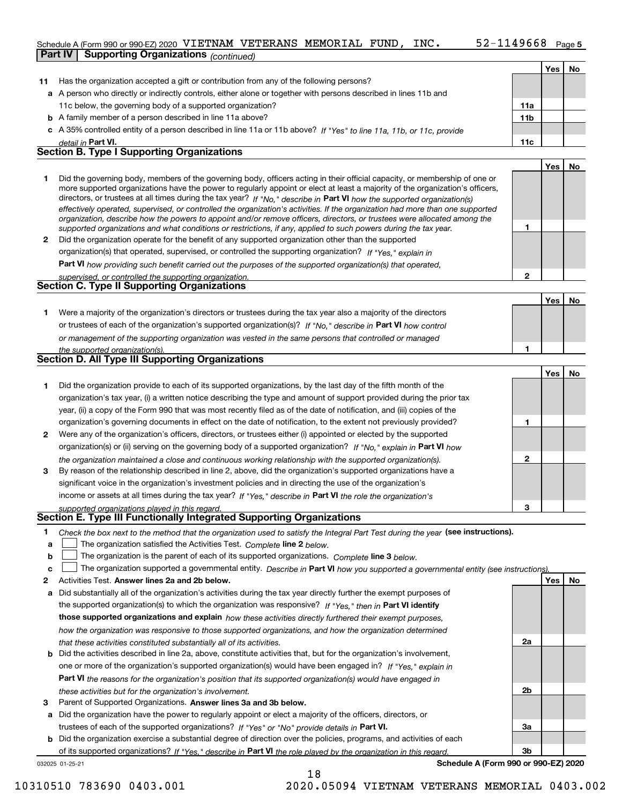### Schedule A (Form 990 or 990-EZ) 2020 <code>VIETNAM VETERANS MEMORIAL FUND, INC.  $52\text{--}1149668$  Page</code>

|    | <b>Part IV</b><br><b>Supporting Organizations</b> (continued)                                                                                                                                                                                             |                 |     |    |
|----|-----------------------------------------------------------------------------------------------------------------------------------------------------------------------------------------------------------------------------------------------------------|-----------------|-----|----|
|    |                                                                                                                                                                                                                                                           |                 | Yes | No |
| 11 | Has the organization accepted a gift or contribution from any of the following persons?                                                                                                                                                                   |                 |     |    |
|    | a A person who directly or indirectly controls, either alone or together with persons described in lines 11b and                                                                                                                                          |                 |     |    |
|    | 11c below, the governing body of a supported organization?                                                                                                                                                                                                | 11a             |     |    |
|    | <b>b</b> A family member of a person described in line 11a above?                                                                                                                                                                                         | 11 <sub>b</sub> |     |    |
|    | c A 35% controlled entity of a person described in line 11a or 11b above? If "Yes" to line 11a, 11b, or 11c, provide                                                                                                                                      |                 |     |    |
|    | detail in Part VI.                                                                                                                                                                                                                                        | 11c             |     |    |
|    | <b>Section B. Type I Supporting Organizations</b>                                                                                                                                                                                                         |                 |     |    |
|    |                                                                                                                                                                                                                                                           |                 | Yes | No |
| 1  | Did the governing body, members of the governing body, officers acting in their official capacity, or membership of one or                                                                                                                                |                 |     |    |
|    | more supported organizations have the power to regularly appoint or elect at least a majority of the organization's officers,                                                                                                                             |                 |     |    |
|    | directors, or trustees at all times during the tax year? If "No," describe in Part VI how the supported organization(s)<br>effectively operated, supervised, or controlled the organization's activities. If the organization had more than one supported |                 |     |    |
|    | organization, describe how the powers to appoint and/or remove officers, directors, or trustees were allocated among the                                                                                                                                  |                 |     |    |
|    | supported organizations and what conditions or restrictions, if any, applied to such powers during the tax year.                                                                                                                                          | 1               |     |    |
| 2  | Did the organization operate for the benefit of any supported organization other than the supported                                                                                                                                                       |                 |     |    |
|    | organization(s) that operated, supervised, or controlled the supporting organization? If "Yes," explain in                                                                                                                                                |                 |     |    |
|    | Part VI how providing such benefit carried out the purposes of the supported organization(s) that operated,                                                                                                                                               |                 |     |    |
|    | supervised, or controlled the supporting organization.                                                                                                                                                                                                    | $\mathbf{2}$    |     |    |
|    | <b>Section C. Type II Supporting Organizations</b>                                                                                                                                                                                                        |                 |     |    |
|    |                                                                                                                                                                                                                                                           |                 | Yes | No |
| 1. | Were a majority of the organization's directors or trustees during the tax year also a majority of the directors                                                                                                                                          |                 |     |    |
|    | or trustees of each of the organization's supported organization(s)? If "No." describe in Part VI how control                                                                                                                                             |                 |     |    |
|    | or management of the supporting organization was vested in the same persons that controlled or managed                                                                                                                                                    |                 |     |    |
|    | the supported organization(s).<br>Section D. All Type III Supporting Organizations                                                                                                                                                                        | 1               |     |    |
|    |                                                                                                                                                                                                                                                           |                 |     |    |
|    |                                                                                                                                                                                                                                                           |                 | Yes | No |
| 1  | Did the organization provide to each of its supported organizations, by the last day of the fifth month of the                                                                                                                                            |                 |     |    |
|    | organization's tax year, (i) a written notice describing the type and amount of support provided during the prior tax                                                                                                                                     |                 |     |    |
|    | year, (ii) a copy of the Form 990 that was most recently filed as of the date of notification, and (iii) copies of the                                                                                                                                    |                 |     |    |
|    | organization's governing documents in effect on the date of notification, to the extent not previously provided?                                                                                                                                          | 1               |     |    |
| 2  | Were any of the organization's officers, directors, or trustees either (i) appointed or elected by the supported                                                                                                                                          |                 |     |    |
|    | organization(s) or (ii) serving on the governing body of a supported organization? If "No," explain in Part VI how                                                                                                                                        |                 |     |    |
|    | the organization maintained a close and continuous working relationship with the supported organization(s).                                                                                                                                               | $\mathbf{2}$    |     |    |
| З  | By reason of the relationship described in line 2, above, did the organization's supported organizations have a                                                                                                                                           |                 |     |    |
|    | significant voice in the organization's investment policies and in directing the use of the organization's                                                                                                                                                |                 |     |    |
|    | income or assets at all times during the tax year? If "Yes," describe in Part VI the role the organization's                                                                                                                                              | 3               |     |    |
|    | supported organizations played in this regard.<br>Section E. Type III Functionally Integrated Supporting Organizations                                                                                                                                    |                 |     |    |
| 1  | Check the box next to the method that the organization used to satisfy the Integral Part Test during the year (see instructions).                                                                                                                         |                 |     |    |
| a  | The organization satisfied the Activities Test. Complete line 2 below.                                                                                                                                                                                    |                 |     |    |
| b  | The organization is the parent of each of its supported organizations. Complete line 3 below.                                                                                                                                                             |                 |     |    |
| c  | The organization supported a governmental entity. Describe in Part VI how you supported a governmental entity (see instructions).                                                                                                                         |                 |     |    |
| 2  | Activities Test. Answer lines 2a and 2b below.                                                                                                                                                                                                            |                 | Yes | No |
| a  | Did substantially all of the organization's activities during the tax year directly further the exempt purposes of                                                                                                                                        |                 |     |    |
|    | the supported organization(s) to which the organization was responsive? If "Yes," then in Part VI identify                                                                                                                                                |                 |     |    |
|    | those supported organizations and explain how these activities directly furthered their exempt purposes,                                                                                                                                                  |                 |     |    |
|    | how the organization was responsive to those supported organizations, and how the organization determined                                                                                                                                                 |                 |     |    |
|    |                                                                                                                                                                                                                                                           |                 |     |    |

- *that these activities constituted substantially all of its activities.*
- **b** Did the activities described in line 2a, above, constitute activities that, but for the organization's involvement, **Part VI**  *the reasons for the organization's position that its supported organization(s) would have engaged in* one or more of the organization's supported organization(s) would have been engaged in? If "Yes," e*xplain in these activities but for the organization's involvement.*
- **3** Parent of Supported Organizations. Answer lines 3a and 3b below.

**a** Did the organization have the power to regularly appoint or elect a majority of the officers, directors, or trustees of each of the supported organizations? If "Yes" or "No" provide details in **Part VI.** 

032025 01-25-21 **b** Did the organization exercise a substantial degree of direction over the policies, programs, and activities of each of its supported organizations? If "Yes," describe in Part VI the role played by the organization in this regard.

**Schedule A (Form 990 or 990-EZ) 2020**

**2a**

**2b**

**3a**

**3b**

10310510 783690 0403.001 2020.05094 VIETNAM VETERANS MEMORIAL 0403.002

18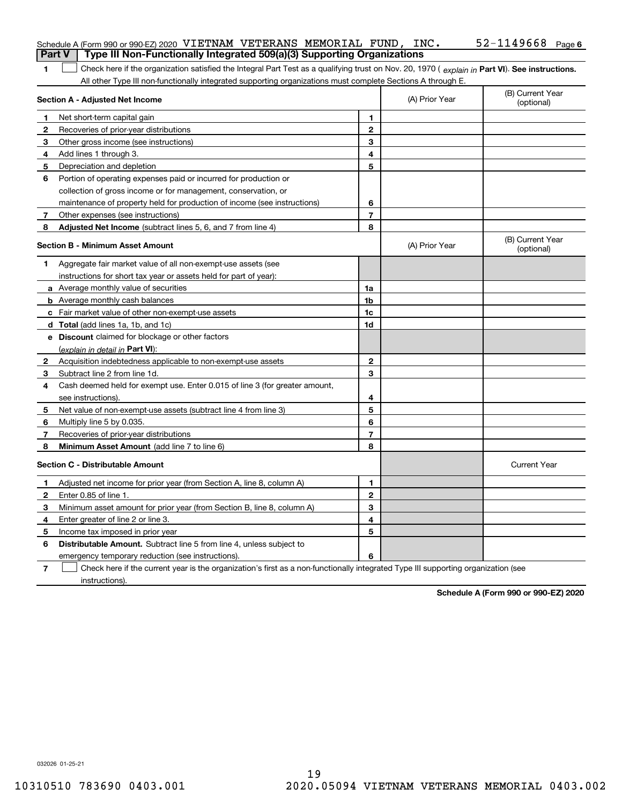|               | Schedule A (Form 990 or 990-EZ) 2020 VIETNAM VETERANS MEMORIAL FUND, $INC$ .<br>Type III Non-Functionally Integrated 509(a)(3) Supporting Organizations                                                                                                       |                |                | $52 - 1149668$ Page 6          |
|---------------|---------------------------------------------------------------------------------------------------------------------------------------------------------------------------------------------------------------------------------------------------------------|----------------|----------------|--------------------------------|
| <b>Part V</b> |                                                                                                                                                                                                                                                               |                |                |                                |
| 1             | Check here if the organization satisfied the Integral Part Test as a qualifying trust on Nov. 20, 1970 (explain in Part VI). See instructions.<br>All other Type III non-functionally integrated supporting organizations must complete Sections A through E. |                |                |                                |
|               | <b>Section A - Adjusted Net Income</b>                                                                                                                                                                                                                        |                | (A) Prior Year | (B) Current Year<br>(optional) |
| 1             | Net short-term capital gain                                                                                                                                                                                                                                   | 1.             |                |                                |
| 2             | Recoveries of prior-year distributions                                                                                                                                                                                                                        | $\mathbf{2}$   |                |                                |
| З             | Other gross income (see instructions)                                                                                                                                                                                                                         | 3              |                |                                |
| 4             | Add lines 1 through 3.                                                                                                                                                                                                                                        | 4              |                |                                |
| 5             | Depreciation and depletion                                                                                                                                                                                                                                    | 5              |                |                                |
| 6             | Portion of operating expenses paid or incurred for production or                                                                                                                                                                                              |                |                |                                |
|               | collection of gross income or for management, conservation, or                                                                                                                                                                                                |                |                |                                |
|               | maintenance of property held for production of income (see instructions)                                                                                                                                                                                      | 6              |                |                                |
| 7             | Other expenses (see instructions)                                                                                                                                                                                                                             | $\overline{7}$ |                |                                |
| 8             | Adjusted Net Income (subtract lines 5, 6, and 7 from line 4)                                                                                                                                                                                                  | 8              |                |                                |
|               | <b>Section B - Minimum Asset Amount</b>                                                                                                                                                                                                                       |                | (A) Prior Year | (B) Current Year<br>(optional) |
| 1             | Aggregate fair market value of all non-exempt-use assets (see                                                                                                                                                                                                 |                |                |                                |
|               | instructions for short tax year or assets held for part of year):                                                                                                                                                                                             |                |                |                                |
|               | <b>a</b> Average monthly value of securities                                                                                                                                                                                                                  | 1a             |                |                                |
|               | <b>b</b> Average monthly cash balances                                                                                                                                                                                                                        | 1 <sub>b</sub> |                |                                |
|               | c Fair market value of other non-exempt-use assets                                                                                                                                                                                                            | 1c             |                |                                |
|               | <b>d</b> Total (add lines 1a, 1b, and 1c)                                                                                                                                                                                                                     | 1d             |                |                                |
|               | <b>e</b> Discount claimed for blockage or other factors                                                                                                                                                                                                       |                |                |                                |
|               | (explain in detail in Part VI):                                                                                                                                                                                                                               |                |                |                                |
| 2             | Acquisition indebtedness applicable to non-exempt-use assets                                                                                                                                                                                                  | $\mathbf{2}$   |                |                                |
| З             | Subtract line 2 from line 1d.                                                                                                                                                                                                                                 | 3              |                |                                |
| 4             | Cash deemed held for exempt use. Enter 0.015 of line 3 (for greater amount,                                                                                                                                                                                   |                |                |                                |
|               | see instructions).                                                                                                                                                                                                                                            | 4              |                |                                |
| 5             | Net value of non-exempt-use assets (subtract line 4 from line 3)                                                                                                                                                                                              | 5              |                |                                |
| 6             | Multiply line 5 by 0.035.                                                                                                                                                                                                                                     | 6              |                |                                |
| 7             | Recoveries of prior-year distributions                                                                                                                                                                                                                        | $\overline{7}$ |                |                                |
| 8             | Minimum Asset Amount (add line 7 to line 6)                                                                                                                                                                                                                   | 8              |                |                                |
|               | <b>Section C - Distributable Amount</b>                                                                                                                                                                                                                       |                |                | <b>Current Year</b>            |
|               | Adjusted net income for prior year (from Section A, line 8, column A)                                                                                                                                                                                         | 1              |                |                                |
|               | Enter 0.85 of line 1.                                                                                                                                                                                                                                         | 2              |                |                                |
| 3             | Minimum asset amount for prior year (from Section B, line 8, column A)                                                                                                                                                                                        | 3              |                |                                |
| 4             | Enter greater of line 2 or line 3.                                                                                                                                                                                                                            | 4              |                |                                |
|               | 5 Income tax imposed in prior year                                                                                                                                                                                                                            | 5              |                |                                |
| 6             | <b>Distributable Amount.</b> Subtract line 5 from line 4, unless subject to                                                                                                                                                                                   |                |                |                                |
|               | emergency temporary reduction (see instructions).                                                                                                                                                                                                             | 6              |                |                                |
| 7             | Check here if the current year is the organization's first as a non-functionally integrated Type III supporting organization (see                                                                                                                             |                |                |                                |

**Schedule A (Form 990 or 990-EZ) 2020**

032026 01-25-21

instructions).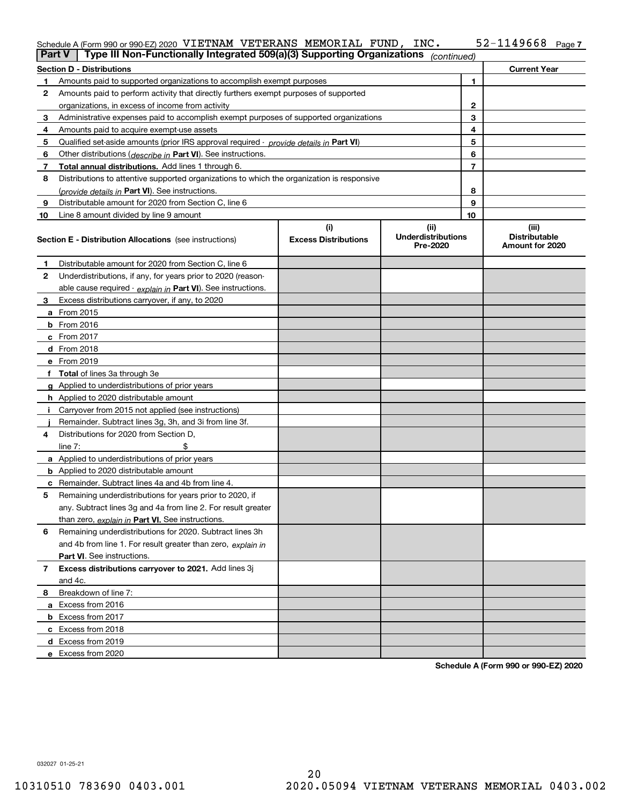#### **7** Schedule A (Form 990 or 990-EZ) 2020 <code>VIETNAM VETERANS MEMORIAL FUND, INC.  $52\text{--}1149668$  Page</code>

| <b>Part V</b> | Type III Non-Functionally Integrated 509(a)(3) Supporting Organizations                    |                             | (continued)                           |              |                                         |  |  |  |  |
|---------------|--------------------------------------------------------------------------------------------|-----------------------------|---------------------------------------|--------------|-----------------------------------------|--|--|--|--|
|               | <b>Section D - Distributions</b><br><b>Current Year</b>                                    |                             |                                       |              |                                         |  |  |  |  |
| 1             | Amounts paid to supported organizations to accomplish exempt purposes                      |                             |                                       | 1            |                                         |  |  |  |  |
| 2             | Amounts paid to perform activity that directly furthers exempt purposes of supported       |                             |                                       |              |                                         |  |  |  |  |
|               | organizations, in excess of income from activity                                           |                             |                                       | $\mathbf{2}$ |                                         |  |  |  |  |
| 3             | Administrative expenses paid to accomplish exempt purposes of supported organizations      |                             |                                       | 3            |                                         |  |  |  |  |
| 4             | Amounts paid to acquire exempt-use assets                                                  |                             |                                       | 4            |                                         |  |  |  |  |
| 5             | Qualified set-aside amounts (prior IRS approval required - provide details in Part VI)     |                             |                                       | 5            |                                         |  |  |  |  |
| 6             | Other distributions ( <i>describe in</i> Part VI). See instructions.                       |                             |                                       | 6            |                                         |  |  |  |  |
| 7             | Total annual distributions. Add lines 1 through 6.                                         |                             |                                       | 7            |                                         |  |  |  |  |
| 8             | Distributions to attentive supported organizations to which the organization is responsive |                             |                                       |              |                                         |  |  |  |  |
|               | (provide details in Part VI). See instructions.                                            |                             |                                       | 8            |                                         |  |  |  |  |
| 9             | Distributable amount for 2020 from Section C, line 6                                       |                             |                                       | 9            |                                         |  |  |  |  |
| 10            | Line 8 amount divided by line 9 amount                                                     |                             |                                       | 10           |                                         |  |  |  |  |
|               |                                                                                            | (i)                         | (ii)                                  |              | (iii)                                   |  |  |  |  |
|               | Section E - Distribution Allocations (see instructions)                                    | <b>Excess Distributions</b> | <b>Underdistributions</b><br>Pre-2020 |              | <b>Distributable</b><br>Amount for 2020 |  |  |  |  |
| 1             | Distributable amount for 2020 from Section C, line 6                                       |                             |                                       |              |                                         |  |  |  |  |
| 2             | Underdistributions, if any, for years prior to 2020 (reason-                               |                             |                                       |              |                                         |  |  |  |  |
|               | able cause required - explain in Part VI). See instructions.                               |                             |                                       |              |                                         |  |  |  |  |
| 3             | Excess distributions carryover, if any, to 2020                                            |                             |                                       |              |                                         |  |  |  |  |
|               | <b>a</b> From 2015                                                                         |                             |                                       |              |                                         |  |  |  |  |
|               | <b>b</b> From 2016                                                                         |                             |                                       |              |                                         |  |  |  |  |
|               | c From 2017                                                                                |                             |                                       |              |                                         |  |  |  |  |
|               | <b>d</b> From 2018                                                                         |                             |                                       |              |                                         |  |  |  |  |
|               | e From 2019                                                                                |                             |                                       |              |                                         |  |  |  |  |
|               | f Total of lines 3a through 3e                                                             |                             |                                       |              |                                         |  |  |  |  |
|               | g Applied to underdistributions of prior years                                             |                             |                                       |              |                                         |  |  |  |  |
|               | <b>h</b> Applied to 2020 distributable amount                                              |                             |                                       |              |                                         |  |  |  |  |
|               | Carryover from 2015 not applied (see instructions)                                         |                             |                                       |              |                                         |  |  |  |  |
|               | Remainder. Subtract lines 3g, 3h, and 3i from line 3f.                                     |                             |                                       |              |                                         |  |  |  |  |
| 4             | Distributions for 2020 from Section D,                                                     |                             |                                       |              |                                         |  |  |  |  |
|               | line $7:$                                                                                  |                             |                                       |              |                                         |  |  |  |  |
|               | a Applied to underdistributions of prior years                                             |                             |                                       |              |                                         |  |  |  |  |
|               | <b>b</b> Applied to 2020 distributable amount                                              |                             |                                       |              |                                         |  |  |  |  |
|               | c Remainder. Subtract lines 4a and 4b from line 4.                                         |                             |                                       |              |                                         |  |  |  |  |
| 5             | Remaining underdistributions for years prior to 2020, if                                   |                             |                                       |              |                                         |  |  |  |  |
|               | any. Subtract lines 3g and 4a from line 2. For result greater                              |                             |                                       |              |                                         |  |  |  |  |
|               | than zero, explain in Part VI. See instructions.                                           |                             |                                       |              |                                         |  |  |  |  |
| 6             | Remaining underdistributions for 2020. Subtract lines 3h                                   |                             |                                       |              |                                         |  |  |  |  |
|               | and 4b from line 1. For result greater than zero, explain in                               |                             |                                       |              |                                         |  |  |  |  |
|               | Part VI. See instructions.                                                                 |                             |                                       |              |                                         |  |  |  |  |
| 7             | Excess distributions carryover to 2021. Add lines 3j                                       |                             |                                       |              |                                         |  |  |  |  |
|               | and 4c.                                                                                    |                             |                                       |              |                                         |  |  |  |  |
| 8             | Breakdown of line 7:                                                                       |                             |                                       |              |                                         |  |  |  |  |
|               | a Excess from 2016                                                                         |                             |                                       |              |                                         |  |  |  |  |
|               | <b>b</b> Excess from 2017                                                                  |                             |                                       |              |                                         |  |  |  |  |
|               | c Excess from 2018                                                                         |                             |                                       |              |                                         |  |  |  |  |
|               | d Excess from 2019                                                                         |                             |                                       |              |                                         |  |  |  |  |
|               | e Excess from 2020                                                                         |                             |                                       |              |                                         |  |  |  |  |

**Schedule A (Form 990 or 990-EZ) 2020**

032027 01-25-21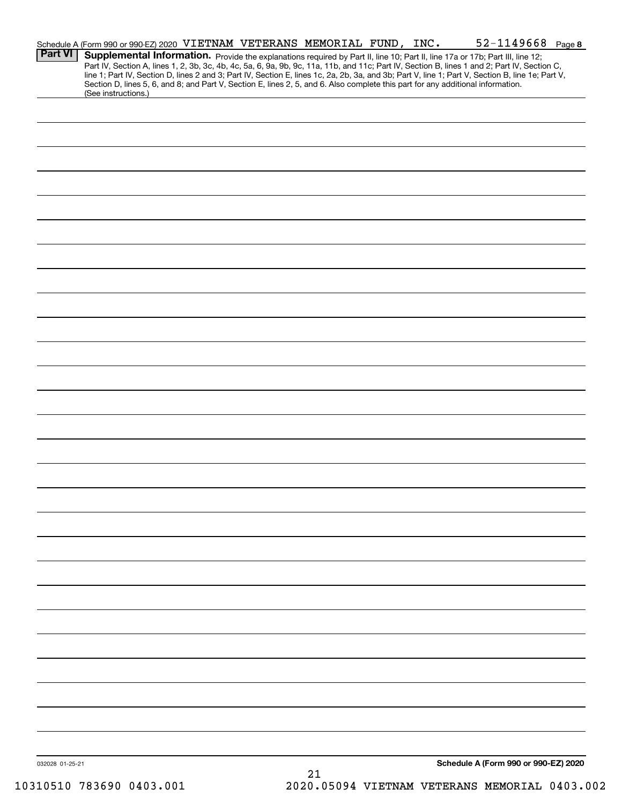|                 | Schedule A (Form 990 or 990-EZ) 2020 VIETNAM VETERANS MEMORIAL FUND, INC.                                                                                                                                                                                                                                  |  |  | $52 - 1149668$ Page 8                |  |
|-----------------|------------------------------------------------------------------------------------------------------------------------------------------------------------------------------------------------------------------------------------------------------------------------------------------------------------|--|--|--------------------------------------|--|
| <b>Part VI</b>  | Supplemental Information. Provide the explanations required by Part II, line 10; Part II, line 17a or 17b; Part III, line 12;<br>Part IV, Section A, lines 1, 2, 3b, 3c, 4b, 4c, 5a, 6, 9a, 9b, 9c, 11a, 11b, and 11c; Part IV, Section B, lines 1 and 2; Part IV, Section C,                              |  |  |                                      |  |
|                 | line 1; Part IV, Section D, lines 2 and 3; Part IV, Section E, lines 1c, 2a, 2b, 3a, and 3b; Part V, line 1; Part V, Section B, line 1e; Part V,<br>Section D, lines 5, 6, and 8; and Part V, Section E, lines 2, 5, and 6. Also complete this part for any additional information.<br>(See instructions.) |  |  |                                      |  |
|                 |                                                                                                                                                                                                                                                                                                            |  |  |                                      |  |
|                 |                                                                                                                                                                                                                                                                                                            |  |  |                                      |  |
|                 |                                                                                                                                                                                                                                                                                                            |  |  |                                      |  |
|                 |                                                                                                                                                                                                                                                                                                            |  |  |                                      |  |
|                 |                                                                                                                                                                                                                                                                                                            |  |  |                                      |  |
|                 |                                                                                                                                                                                                                                                                                                            |  |  |                                      |  |
|                 |                                                                                                                                                                                                                                                                                                            |  |  |                                      |  |
|                 |                                                                                                                                                                                                                                                                                                            |  |  |                                      |  |
|                 |                                                                                                                                                                                                                                                                                                            |  |  |                                      |  |
|                 |                                                                                                                                                                                                                                                                                                            |  |  |                                      |  |
|                 |                                                                                                                                                                                                                                                                                                            |  |  |                                      |  |
|                 |                                                                                                                                                                                                                                                                                                            |  |  |                                      |  |
|                 |                                                                                                                                                                                                                                                                                                            |  |  |                                      |  |
|                 |                                                                                                                                                                                                                                                                                                            |  |  |                                      |  |
|                 |                                                                                                                                                                                                                                                                                                            |  |  |                                      |  |
|                 |                                                                                                                                                                                                                                                                                                            |  |  |                                      |  |
|                 |                                                                                                                                                                                                                                                                                                            |  |  |                                      |  |
|                 |                                                                                                                                                                                                                                                                                                            |  |  |                                      |  |
|                 |                                                                                                                                                                                                                                                                                                            |  |  |                                      |  |
|                 |                                                                                                                                                                                                                                                                                                            |  |  |                                      |  |
|                 |                                                                                                                                                                                                                                                                                                            |  |  |                                      |  |
|                 |                                                                                                                                                                                                                                                                                                            |  |  |                                      |  |
|                 |                                                                                                                                                                                                                                                                                                            |  |  |                                      |  |
|                 |                                                                                                                                                                                                                                                                                                            |  |  |                                      |  |
|                 |                                                                                                                                                                                                                                                                                                            |  |  |                                      |  |
|                 |                                                                                                                                                                                                                                                                                                            |  |  |                                      |  |
|                 |                                                                                                                                                                                                                                                                                                            |  |  |                                      |  |
|                 |                                                                                                                                                                                                                                                                                                            |  |  |                                      |  |
|                 |                                                                                                                                                                                                                                                                                                            |  |  |                                      |  |
| 032028 01-25-21 |                                                                                                                                                                                                                                                                                                            |  |  | Schedule A (Form 990 or 990-EZ) 2020 |  |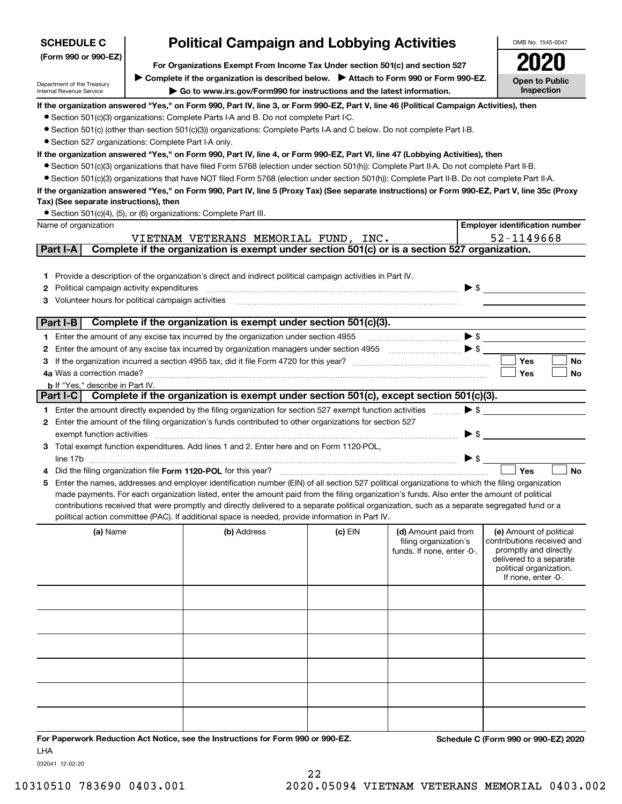| <b>SCHEDULE C</b>                                      | <b>Political Campaign and Lobbying Activities</b> |                                                                                                                                                                                                                                                                                                |           |                                                                             |                          | OMB No. 1545-0047                                                                                                                                           |
|--------------------------------------------------------|---------------------------------------------------|------------------------------------------------------------------------------------------------------------------------------------------------------------------------------------------------------------------------------------------------------------------------------------------------|-----------|-----------------------------------------------------------------------------|--------------------------|-------------------------------------------------------------------------------------------------------------------------------------------------------------|
| (Form 990 or 990-EZ)                                   |                                                   |                                                                                                                                                                                                                                                                                                |           |                                                                             |                          |                                                                                                                                                             |
|                                                        |                                                   | For Organizations Exempt From Income Tax Under section 501(c) and section 527<br>▶ Complete if the organization is described below. ▶ Attach to Form 990 or Form 990-EZ.                                                                                                                       |           |                                                                             |                          |                                                                                                                                                             |
| Department of the Treasury<br>Internal Revenue Service | <b>Open to Public</b><br>Inspection               |                                                                                                                                                                                                                                                                                                |           |                                                                             |                          |                                                                                                                                                             |
|                                                        |                                                   | If the organization answered "Yes," on Form 990, Part IV, line 3, or Form 990-EZ, Part V, line 46 (Political Campaign Activities), then                                                                                                                                                        |           |                                                                             |                          |                                                                                                                                                             |
|                                                        |                                                   | • Section 501(c)(3) organizations: Complete Parts I-A and B. Do not complete Part I-C.                                                                                                                                                                                                         |           |                                                                             |                          |                                                                                                                                                             |
|                                                        |                                                   | ● Section 501(c) (other than section 501(c)(3)) organizations: Complete Parts I-A and C below. Do not complete Part I-B.                                                                                                                                                                       |           |                                                                             |                          |                                                                                                                                                             |
| • Section 527 organizations: Complete Part I-A only.   |                                                   |                                                                                                                                                                                                                                                                                                |           |                                                                             |                          |                                                                                                                                                             |
|                                                        |                                                   | If the organization answered "Yes," on Form 990, Part IV, line 4, or Form 990-EZ, Part VI, line 47 (Lobbying Activities), then<br>• Section 501(c)(3) organizations that have filed Form 5768 (election under section 501(h)): Complete Part II-A. Do not complete Part II-B.                  |           |                                                                             |                          |                                                                                                                                                             |
|                                                        |                                                   | • Section 501(c)(3) organizations that have NOT filed Form 5768 (election under section 501(h)): Complete Part II-B. Do not complete Part II-A.                                                                                                                                                |           |                                                                             |                          |                                                                                                                                                             |
|                                                        |                                                   | If the organization answered "Yes," on Form 990, Part IV, line 5 (Proxy Tax) (See separate instructions) or Form 990-EZ, Part V, line 35c (Proxy                                                                                                                                               |           |                                                                             |                          |                                                                                                                                                             |
| Tax) (See separate instructions), then                 |                                                   |                                                                                                                                                                                                                                                                                                |           |                                                                             |                          |                                                                                                                                                             |
|                                                        |                                                   | • Section 501(c)(4), (5), or (6) organizations: Complete Part III.                                                                                                                                                                                                                             |           |                                                                             |                          |                                                                                                                                                             |
| Name of organization                                   |                                                   |                                                                                                                                                                                                                                                                                                |           |                                                                             |                          | <b>Employer identification number</b>                                                                                                                       |
|                                                        |                                                   | VIETNAM VETERANS MEMORIAL FUND, INC.                                                                                                                                                                                                                                                           |           |                                                                             |                          | 52-1149668                                                                                                                                                  |
| Part I-A                                               |                                                   | Complete if the organization is exempt under section 501(c) or is a section 527 organization.                                                                                                                                                                                                  |           |                                                                             |                          |                                                                                                                                                             |
|                                                        |                                                   |                                                                                                                                                                                                                                                                                                |           |                                                                             |                          |                                                                                                                                                             |
|                                                        |                                                   | 1 Provide a description of the organization's direct and indirect political campaign activities in Part IV.                                                                                                                                                                                    |           |                                                                             |                          |                                                                                                                                                             |
| Political campaign activity expenditures<br>2          |                                                   |                                                                                                                                                                                                                                                                                                |           |                                                                             | $\triangleright$ \$      |                                                                                                                                                             |
| Volunteer hours for political campaign activities<br>3 |                                                   |                                                                                                                                                                                                                                                                                                |           |                                                                             |                          |                                                                                                                                                             |
| Part I-B                                               |                                                   | Complete if the organization is exempt under section 501(c)(3).                                                                                                                                                                                                                                |           |                                                                             |                          |                                                                                                                                                             |
|                                                        |                                                   | 1 Enter the amount of any excise tax incurred by the organization under section 4955                                                                                                                                                                                                           |           |                                                                             | $\blacktriangleright$ \$ |                                                                                                                                                             |
| 2                                                      |                                                   | Enter the amount of any excise tax incurred by organization managers under section 4955                                                                                                                                                                                                        |           | $\overline{\phantom{a}}$                                                    |                          |                                                                                                                                                             |
| З                                                      |                                                   | If the organization incurred a section 4955 tax, did it file Form 4720 for this year?                                                                                                                                                                                                          |           |                                                                             |                          | Yes<br>No                                                                                                                                                   |
| 4a Was a correction made?                              |                                                   |                                                                                                                                                                                                                                                                                                |           |                                                                             |                          | Yes<br>No                                                                                                                                                   |
| <b>b</b> If "Yes," describe in Part IV.                |                                                   |                                                                                                                                                                                                                                                                                                |           |                                                                             |                          |                                                                                                                                                             |
| Part I-C                                               |                                                   | Complete if the organization is exempt under section 501(c), except section 501(c)(3).                                                                                                                                                                                                         |           |                                                                             |                          |                                                                                                                                                             |
|                                                        |                                                   | 1 Enter the amount directly expended by the filing organization for section 527 exempt function activities                                                                                                                                                                                     |           |                                                                             | $\blacktriangleright$ \$ |                                                                                                                                                             |
|                                                        |                                                   | 2 Enter the amount of the filing organization's funds contributed to other organizations for section 527                                                                                                                                                                                       |           |                                                                             |                          |                                                                                                                                                             |
| exempt function activities                             |                                                   |                                                                                                                                                                                                                                                                                                |           |                                                                             | $\blacktriangleright$ \$ |                                                                                                                                                             |
|                                                        |                                                   | 3 Total exempt function expenditures. Add lines 1 and 2. Enter here and on Form 1120-POL,                                                                                                                                                                                                      |           |                                                                             |                          |                                                                                                                                                             |
| line 17b                                               |                                                   |                                                                                                                                                                                                                                                                                                |           |                                                                             | $\blacktriangleright$ \$ |                                                                                                                                                             |
|                                                        |                                                   | Did the filing organization file Form 1120-POL for this year?                                                                                                                                                                                                                                  |           |                                                                             |                          | Yes<br><b>No</b>                                                                                                                                            |
| 5.                                                     |                                                   | Enter the names, addresses and employer identification number (EIN) of all section 527 political organizations to which the filing organization<br>made payments. For each organization listed, enter the amount paid from the filing organization's funds. Also enter the amount of political |           |                                                                             |                          |                                                                                                                                                             |
|                                                        |                                                   | contributions received that were promptly and directly delivered to a separate political organization, such as a separate segregated fund or a                                                                                                                                                 |           |                                                                             |                          |                                                                                                                                                             |
|                                                        |                                                   | political action committee (PAC). If additional space is needed, provide information in Part IV.                                                                                                                                                                                               |           |                                                                             |                          |                                                                                                                                                             |
| (a) Name                                               |                                                   | (b) Address                                                                                                                                                                                                                                                                                    | $(c)$ EIN | (d) Amount paid from<br>filing organization's<br>funds. If none, enter -0-. |                          | (e) Amount of political<br>contributions received and<br>promptly and directly<br>delivered to a separate<br>political organization.<br>If none, enter -0-. |
|                                                        |                                                   |                                                                                                                                                                                                                                                                                                |           |                                                                             |                          |                                                                                                                                                             |
|                                                        |                                                   |                                                                                                                                                                                                                                                                                                |           |                                                                             |                          |                                                                                                                                                             |
|                                                        |                                                   |                                                                                                                                                                                                                                                                                                |           |                                                                             |                          |                                                                                                                                                             |
|                                                        |                                                   |                                                                                                                                                                                                                                                                                                |           |                                                                             |                          |                                                                                                                                                             |
|                                                        |                                                   |                                                                                                                                                                                                                                                                                                |           |                                                                             |                          |                                                                                                                                                             |
|                                                        |                                                   |                                                                                                                                                                                                                                                                                                |           |                                                                             |                          |                                                                                                                                                             |
|                                                        |                                                   |                                                                                                                                                                                                                                                                                                |           |                                                                             |                          |                                                                                                                                                             |
|                                                        |                                                   |                                                                                                                                                                                                                                                                                                |           |                                                                             |                          |                                                                                                                                                             |
|                                                        |                                                   |                                                                                                                                                                                                                                                                                                |           |                                                                             |                          |                                                                                                                                                             |
|                                                        |                                                   |                                                                                                                                                                                                                                                                                                |           |                                                                             |                          |                                                                                                                                                             |
|                                                        |                                                   |                                                                                                                                                                                                                                                                                                |           |                                                                             |                          |                                                                                                                                                             |
|                                                        |                                                   | For Paperwork Reduction Act Notice, see the Instructions for Form 990 or 990-F7                                                                                                                                                                                                                |           |                                                                             |                          | Schedule C (Form 990 or 990-F7) 2020                                                                                                                        |

**For Paperwork Reduction Act Notice, see the Instructions for Form 990 or 990-EZ. Schedule C (Form 990 or 990-EZ) 2020** LHA

032041 12-02-20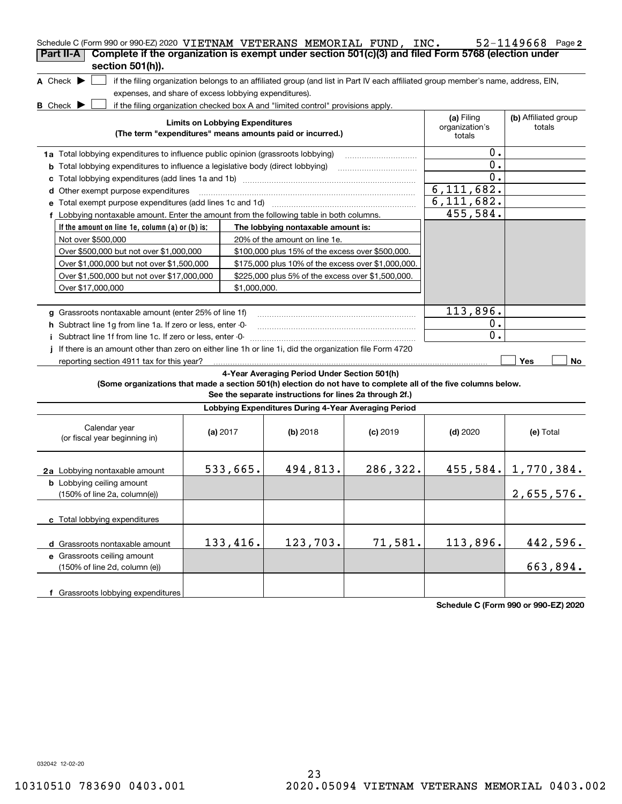| Schedule C (Form 990 or 990-EZ) 2020 VIETNAM VETERANS MEMORIAL FUND, INC.<br>Part II-A                                 |                                                                                                                                   |                                                                                  |            |                              | $52 - 1149668$ Page 2          |  |  |  |
|------------------------------------------------------------------------------------------------------------------------|-----------------------------------------------------------------------------------------------------------------------------------|----------------------------------------------------------------------------------|------------|------------------------------|--------------------------------|--|--|--|
| Complete if the organization is exempt under section 501(c)(3) and filed Form 5768 (election under<br>section 501(h)). |                                                                                                                                   |                                                                                  |            |                              |                                |  |  |  |
| A Check $\blacktriangleright$                                                                                          | if the filing organization belongs to an affiliated group (and list in Part IV each affiliated group member's name, address, EIN, |                                                                                  |            |                              |                                |  |  |  |
| expenses, and share of excess lobbying expenditures).                                                                  |                                                                                                                                   |                                                                                  |            |                              |                                |  |  |  |
| <b>B</b> Check $\blacktriangleright$                                                                                   |                                                                                                                                   | if the filing organization checked box A and "limited control" provisions apply. |            |                              |                                |  |  |  |
|                                                                                                                        | <b>Limits on Lobbying Expenditures</b>                                                                                            |                                                                                  |            | (a) Filing<br>organization's | (b) Affiliated group<br>totals |  |  |  |
|                                                                                                                        |                                                                                                                                   | (The term "expenditures" means amounts paid or incurred.)                        |            | totals                       |                                |  |  |  |
| 1a Total lobbying expenditures to influence public opinion (grassroots lobbying)                                       |                                                                                                                                   |                                                                                  |            | 0.                           |                                |  |  |  |
| <b>b</b> Total lobbying expenditures to influence a legislative body (direct lobbying)                                 |                                                                                                                                   |                                                                                  |            | $\mathbf 0$ .                |                                |  |  |  |
| c                                                                                                                      |                                                                                                                                   |                                                                                  |            | 0.                           |                                |  |  |  |
| d Other exempt purpose expenditures                                                                                    |                                                                                                                                   |                                                                                  |            | 6, 111, 682.                 |                                |  |  |  |
| e Total exempt purpose expenditures (add lines 1c and 1d)                                                              |                                                                                                                                   |                                                                                  |            | $\overline{6,111},682.$      |                                |  |  |  |
| f Lobbying nontaxable amount. Enter the amount from the following table in both columns.                               |                                                                                                                                   |                                                                                  |            | 455,584.                     |                                |  |  |  |
| If the amount on line 1e, column $(a)$ or $(b)$ is:                                                                    |                                                                                                                                   | The lobbying nontaxable amount is:                                               |            |                              |                                |  |  |  |
| Not over \$500,000                                                                                                     |                                                                                                                                   | 20% of the amount on line 1e.                                                    |            |                              |                                |  |  |  |
| Over \$500,000 but not over \$1,000,000                                                                                |                                                                                                                                   | \$100,000 plus 15% of the excess over \$500,000.                                 |            |                              |                                |  |  |  |
| Over \$1,000,000 but not over \$1,500,000                                                                              |                                                                                                                                   | \$175,000 plus 10% of the excess over \$1,000,000.                               |            |                              |                                |  |  |  |
| Over \$1,500,000 but not over \$17,000,000                                                                             |                                                                                                                                   | \$225,000 plus 5% of the excess over \$1,500,000.                                |            |                              |                                |  |  |  |
| Over \$17,000,000                                                                                                      | \$1,000,000.                                                                                                                      |                                                                                  |            |                              |                                |  |  |  |
|                                                                                                                        |                                                                                                                                   |                                                                                  |            |                              |                                |  |  |  |
| g Grassroots nontaxable amount (enter 25% of line 1f)                                                                  |                                                                                                                                   | 113,896.                                                                         |            |                              |                                |  |  |  |
| h Subtract line 1g from line 1a. If zero or less, enter -0-                                                            |                                                                                                                                   | о.                                                                               |            |                              |                                |  |  |  |
| i Subtract line 1f from line 1c. If zero or less, enter -0-                                                            |                                                                                                                                   |                                                                                  |            | О.                           |                                |  |  |  |
| If there is an amount other than zero on either line 1h or line 1i, did the organization file Form 4720                |                                                                                                                                   |                                                                                  |            |                              |                                |  |  |  |
| reporting section 4911 tax for this year?                                                                              |                                                                                                                                   |                                                                                  |            |                              | Yes<br>No                      |  |  |  |
|                                                                                                                        |                                                                                                                                   | 4-Year Averaging Period Under Section 501(h)                                     |            |                              |                                |  |  |  |
| (Some organizations that made a section 501(h) election do not have to complete all of the five columns below.         |                                                                                                                                   | See the separate instructions for lines 2a through 2f.)                          |            |                              |                                |  |  |  |
|                                                                                                                        |                                                                                                                                   | Lobbying Expenditures During 4-Year Averaging Period                             |            |                              |                                |  |  |  |
| Calendar year<br>(or fiscal year beginning in)                                                                         | (a) 2017                                                                                                                          | $(b)$ 2018                                                                       | $(c)$ 2019 | $(d)$ 2020                   | (e) Total                      |  |  |  |
| 2a Lobbying nontaxable amount                                                                                          | 533,665.                                                                                                                          | 494,813.                                                                         | 286,322.   |                              | $455, 584.$ 1, 770, 384.       |  |  |  |
| <b>b</b> Lobbying ceiling amount<br>(150% of line 2a, column(e))                                                       |                                                                                                                                   |                                                                                  |            |                              | 2,655,576.                     |  |  |  |
| c Total lobbying expenditures                                                                                          |                                                                                                                                   |                                                                                  |            |                              |                                |  |  |  |
| d Grassroots nontaxable amount                                                                                         | 133,416.                                                                                                                          | 123,703.                                                                         | 71,581.    | 113,896.                     | 442,596.                       |  |  |  |
| e Grassroots ceiling amount                                                                                            |                                                                                                                                   |                                                                                  |            |                              |                                |  |  |  |
| (150% of line 2d, column (e))                                                                                          |                                                                                                                                   |                                                                                  |            |                              | 663,894.                       |  |  |  |
| f Grassroots lobbying expenditures                                                                                     |                                                                                                                                   |                                                                                  |            |                              |                                |  |  |  |

**Schedule C (Form 990 or 990-EZ) 2020**

032042 12-02-20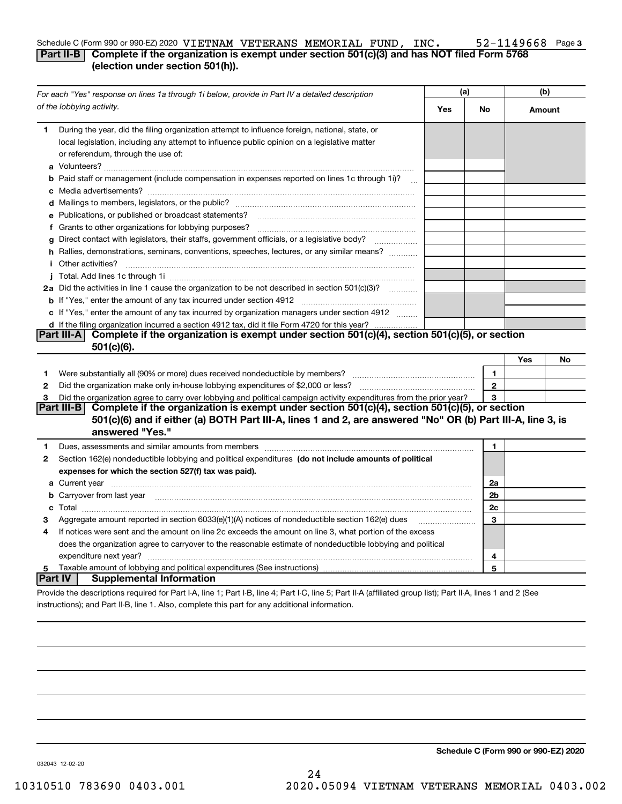#### **3** Schedule C (Form 990 or 990-EZ) 2020 Page VIETNAM VETERANS MEMORIAL FUND, INC. 52-1149668

#### **Part II-B** Complete if the organization is exempt under section 501(c)(3) and has NOT filed Form 5768 **(election under section 501(h)).**

|         | For each "Yes" response on lines 1a through 1i below, provide in Part IV a detailed description                                                                                                                                      |     |                | (b)    |    |
|---------|--------------------------------------------------------------------------------------------------------------------------------------------------------------------------------------------------------------------------------------|-----|----------------|--------|----|
|         | of the lobbying activity.                                                                                                                                                                                                            | Yes | No             | Amount |    |
| 1       | During the year, did the filing organization attempt to influence foreign, national, state, or<br>local legislation, including any attempt to influence public opinion on a legislative matter<br>or referendum, through the use of: |     |                |        |    |
|         | <b>b</b> Paid staff or management (include compensation in expenses reported on lines 1c through 1i)?                                                                                                                                |     |                |        |    |
|         |                                                                                                                                                                                                                                      |     |                |        |    |
|         | e Publications, or published or broadcast statements?                                                                                                                                                                                |     |                |        |    |
|         | f Grants to other organizations for lobbying purposes?                                                                                                                                                                               |     |                |        |    |
| q       | Direct contact with legislators, their staffs, government officials, or a legislative body?<br>.                                                                                                                                     |     |                |        |    |
|         | h Rallies, demonstrations, seminars, conventions, speeches, lectures, or any similar means?                                                                                                                                          |     |                |        |    |
|         | <i>i</i> Other activities?                                                                                                                                                                                                           |     |                |        |    |
|         |                                                                                                                                                                                                                                      |     |                |        |    |
|         | 2a Did the activities in line 1 cause the organization to be not described in section 501(c)(3)?                                                                                                                                     |     |                |        |    |
|         |                                                                                                                                                                                                                                      |     |                |        |    |
|         | c If "Yes," enter the amount of any tax incurred by organization managers under section 4912                                                                                                                                         |     |                |        |    |
|         | d If the filing organization incurred a section 4912 tax, did it file Form 4720 for this year?                                                                                                                                       |     |                |        |    |
|         | Complete if the organization is exempt under section 501(c)(4), section 501(c)(5), or section<br> Part III-A  <br>$501(c)(6)$ .                                                                                                      |     |                |        |    |
|         |                                                                                                                                                                                                                                      |     |                | Yes    | No |
| 1       |                                                                                                                                                                                                                                      |     | $\mathbf{1}$   |        |    |
| 2       | Did the organization make only in house lobbying expenditures of \$2,000 or less?                                                                                                                                                    |     | $\mathbf 2$    |        |    |
| 3       | Did the organization agree to carry over lobbying and political campaign activity expenditures from the prior year?                                                                                                                  |     | 3              |        |    |
|         | Complete if the organization is exempt under section 501(c)(4), section 501(c)(5), or section<br><b>Part III-B</b>                                                                                                                   |     |                |        |    |
|         | 501(c)(6) and if either (a) BOTH Part III-A, lines 1 and 2, are answered "No" OR (b) Part III-A, line 3, is<br>answered "Yes."                                                                                                       |     |                |        |    |
| 1       | Dues, assessments and similar amounts from members [111] matter continuum matter and similar amounts and similar amounts from members [11] matter continuum matter and similar amounts from members [11] matter and similar an       |     | $\mathbf{1}$   |        |    |
| 2       | Section 162(e) nondeductible lobbying and political expenditures (do not include amounts of political                                                                                                                                |     |                |        |    |
|         | expenses for which the section 527(f) tax was paid).                                                                                                                                                                                 |     |                |        |    |
|         | <b>a</b> Current year                                                                                                                                                                                                                |     | 2a             |        |    |
|         | b Carryover from last year manufactured and contain a series of the contract of the contract of the contract of the contract of the contract of the contract of the contract of the contract of the contract of the contract o       |     | 2 <sub>b</sub> |        |    |
|         |                                                                                                                                                                                                                                      |     | 2c             |        |    |
| З       | Aggregate amount reported in section 6033(e)(1)(A) notices of nondeductible section 162(e) dues                                                                                                                                      |     | 3              |        |    |
| 4       | If notices were sent and the amount on line 2c exceeds the amount on line 3, what portion of the excess                                                                                                                              |     |                |        |    |
|         | does the organization agree to carryover to the reasonable estimate of nondeductible lobbying and political                                                                                                                          |     |                |        |    |
|         | expenditure next year?                                                                                                                                                                                                               |     | 4              |        |    |
| 5       |                                                                                                                                                                                                                                      |     | 5              |        |    |
| Part IV | <b>Supplemental Information</b>                                                                                                                                                                                                      |     |                |        |    |
|         | Provide the descriptions required for Part I-A, line 1; Part I-B, line 4; Part I-C, line 5; Part II-A (affiliated group list); Part II-A, lines 1 and 2 (See                                                                         |     |                |        |    |

instructions); and Part II-B, line 1. Also, complete this part for any additional information.

**Schedule C (Form 990 or 990-EZ) 2020**

032043 12-02-20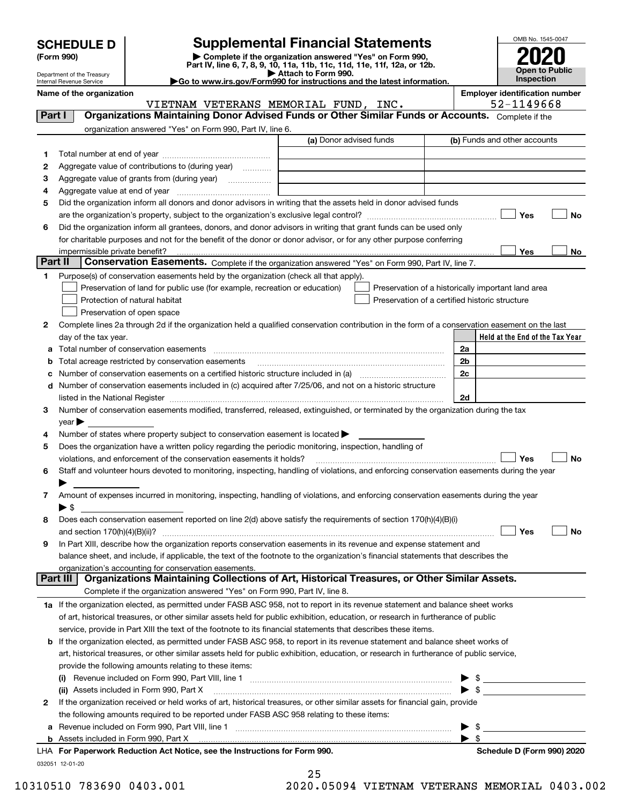| <b>SCHEDULE D</b> |  |
|-------------------|--|
|-------------------|--|

| (Form 990) |  |
|------------|--|
|------------|--|

## **Supplemental Financial Statements**

(Form 990)<br>
Pepartment of the Treasury<br>
Department of the Treasury<br>
Department of the Treasury<br>
Department of the Treasury<br> **Co to www.irs.gov/Form990 for instructions and the latest information.**<br> **Co to www.irs.gov/Form9** 



Department of the Treasury Internal Revenue Service

**Name of the organization Employer identification number**

VIETNAM VETERANS MEMORIAL FUND, INC.  $\vert$  52-1149668

| Part I       | <b>Organizations Maintaining Donor Advised Funds or Other Similar Funds or Accounts.</b> Complete if the                                       |                         |                                                    |
|--------------|------------------------------------------------------------------------------------------------------------------------------------------------|-------------------------|----------------------------------------------------|
|              | organization answered "Yes" on Form 990, Part IV, line 6.                                                                                      |                         |                                                    |
|              |                                                                                                                                                | (a) Donor advised funds | (b) Funds and other accounts                       |
| 1.           |                                                                                                                                                |                         |                                                    |
| 2            | Aggregate value of contributions to (during year)                                                                                              |                         |                                                    |
| з            | Aggregate value of grants from (during year)                                                                                                   |                         |                                                    |
| 4            |                                                                                                                                                |                         |                                                    |
| 5            | Did the organization inform all donors and donor advisors in writing that the assets held in donor advised funds                               |                         |                                                    |
|              |                                                                                                                                                |                         | Yes<br>No                                          |
| 6            | Did the organization inform all grantees, donors, and donor advisors in writing that grant funds can be used only                              |                         |                                                    |
|              | for charitable purposes and not for the benefit of the donor or donor advisor, or for any other purpose conferring                             |                         |                                                    |
| Part II      | impermissible private benefit?                                                                                                                 |                         | Yes<br>No                                          |
|              | Conservation Easements. Complete if the organization answered "Yes" on Form 990, Part IV, line 7.                                              |                         |                                                    |
| 1            | Purpose(s) of conservation easements held by the organization (check all that apply).                                                          |                         |                                                    |
|              | Preservation of land for public use (for example, recreation or education)                                                                     |                         | Preservation of a historically important land area |
|              | Protection of natural habitat                                                                                                                  |                         | Preservation of a certified historic structure     |
|              | Preservation of open space                                                                                                                     |                         |                                                    |
| 2            | Complete lines 2a through 2d if the organization held a qualified conservation contribution in the form of a conservation easement on the last |                         |                                                    |
|              | day of the tax year.                                                                                                                           |                         | Held at the End of the Tax Year                    |
| а            | Total number of conservation easements                                                                                                         |                         | 2a                                                 |
|              | Total acreage restricted by conservation easements                                                                                             |                         | 2b                                                 |
| c            | Number of conservation easements included in (c) acquired after 7/25/06, and not on a historic structure                                       |                         | 2c                                                 |
| d            |                                                                                                                                                |                         | 2d                                                 |
| З.           | Number of conservation easements modified, transferred, released, extinguished, or terminated by the organization during the tax               |                         |                                                    |
|              | $year \blacktriangleright$                                                                                                                     |                         |                                                    |
| 4            | Number of states where property subject to conservation easement is located >                                                                  |                         |                                                    |
| 5            | Does the organization have a written policy regarding the periodic monitoring, inspection, handling of                                         |                         |                                                    |
|              | violations, and enforcement of the conservation easements it holds?                                                                            |                         | Yes<br><b>No</b>                                   |
| 6            | Staff and volunteer hours devoted to monitoring, inspecting, handling of violations, and enforcing conservation easements during the year      |                         |                                                    |
|              |                                                                                                                                                |                         |                                                    |
| 7            | Amount of expenses incurred in monitoring, inspecting, handling of violations, and enforcing conservation easements during the year            |                         |                                                    |
|              | $\blacktriangleright$ \$                                                                                                                       |                         |                                                    |
| 8            | Does each conservation easement reported on line 2(d) above satisfy the requirements of section 170(h)(4)(B)(i)                                |                         |                                                    |
|              |                                                                                                                                                |                         | Yes<br>No                                          |
| 9            | In Part XIII, describe how the organization reports conservation easements in its revenue and expense statement and                            |                         |                                                    |
|              | balance sheet, and include, if applicable, the text of the footnote to the organization's financial statements that describes the              |                         |                                                    |
|              | organization's accounting for conservation easements.                                                                                          |                         |                                                    |
|              | Organizations Maintaining Collections of Art, Historical Treasures, or Other Similar Assets.<br>Part III                                       |                         |                                                    |
|              | Complete if the organization answered "Yes" on Form 990, Part IV, line 8.                                                                      |                         |                                                    |
|              | 1a If the organization elected, as permitted under FASB ASC 958, not to report in its revenue statement and balance sheet works                |                         |                                                    |
|              | of art, historical treasures, or other similar assets held for public exhibition, education, or research in furtherance of public              |                         |                                                    |
|              | service, provide in Part XIII the text of the footnote to its financial statements that describes these items.                                 |                         |                                                    |
| b            | If the organization elected, as permitted under FASB ASC 958, to report in its revenue statement and balance sheet works of                    |                         |                                                    |
|              | art, historical treasures, or other similar assets held for public exhibition, education, or research in furtherance of public service,        |                         |                                                    |
|              | provide the following amounts relating to these items:                                                                                         |                         |                                                    |
|              |                                                                                                                                                |                         | $\frac{1}{2}$                                      |
|              | (ii) Assets included in Form 990, Part X                                                                                                       |                         | $\triangleright$ \$                                |
| $\mathbf{2}$ | If the organization received or held works of art, historical treasures, or other similar assets for financial gain, provide                   |                         |                                                    |
|              | the following amounts required to be reported under FASB ASC 958 relating to these items:                                                      |                         |                                                    |
| а            | Revenue included on Form 990, Part VIII, line 1 [2000] [2000] [2000] [2000] [3000] [3000] [3000] [3000] [3000                                  |                         | $\frac{1}{2}$                                      |
|              |                                                                                                                                                |                         | $\blacktriangleright$ \$                           |
|              | LHA For Paperwork Reduction Act Notice, see the Instructions for Form 990.                                                                     |                         | Schedule D (Form 990) 2020                         |
|              | 032051 12-01-20                                                                                                                                | 25                      |                                                    |

10310510 783690 0403.001 2020.05094 VIETNAM VETERANS MEMORIAL 0403.002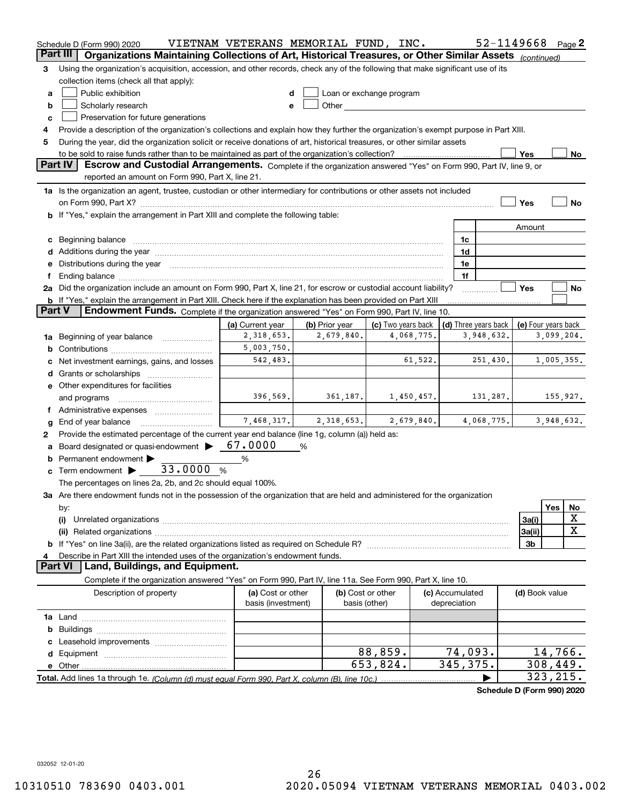|               | Schedule D (Form 990) 2020                                                                                                                                                                                                     | VIETNAM VETERANS MEMORIAL FUND, INC. |                |                                                                                                                                                                                                                                |            |                 |                      | 52-1149668          | Page $2$   |             |
|---------------|--------------------------------------------------------------------------------------------------------------------------------------------------------------------------------------------------------------------------------|--------------------------------------|----------------|--------------------------------------------------------------------------------------------------------------------------------------------------------------------------------------------------------------------------------|------------|-----------------|----------------------|---------------------|------------|-------------|
|               | Organizations Maintaining Collections of Art, Historical Treasures, or Other Similar Assets<br>Part III                                                                                                                        |                                      |                |                                                                                                                                                                                                                                |            |                 |                      | (continued)         |            |             |
| з             | Using the organization's acquisition, accession, and other records, check any of the following that make significant use of its                                                                                                |                                      |                |                                                                                                                                                                                                                                |            |                 |                      |                     |            |             |
|               | collection items (check all that apply):                                                                                                                                                                                       |                                      |                |                                                                                                                                                                                                                                |            |                 |                      |                     |            |             |
| a             | Public exhibition                                                                                                                                                                                                              | d                                    |                | Loan or exchange program                                                                                                                                                                                                       |            |                 |                      |                     |            |             |
| b             | Scholarly research                                                                                                                                                                                                             | е                                    |                | Other and the control of the control of the control of the control of the control of the control of the control of the control of the control of the control of the control of the control of the control of the control of th |            |                 |                      |                     |            |             |
| c             | Preservation for future generations                                                                                                                                                                                            |                                      |                |                                                                                                                                                                                                                                |            |                 |                      |                     |            |             |
| 4             | Provide a description of the organization's collections and explain how they further the organization's exempt purpose in Part XIII.                                                                                           |                                      |                |                                                                                                                                                                                                                                |            |                 |                      |                     |            |             |
| 5             | During the year, did the organization solicit or receive donations of art, historical treasures, or other similar assets                                                                                                       |                                      |                |                                                                                                                                                                                                                                |            |                 |                      |                     |            |             |
|               | to be sold to raise funds rather than to be maintained as part of the organization's collection?<br><b>Part IV</b>                                                                                                             |                                      |                |                                                                                                                                                                                                                                |            |                 |                      | Yes                 |            | No          |
|               | Escrow and Custodial Arrangements. Complete if the organization answered "Yes" on Form 990, Part IV, line 9, or<br>reported an amount on Form 990, Part X, line 21.                                                            |                                      |                |                                                                                                                                                                                                                                |            |                 |                      |                     |            |             |
|               | 1a Is the organization an agent, trustee, custodian or other intermediary for contributions or other assets not included                                                                                                       |                                      |                |                                                                                                                                                                                                                                |            |                 |                      |                     |            |             |
|               |                                                                                                                                                                                                                                |                                      |                |                                                                                                                                                                                                                                |            |                 |                      | Yes                 |            | No          |
|               | b If "Yes," explain the arrangement in Part XIII and complete the following table:                                                                                                                                             |                                      |                |                                                                                                                                                                                                                                |            |                 |                      |                     |            |             |
|               |                                                                                                                                                                                                                                |                                      |                |                                                                                                                                                                                                                                |            |                 |                      | Amount              |            |             |
|               | c Beginning balance measurements and the contract of the contract of the contract of the contract of the contract of the contract of the contract of the contract of the contract of the contract of the contract of the contr |                                      |                |                                                                                                                                                                                                                                |            | 1c              |                      |                     |            |             |
|               |                                                                                                                                                                                                                                |                                      |                |                                                                                                                                                                                                                                |            | 1d              |                      |                     |            |             |
|               | e Distributions during the year measurements are also according to the year and the year measurement of the year measurement of the state of the state of the state of the state of the state of the state of the state of the |                                      |                |                                                                                                                                                                                                                                |            | 1e              |                      |                     |            |             |
|               | Ending balance manufactured and contract the contract of the contract of the contract of the contract of the contract of the contract of the contract of the contract of the contract of the contract of the contract of the c |                                      |                |                                                                                                                                                                                                                                |            | 1f              |                      |                     |            |             |
|               | 2a Did the organization include an amount on Form 990, Part X, line 21, for escrow or custodial account liability?                                                                                                             |                                      |                |                                                                                                                                                                                                                                |            |                 |                      | Yes                 |            | No          |
|               | <b>b</b> If "Yes," explain the arrangement in Part XIII. Check here if the explanation has been provided on Part XIII                                                                                                          |                                      |                |                                                                                                                                                                                                                                |            |                 |                      |                     |            |             |
| <b>Part V</b> | Endowment Funds. Complete if the organization answered "Yes" on Form 990, Part IV, line 10.                                                                                                                                    |                                      |                |                                                                                                                                                                                                                                |            |                 |                      |                     |            |             |
|               |                                                                                                                                                                                                                                | (a) Current year                     | (b) Prior year | (c) Two years back                                                                                                                                                                                                             |            |                 | (d) Three years back | (e) Four years back |            |             |
|               | 1a Beginning of year balance                                                                                                                                                                                                   | 2,318,653.                           | 2,679,840.     |                                                                                                                                                                                                                                | 4,068,775. |                 | 3,948,632.           |                     | 3,099,204. |             |
|               |                                                                                                                                                                                                                                | 5,003,750.                           |                |                                                                                                                                                                                                                                |            |                 |                      |                     |            |             |
|               | Net investment earnings, gains, and losses                                                                                                                                                                                     | 542,483.                             |                |                                                                                                                                                                                                                                | 61,522.    |                 | 251,430.             |                     | 1,005,355. |             |
|               |                                                                                                                                                                                                                                |                                      |                |                                                                                                                                                                                                                                |            |                 |                      |                     |            |             |
|               | e Other expenditures for facilities                                                                                                                                                                                            |                                      |                |                                                                                                                                                                                                                                |            |                 |                      |                     |            |             |
|               | and programs                                                                                                                                                                                                                   | 396,569.                             | 361, 187.      |                                                                                                                                                                                                                                | 1,450,457. |                 | 131,287.             | 155,927.            |            |             |
|               | Administrative expenses                                                                                                                                                                                                        |                                      |                |                                                                                                                                                                                                                                |            |                 |                      |                     |            |             |
| g             | End of year balance                                                                                                                                                                                                            | 7,468,317.                           | 2,318,653.     |                                                                                                                                                                                                                                | 2,679,840. |                 | 4,068,775.           |                     | 3,948,632. |             |
|               | Provide the estimated percentage of the current year end balance (line 1g, column (a)) held as:                                                                                                                                |                                      |                |                                                                                                                                                                                                                                |            |                 |                      |                     |            |             |
|               | Board designated or quasi-endowment                                                                                                                                                                                            | 67.0000                              | %              |                                                                                                                                                                                                                                |            |                 |                      |                     |            |             |
| b             | Permanent endowment >                                                                                                                                                                                                          | %                                    |                |                                                                                                                                                                                                                                |            |                 |                      |                     |            |             |
|               | 33.0000<br>$\mathbf c$ Term endowment $\blacktriangleright$                                                                                                                                                                    | %                                    |                |                                                                                                                                                                                                                                |            |                 |                      |                     |            |             |
|               | The percentages on lines 2a, 2b, and 2c should equal 100%.                                                                                                                                                                     |                                      |                |                                                                                                                                                                                                                                |            |                 |                      |                     |            |             |
|               | 3a Are there endowment funds not in the possession of the organization that are held and administered for the organization                                                                                                     |                                      |                |                                                                                                                                                                                                                                |            |                 |                      |                     | Yes        |             |
|               | by:<br>(i)                                                                                                                                                                                                                     |                                      |                |                                                                                                                                                                                                                                |            |                 |                      | 3a(i)               |            | No<br>X     |
|               |                                                                                                                                                                                                                                |                                      |                |                                                                                                                                                                                                                                |            |                 |                      | 3a(ii)              |            | $\mathbf X$ |
|               |                                                                                                                                                                                                                                |                                      |                |                                                                                                                                                                                                                                |            |                 |                      | 3b                  |            |             |
| 4             | Describe in Part XIII the intended uses of the organization's endowment funds.                                                                                                                                                 |                                      |                |                                                                                                                                                                                                                                |            |                 |                      |                     |            |             |
|               | Land, Buildings, and Equipment.<br><b>Part VI</b>                                                                                                                                                                              |                                      |                |                                                                                                                                                                                                                                |            |                 |                      |                     |            |             |
|               | Complete if the organization answered "Yes" on Form 990, Part IV, line 11a. See Form 990, Part X, line 10.                                                                                                                     |                                      |                |                                                                                                                                                                                                                                |            |                 |                      |                     |            |             |
|               | Description of property                                                                                                                                                                                                        | (a) Cost or other                    |                | (b) Cost or other                                                                                                                                                                                                              |            | (c) Accumulated |                      | (d) Book value      |            |             |
|               |                                                                                                                                                                                                                                | basis (investment)                   |                | basis (other)                                                                                                                                                                                                                  |            | depreciation    |                      |                     |            |             |
|               |                                                                                                                                                                                                                                |                                      |                |                                                                                                                                                                                                                                |            |                 |                      |                     |            |             |
|               |                                                                                                                                                                                                                                |                                      |                |                                                                                                                                                                                                                                |            |                 |                      |                     |            |             |
|               |                                                                                                                                                                                                                                |                                      |                |                                                                                                                                                                                                                                |            |                 |                      |                     |            |             |
|               |                                                                                                                                                                                                                                |                                      |                | 88,859.                                                                                                                                                                                                                        |            |                 | 74,093.              |                     | 14,766.    |             |
|               | e Other                                                                                                                                                                                                                        |                                      |                | 653,824.                                                                                                                                                                                                                       |            | 345, 375.       |                      |                     | 308,449.   |             |
|               |                                                                                                                                                                                                                                |                                      |                |                                                                                                                                                                                                                                |            |                 |                      |                     | 323,215.   |             |

**Schedule D (Form 990) 2020**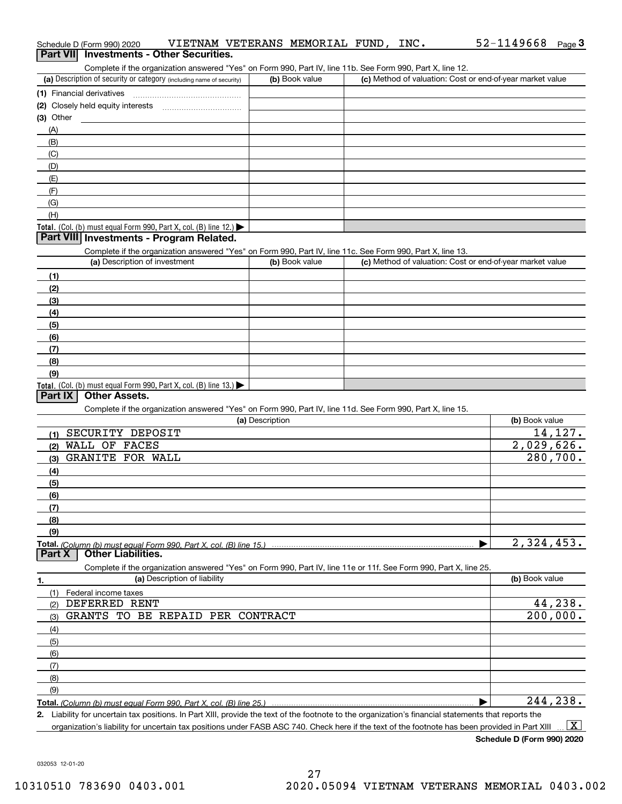| Schedule D (Form 990) 2020<br>Part VII Investments - Other Securities.                                                                                                                                            | VIETNAM VETERANS MEMORIAL FUND, INC. |                                                           | 52-1149668<br>Page $3$   |
|-------------------------------------------------------------------------------------------------------------------------------------------------------------------------------------------------------------------|--------------------------------------|-----------------------------------------------------------|--------------------------|
| Complete if the organization answered "Yes" on Form 990, Part IV, line 11b. See Form 990, Part X, line 12.                                                                                                        |                                      |                                                           |                          |
| (a) Description of security or category (including name of security)                                                                                                                                              | (b) Book value                       | (c) Method of valuation: Cost or end-of-year market value |                          |
|                                                                                                                                                                                                                   |                                      |                                                           |                          |
| (2) Closely held equity interests [11] [2] Closely held equity interests                                                                                                                                          |                                      |                                                           |                          |
| $(3)$ Other                                                                                                                                                                                                       |                                      |                                                           |                          |
| (A)                                                                                                                                                                                                               |                                      |                                                           |                          |
| (B)                                                                                                                                                                                                               |                                      |                                                           |                          |
| (C)                                                                                                                                                                                                               |                                      |                                                           |                          |
| (D)                                                                                                                                                                                                               |                                      |                                                           |                          |
| (E)                                                                                                                                                                                                               |                                      |                                                           |                          |
| (F)                                                                                                                                                                                                               |                                      |                                                           |                          |
| (G)                                                                                                                                                                                                               |                                      |                                                           |                          |
| (H)                                                                                                                                                                                                               |                                      |                                                           |                          |
| Total. (Col. (b) must equal Form 990, Part X, col. (B) line 12.)                                                                                                                                                  |                                      |                                                           |                          |
| Part VIII Investments - Program Related.                                                                                                                                                                          |                                      |                                                           |                          |
| Complete if the organization answered "Yes" on Form 990, Part IV, line 11c. See Form 990, Part X, line 13.                                                                                                        |                                      |                                                           |                          |
| (a) Description of investment                                                                                                                                                                                     | (b) Book value                       | (c) Method of valuation: Cost or end-of-year market value |                          |
| (1)                                                                                                                                                                                                               |                                      |                                                           |                          |
| (2)                                                                                                                                                                                                               |                                      |                                                           |                          |
| (3)                                                                                                                                                                                                               |                                      |                                                           |                          |
| (4)                                                                                                                                                                                                               |                                      |                                                           |                          |
| (5)                                                                                                                                                                                                               |                                      |                                                           |                          |
| (6)                                                                                                                                                                                                               |                                      |                                                           |                          |
| (7)                                                                                                                                                                                                               |                                      |                                                           |                          |
| (8)                                                                                                                                                                                                               |                                      |                                                           |                          |
| (9)                                                                                                                                                                                                               |                                      |                                                           |                          |
| Total. (Col. (b) must equal Form 990, Part X, col. (B) line 13.)<br><b>Other Assets.</b><br>Part IX<br>Complete if the organization answered "Yes" on Form 990, Part IV, line 11d. See Form 990, Part X, line 15. | (a) Description                      |                                                           | (b) Book value           |
| SECURITY DEPOSIT<br>(1)                                                                                                                                                                                           |                                      |                                                           | 14,127.                  |
| WALL OF FACES<br>(2)                                                                                                                                                                                              |                                      |                                                           | 2,029,626.               |
| <b>GRANITE FOR WALL</b><br>(3)                                                                                                                                                                                    |                                      |                                                           | 280, 700.                |
| (4)                                                                                                                                                                                                               |                                      |                                                           |                          |
| (5)                                                                                                                                                                                                               |                                      |                                                           |                          |
| (6)                                                                                                                                                                                                               |                                      |                                                           |                          |
| (7)                                                                                                                                                                                                               |                                      |                                                           |                          |
| (8)                                                                                                                                                                                                               |                                      |                                                           |                          |
| (9)                                                                                                                                                                                                               |                                      |                                                           |                          |
| Part X<br><b>Other Liabilities.</b>                                                                                                                                                                               |                                      |                                                           | $\overline{2,324,453}$ . |
| Complete if the organization answered "Yes" on Form 990, Part IV, line 11e or 11f. See Form 990, Part X, line 25.                                                                                                 |                                      |                                                           |                          |
| (a) Description of liability<br>1.                                                                                                                                                                                |                                      |                                                           | (b) Book value           |
| (1)<br>Federal income taxes                                                                                                                                                                                       |                                      |                                                           |                          |
| DEFERRED RENT<br>(2)                                                                                                                                                                                              |                                      |                                                           | 44,238.                  |
| GRANTS TO BE REPAID PER CONTRACT<br>(3)                                                                                                                                                                           |                                      |                                                           | 200,000.                 |
| (4)                                                                                                                                                                                                               |                                      |                                                           |                          |
| (5)                                                                                                                                                                                                               |                                      |                                                           |                          |
| (6)                                                                                                                                                                                                               |                                      |                                                           |                          |
| (7)                                                                                                                                                                                                               |                                      |                                                           |                          |
| (8)                                                                                                                                                                                                               |                                      |                                                           |                          |
| (9)                                                                                                                                                                                                               |                                      |                                                           |                          |
|                                                                                                                                                                                                                   |                                      |                                                           | 244,238.                 |
| 2. Liability for uncertain tax positions. In Part XIII, provide the text of the footnote to the organization's financial statements that reports the                                                              |                                      |                                                           |                          |

organization's liability for uncertain tax positions under FASB ASC 740. Check here if the text of the footnote has been provided in Part XIII  $\boxed{\text{X}}$ 

**Schedule D (Form 990) 2020**

52-1149668 Page 3

032053 12-01-20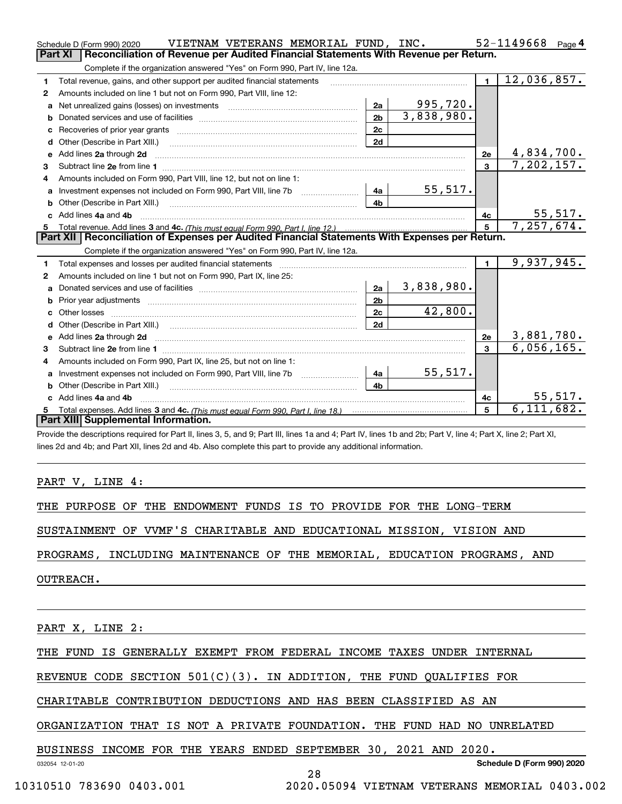|   | VIETNAM VETERANS MEMORIAL FUND, INC.<br>Schedule D (Form 990) 2020                                                                                                                                                                 |                |            |                | 52-1149668<br>Page $4$ |  |  |  |  |
|---|------------------------------------------------------------------------------------------------------------------------------------------------------------------------------------------------------------------------------------|----------------|------------|----------------|------------------------|--|--|--|--|
|   | Part XI<br>Reconciliation of Revenue per Audited Financial Statements With Revenue per Return.                                                                                                                                     |                |            |                |                        |  |  |  |  |
|   | Complete if the organization answered "Yes" on Form 990, Part IV, line 12a.                                                                                                                                                        |                |            |                |                        |  |  |  |  |
| 1 | Total revenue, gains, and other support per audited financial statements                                                                                                                                                           |                |            | $\blacksquare$ | 12,036,857.            |  |  |  |  |
| 2 | Amounts included on line 1 but not on Form 990, Part VIII, line 12:                                                                                                                                                                |                |            |                |                        |  |  |  |  |
| a |                                                                                                                                                                                                                                    | 2a             | 995,720.   |                |                        |  |  |  |  |
| b |                                                                                                                                                                                                                                    | 2 <sub>b</sub> | 3,838,980. |                |                        |  |  |  |  |
|   |                                                                                                                                                                                                                                    | 2c             |            |                |                        |  |  |  |  |
| d |                                                                                                                                                                                                                                    | 2d             |            |                |                        |  |  |  |  |
| е | Add lines 2a through 2d                                                                                                                                                                                                            |                |            | 2e             | 4,834,700.             |  |  |  |  |
| 3 |                                                                                                                                                                                                                                    |                |            | $\mathbf{3}$   | 7, 202, 157.           |  |  |  |  |
| 4 | Amounts included on Form 990, Part VIII, line 12, but not on line 1:                                                                                                                                                               |                |            |                |                        |  |  |  |  |
|   | Investment expenses not included on Form 990, Part VIII, line 7b [11, 111, 111, 121, 131, 14a]                                                                                                                                     |                | 55,517.    |                |                        |  |  |  |  |
|   |                                                                                                                                                                                                                                    | 4b             |            |                |                        |  |  |  |  |
|   | c Add lines 4a and 4b                                                                                                                                                                                                              |                |            | 4c             | 55,517.                |  |  |  |  |
|   |                                                                                                                                                                                                                                    |                |            | 5 <sup>1</sup> | 7,257,674.             |  |  |  |  |
|   |                                                                                                                                                                                                                                    |                |            |                |                        |  |  |  |  |
|   | Part XII   Reconciliation of Expenses per Audited Financial Statements With Expenses per Return.                                                                                                                                   |                |            |                |                        |  |  |  |  |
|   | Complete if the organization answered "Yes" on Form 990, Part IV, line 12a.                                                                                                                                                        |                |            |                |                        |  |  |  |  |
| 1 |                                                                                                                                                                                                                                    |                |            | $\blacksquare$ | 9,937,945.             |  |  |  |  |
| 2 | Amounts included on line 1 but not on Form 990, Part IX, line 25:                                                                                                                                                                  |                |            |                |                        |  |  |  |  |
| a |                                                                                                                                                                                                                                    | 2a             | 3,838,980. |                |                        |  |  |  |  |
| b |                                                                                                                                                                                                                                    | 2 <sub>b</sub> |            |                |                        |  |  |  |  |
|   | Other losses                                                                                                                                                                                                                       | 2c             | 42,800.    |                |                        |  |  |  |  |
|   |                                                                                                                                                                                                                                    | 2d             |            |                |                        |  |  |  |  |
| e | Add lines 2a through 2d <b>contained a contained a contained a contained a</b> contained a contained a contained a contained a contained a contact a contact a contact a contact a contact a contact a contact a contact a contact |                |            | 2e             | 3,881,780.             |  |  |  |  |
| 3 |                                                                                                                                                                                                                                    |                |            | 3              | 6,056,165.             |  |  |  |  |
| 4 | Amounts included on Form 990, Part IX, line 25, but not on line 1:                                                                                                                                                                 |                |            |                |                        |  |  |  |  |
| a |                                                                                                                                                                                                                                    | 4a             | 55,517.    |                |                        |  |  |  |  |
|   | <b>b</b> Other (Describe in Part XIII.)                                                                                                                                                                                            | 4 <sub>b</sub> |            |                |                        |  |  |  |  |
|   | c Add lines 4a and 4b                                                                                                                                                                                                              |                |            | 4 <sub>c</sub> | 55,517.                |  |  |  |  |
|   | Part XIII Supplemental Information.                                                                                                                                                                                                |                |            | 5              | 6, 111, 682.           |  |  |  |  |

Provide the descriptions required for Part II, lines 3, 5, and 9; Part III, lines 1a and 4; Part IV, lines 1b and 2b; Part V, line 4; Part X, line 2; Part XI, lines 2d and 4b; and Part XII, lines 2d and 4b. Also complete this part to provide any additional information.

PART V, LINE 4:

THE PURPOSE OF THE ENDOWMENT FUNDS IS TO PROVIDE FOR THE LONG-TERM

SUSTAINMENT OF VVMF'S CHARITABLE AND EDUCATIONAL MISSION, VISION AND

PROGRAMS, INCLUDING MAINTENANCE OF THE MEMORIAL, EDUCATION PROGRAMS, AND

OUTREACH.

PART X, LINE 2:

THE FUND IS GENERALLY EXEMPT FROM FEDERAL INCOME TAXES UNDER INTERNAL

REVENUE CODE SECTION 501(C)(3). IN ADDITION, THE FUND QUALIFIES FOR

CHARITABLE CONTRIBUTION DEDUCTIONS AND HAS BEEN CLASSIFIED AS AN

ORGANIZATION THAT IS NOT A PRIVATE FOUNDATION. THE FUND HAD NO UNRELATED

BUSINESS INCOME FOR THE YEARS ENDED SEPTEMBER 30, 2021 AND 2020.

032054 12-01-20

**Schedule D (Form 990) 2020**

28

10310510 783690 0403.001 2020.05094 VIETNAM VETERANS MEMORIAL 0403.002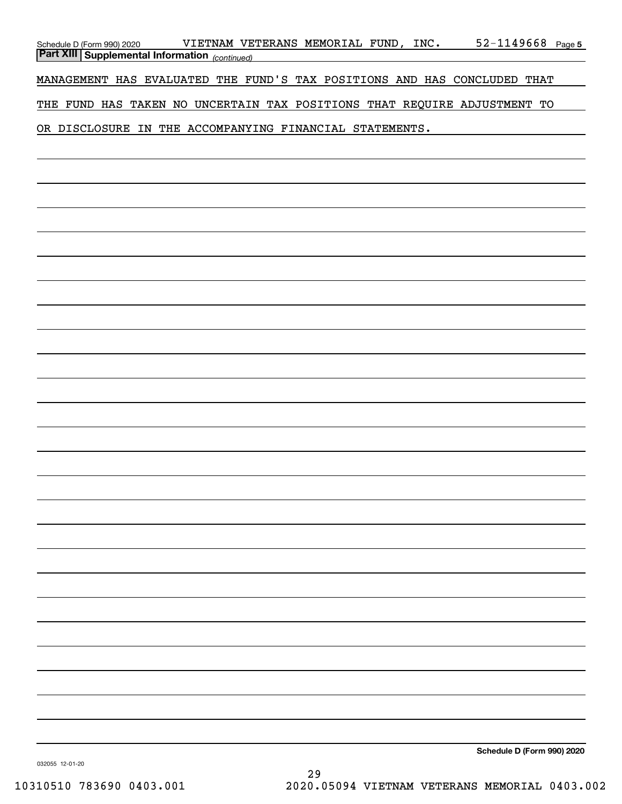| Schedule D (Form 990) 2020 VIETNAM VET<br><b>Part XIII   Supplemental Information</b> (continued) | VIETNAM VETERANS MEMORIAL FUND, INC.                                     | $52 - 1149668$ Page 5      |
|---------------------------------------------------------------------------------------------------|--------------------------------------------------------------------------|----------------------------|
|                                                                                                   | MANAGEMENT HAS EVALUATED THE FUND'S TAX POSITIONS AND HAS CONCLUDED THAT |                            |
|                                                                                                   | THE FUND HAS TAKEN NO UNCERTAIN TAX POSITIONS THAT REQUIRE ADJUSTMENT TO |                            |
|                                                                                                   | OR DISCLOSURE IN THE ACCOMPANYING FINANCIAL STATEMENTS.                  |                            |
|                                                                                                   |                                                                          |                            |
|                                                                                                   |                                                                          |                            |
|                                                                                                   |                                                                          |                            |
|                                                                                                   |                                                                          |                            |
|                                                                                                   |                                                                          |                            |
|                                                                                                   |                                                                          |                            |
|                                                                                                   |                                                                          |                            |
|                                                                                                   |                                                                          |                            |
|                                                                                                   |                                                                          |                            |
|                                                                                                   |                                                                          |                            |
|                                                                                                   |                                                                          |                            |
|                                                                                                   |                                                                          |                            |
|                                                                                                   |                                                                          |                            |
|                                                                                                   |                                                                          |                            |
|                                                                                                   |                                                                          |                            |
|                                                                                                   |                                                                          |                            |
|                                                                                                   |                                                                          |                            |
|                                                                                                   |                                                                          |                            |
|                                                                                                   |                                                                          |                            |
|                                                                                                   |                                                                          |                            |
|                                                                                                   |                                                                          |                            |
|                                                                                                   |                                                                          |                            |
|                                                                                                   |                                                                          |                            |
|                                                                                                   |                                                                          |                            |
|                                                                                                   |                                                                          |                            |
|                                                                                                   |                                                                          |                            |
|                                                                                                   |                                                                          | Schedule D (Form 990) 2020 |
| 032055 12-01-20                                                                                   |                                                                          |                            |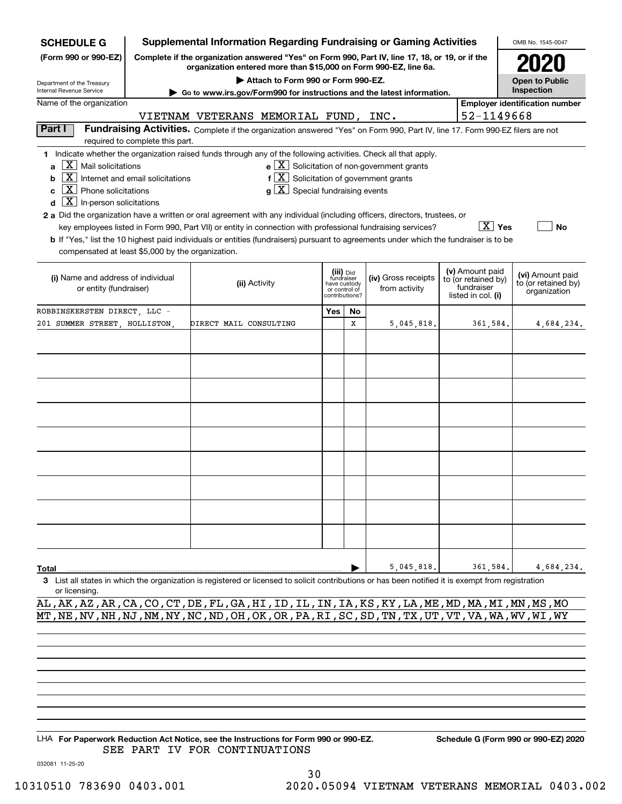| <b>SCHEDULE G</b>                                                                                                                                                   | <b>Supplemental Information Regarding Fundraising or Gaming Activities</b>                                                                                          |                                                                                                                                       |                                                                |                               |    |                     |                                   |            | OMB No. 1545-0047                   |  |  |
|---------------------------------------------------------------------------------------------------------------------------------------------------------------------|---------------------------------------------------------------------------------------------------------------------------------------------------------------------|---------------------------------------------------------------------------------------------------------------------------------------|----------------------------------------------------------------|-------------------------------|----|---------------------|-----------------------------------|------------|-------------------------------------|--|--|
| (Form 990 or 990-EZ)                                                                                                                                                | Complete if the organization answered "Yes" on Form 990, Part IV, line 17, 18, or 19, or if the<br>organization entered more than \$15,000 on Form 990-EZ, line 6a. |                                                                                                                                       |                                                                |                               |    |                     |                                   |            |                                     |  |  |
| Attach to Form 990 or Form 990-EZ.<br><b>Open to Public</b><br>Department of the Treasury                                                                           |                                                                                                                                                                     |                                                                                                                                       |                                                                |                               |    |                     |                                   |            |                                     |  |  |
| Internal Revenue Service                                                                                                                                            | Inspection<br>Go to www.irs.gov/Form990 for instructions and the latest information.<br><b>Employer identification number</b>                                       |                                                                                                                                       |                                                                |                               |    |                     |                                   |            |                                     |  |  |
| Name of the organization<br>VIETNAM VETERANS MEMORIAL FUND, INC.                                                                                                    |                                                                                                                                                                     |                                                                                                                                       |                                                                |                               |    |                     |                                   |            |                                     |  |  |
|                                                                                                                                                                     |                                                                                                                                                                     |                                                                                                                                       |                                                                |                               |    |                     |                                   | 52-1149668 |                                     |  |  |
| Part I                                                                                                                                                              | required to complete this part.                                                                                                                                     | Fundraising Activities. Complete if the organization answered "Yes" on Form 990, Part IV, line 17. Form 990-EZ filers are not         |                                                                |                               |    |                     |                                   |            |                                     |  |  |
| 1 Indicate whether the organization raised funds through any of the following activities. Check all that apply.                                                     |                                                                                                                                                                     |                                                                                                                                       |                                                                |                               |    |                     |                                   |            |                                     |  |  |
|                                                                                                                                                                     | $\mathbf{e} \times \mathbf{X}$ Solicitation of non-government grants<br>$a \mid X \mid$ Mail solicitations                                                          |                                                                                                                                       |                                                                |                               |    |                     |                                   |            |                                     |  |  |
| $\boxed{\text{X}}$ Internet and email solicitations<br>b                                                                                                            |                                                                                                                                                                     |                                                                                                                                       | $f\left[\overline{X}\right]$ Solicitation of government grants |                               |    |                     |                                   |            |                                     |  |  |
| $\vert X \vert$ Phone solicitations<br>C                                                                                                                            |                                                                                                                                                                     |                                                                                                                                       | $g\mid X$ Special fundraising events                           |                               |    |                     |                                   |            |                                     |  |  |
| $\boxed{\text{X}}$ In-person solicitations<br>d                                                                                                                     |                                                                                                                                                                     |                                                                                                                                       |                                                                |                               |    |                     |                                   |            |                                     |  |  |
| 2 a Did the organization have a written or oral agreement with any individual (including officers, directors, trustees, or                                          |                                                                                                                                                                     |                                                                                                                                       |                                                                |                               |    |                     |                                   | $X$ Yes    |                                     |  |  |
|                                                                                                                                                                     |                                                                                                                                                                     | key employees listed in Form 990, Part VII) or entity in connection with professional fundraising services?                           |                                                                |                               |    |                     |                                   |            | No                                  |  |  |
| compensated at least \$5,000 by the organization.                                                                                                                   |                                                                                                                                                                     | b If "Yes," list the 10 highest paid individuals or entities (fundraisers) pursuant to agreements under which the fundraiser is to be |                                                                |                               |    |                     |                                   |            |                                     |  |  |
|                                                                                                                                                                     |                                                                                                                                                                     |                                                                                                                                       |                                                                |                               |    |                     |                                   |            |                                     |  |  |
| (i) Name and address of individual                                                                                                                                  |                                                                                                                                                                     |                                                                                                                                       |                                                                | (iii) Did<br>fundraiser       |    | (iv) Gross receipts | (v) Amount paid                   |            | (vi) Amount paid                    |  |  |
| or entity (fundraiser)                                                                                                                                              |                                                                                                                                                                     | (ii) Activity                                                                                                                         |                                                                | have custody<br>or control of |    | from activity       | to (or retained by)<br>fundraiser |            | to (or retained by)<br>organization |  |  |
|                                                                                                                                                                     |                                                                                                                                                                     |                                                                                                                                       |                                                                | contributions?                |    |                     | listed in col. (i)                |            |                                     |  |  |
| ROBBINSKERSTEN DIRECT, LLC -                                                                                                                                        |                                                                                                                                                                     |                                                                                                                                       |                                                                | Yes                           | No |                     |                                   |            |                                     |  |  |
| 201 SUMMER STREET, HOLLISTON,                                                                                                                                       |                                                                                                                                                                     | DIRECT MAIL CONSULTING                                                                                                                |                                                                |                               | х  | 5,045,818.          |                                   | 361,584.   | 4,684,234.                          |  |  |
|                                                                                                                                                                     |                                                                                                                                                                     |                                                                                                                                       |                                                                |                               |    |                     |                                   |            |                                     |  |  |
|                                                                                                                                                                     |                                                                                                                                                                     |                                                                                                                                       |                                                                |                               |    |                     |                                   |            |                                     |  |  |
|                                                                                                                                                                     |                                                                                                                                                                     |                                                                                                                                       |                                                                |                               |    |                     |                                   |            |                                     |  |  |
|                                                                                                                                                                     |                                                                                                                                                                     |                                                                                                                                       |                                                                |                               |    |                     |                                   |            |                                     |  |  |
|                                                                                                                                                                     |                                                                                                                                                                     |                                                                                                                                       |                                                                |                               |    |                     |                                   |            |                                     |  |  |
|                                                                                                                                                                     |                                                                                                                                                                     |                                                                                                                                       |                                                                |                               |    |                     |                                   |            |                                     |  |  |
|                                                                                                                                                                     |                                                                                                                                                                     |                                                                                                                                       |                                                                |                               |    |                     |                                   |            |                                     |  |  |
|                                                                                                                                                                     |                                                                                                                                                                     |                                                                                                                                       |                                                                |                               |    |                     |                                   |            |                                     |  |  |
|                                                                                                                                                                     |                                                                                                                                                                     |                                                                                                                                       |                                                                |                               |    |                     |                                   |            |                                     |  |  |
|                                                                                                                                                                     |                                                                                                                                                                     |                                                                                                                                       |                                                                |                               |    |                     |                                   |            |                                     |  |  |
|                                                                                                                                                                     |                                                                                                                                                                     |                                                                                                                                       |                                                                |                               |    |                     |                                   |            |                                     |  |  |
|                                                                                                                                                                     |                                                                                                                                                                     |                                                                                                                                       |                                                                |                               |    |                     |                                   |            |                                     |  |  |
|                                                                                                                                                                     |                                                                                                                                                                     |                                                                                                                                       |                                                                |                               |    |                     |                                   |            |                                     |  |  |
|                                                                                                                                                                     |                                                                                                                                                                     |                                                                                                                                       |                                                                |                               |    |                     |                                   |            |                                     |  |  |
|                                                                                                                                                                     |                                                                                                                                                                     |                                                                                                                                       |                                                                |                               |    |                     |                                   |            |                                     |  |  |
|                                                                                                                                                                     |                                                                                                                                                                     |                                                                                                                                       |                                                                |                               |    |                     |                                   |            |                                     |  |  |
|                                                                                                                                                                     |                                                                                                                                                                     |                                                                                                                                       |                                                                |                               |    |                     |                                   |            |                                     |  |  |
|                                                                                                                                                                     |                                                                                                                                                                     |                                                                                                                                       |                                                                |                               |    |                     |                                   |            |                                     |  |  |
| Total                                                                                                                                                               |                                                                                                                                                                     |                                                                                                                                       |                                                                |                               |    | 5,045,818.          |                                   | 361.584.   | 4,684,234.                          |  |  |
| 3 List all states in which the organization is registered or licensed to solicit contributions or has been notified it is exempt from registration<br>or licensing. |                                                                                                                                                                     |                                                                                                                                       |                                                                |                               |    |                     |                                   |            |                                     |  |  |
|                                                                                                                                                                     |                                                                                                                                                                     |                                                                                                                                       |                                                                |                               |    |                     |                                   |            |                                     |  |  |

AL,AK,AZ,AR,CA,CO,CT,DE,FL,GA,HI,ID,IL,IN,IA,KS,KY,LA,ME,MD,MA,MI,MN,MS,MO MT,NE,NV,NH,NJ,NM,NY,NC,ND,OH,OK,OR,PA,RI,SC,SD,TN,TX,UT,VT,VA,WA,WV,WI,WY

LHA For Paperwork Reduction Act Notice, see the Instructions for Form 990 or 990-EZ. Schedule G (Form 990 or 990-EZ) 2020 SEE PART IV FOR CONTINUATIONS

032081 11-25-20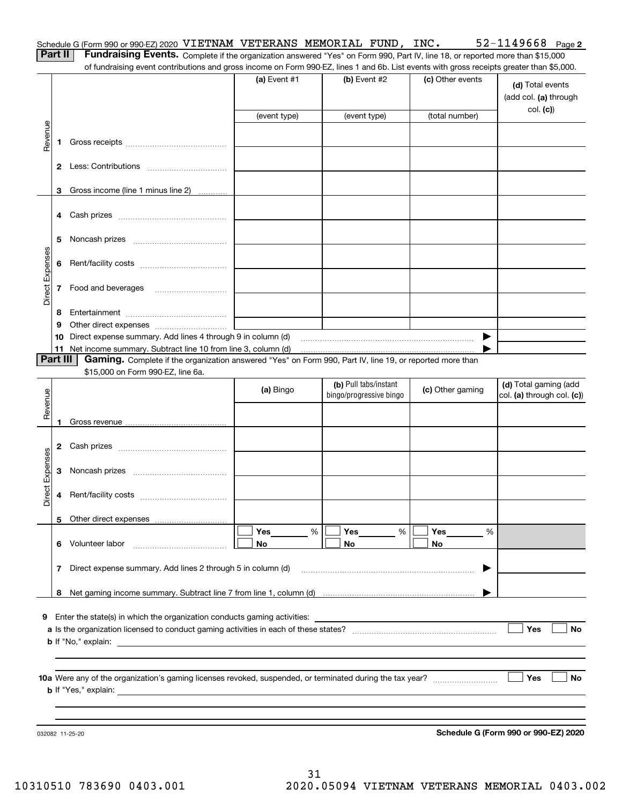|   |  |  |  | Schedule G (Form 990 or 990-EZ) 2020 VIETNAM VETERANS MEMORIAL FUND, | INC. | 52-1149668 | Page 2 |
|---|--|--|--|----------------------------------------------------------------------|------|------------|--------|
| . |  |  |  |                                                                      |      |            |        |

| <b>Contract Contract Contract</b> |  |  |
|-----------------------------------|--|--|
|                                   |  |  |

**Part II** | Fundraising Events. Complete if the organization answered "Yes" on Form 990, Part IV, line 18, or reported more than \$15,000 of fundraising event contributions and gross income on Form 990-EZ, lines 1 and 6b. List events with gross receipts greater than \$5,000.

|                 |          |                                                                                                                                                                                                                                           | (a) Event $#1$ | $(b)$ Event #2          | (c) Other events | (d) Total events<br>(add col. (a) through<br>col. (c)) |
|-----------------|----------|-------------------------------------------------------------------------------------------------------------------------------------------------------------------------------------------------------------------------------------------|----------------|-------------------------|------------------|--------------------------------------------------------|
|                 |          |                                                                                                                                                                                                                                           | (event type)   | (event type)            | (total number)   |                                                        |
| Revenue         | 1.       |                                                                                                                                                                                                                                           |                |                         |                  |                                                        |
|                 |          |                                                                                                                                                                                                                                           |                |                         |                  |                                                        |
|                 |          | 3 Gross income (line 1 minus line 2)                                                                                                                                                                                                      |                |                         |                  |                                                        |
|                 | 4        |                                                                                                                                                                                                                                           |                |                         |                  |                                                        |
|                 | 5        |                                                                                                                                                                                                                                           |                |                         |                  |                                                        |
|                 | 6        |                                                                                                                                                                                                                                           |                |                         |                  |                                                        |
| Direct Expenses | 7        | Food and beverages                                                                                                                                                                                                                        |                |                         |                  |                                                        |
|                 | 8        |                                                                                                                                                                                                                                           |                |                         |                  |                                                        |
|                 | 9        |                                                                                                                                                                                                                                           |                |                         |                  |                                                        |
|                 | 10       | Direct expense summary. Add lines 4 through 9 in column (d)                                                                                                                                                                               |                |                         | ▶                |                                                        |
|                 |          |                                                                                                                                                                                                                                           |                |                         |                  |                                                        |
|                 | Part III | Gaming. Complete if the organization answered "Yes" on Form 990, Part IV, line 19, or reported more than<br>\$15,000 on Form 990-EZ, line 6a.                                                                                             |                |                         |                  |                                                        |
|                 |          |                                                                                                                                                                                                                                           |                | (b) Pull tabs/instant   |                  | (d) Total gaming (add                                  |
|                 |          |                                                                                                                                                                                                                                           | (a) Bingo      | bingo/progressive bingo | (c) Other gaming | col. (a) through col. (c))                             |
| Revenue         |          |                                                                                                                                                                                                                                           |                |                         |                  |                                                        |
|                 | 1.       |                                                                                                                                                                                                                                           |                |                         |                  |                                                        |
|                 |          |                                                                                                                                                                                                                                           |                |                         |                  |                                                        |
|                 | 2        |                                                                                                                                                                                                                                           |                |                         |                  |                                                        |
| Direct Expenses | 3        |                                                                                                                                                                                                                                           |                |                         |                  |                                                        |
|                 | 4        |                                                                                                                                                                                                                                           |                |                         |                  |                                                        |
|                 |          |                                                                                                                                                                                                                                           |                |                         |                  |                                                        |
|                 |          |                                                                                                                                                                                                                                           | Yes<br>%       | Yes<br>%                | Yes<br>%         |                                                        |
|                 |          | Volunteer labor                                                                                                                                                                                                                           | No             | No                      | No               |                                                        |
|                 | 7        | Direct expense summary. Add lines 2 through 5 in column (d)                                                                                                                                                                               |                |                         | ▶                |                                                        |
|                 | 8        |                                                                                                                                                                                                                                           |                |                         |                  |                                                        |
|                 |          |                                                                                                                                                                                                                                           |                |                         |                  |                                                        |
| 9               |          | Enter the state(s) in which the organization conducts gaming activities:                                                                                                                                                                  |                |                         |                  |                                                        |
|                 |          |                                                                                                                                                                                                                                           |                |                         |                  | Yes<br>No                                              |
|                 |          | <b>b</b> If "No," explain:                                                                                                                                                                                                                |                |                         |                  |                                                        |
|                 |          |                                                                                                                                                                                                                                           |                |                         |                  |                                                        |
|                 |          |                                                                                                                                                                                                                                           |                |                         |                  | <b>Yes</b><br>No                                       |
|                 |          | <b>b</b> If "Yes," explain: <u>the contract of the contract of the contract of the contract of the contract of the contract of the contract of the contract of the contract of the contract of the contract of the contract of the co</u> |                |                         |                  |                                                        |
|                 |          |                                                                                                                                                                                                                                           |                |                         |                  |                                                        |
|                 |          |                                                                                                                                                                                                                                           |                |                         |                  |                                                        |
|                 |          | 032082 11-25-20                                                                                                                                                                                                                           |                |                         |                  | Schedule G (Form 990 or 990-EZ) 2020                   |

**Schedule G (Form 990 or 990-EZ) 2020**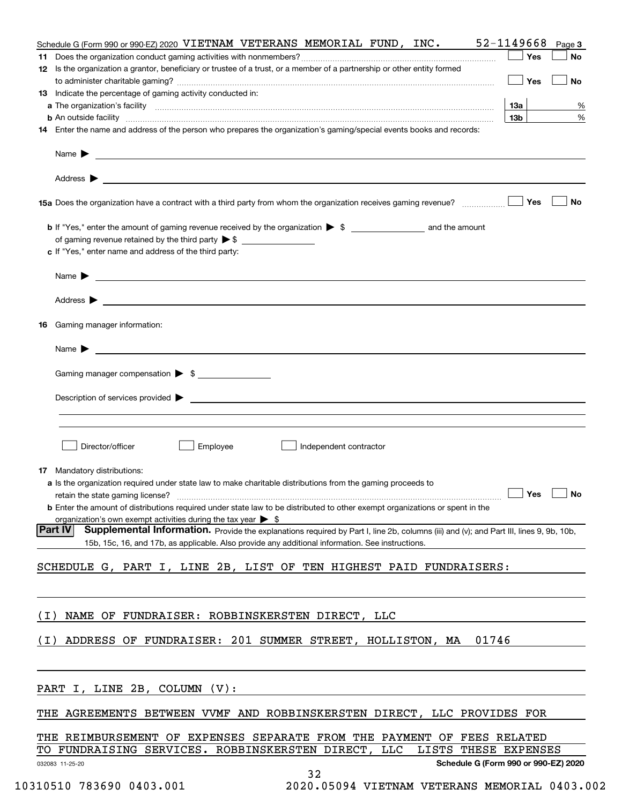|       | Schedule G (Form 990 or 990-EZ) 2020 VIETNAM VETERANS MEMORIAL FUND, INC. 52-1149668<br>Page 3                                                                                                                                                                                                                                |
|-------|-------------------------------------------------------------------------------------------------------------------------------------------------------------------------------------------------------------------------------------------------------------------------------------------------------------------------------|
|       | Yes<br>No                                                                                                                                                                                                                                                                                                                     |
|       | 12 Is the organization a grantor, beneficiary or trustee of a trust, or a member of a partnership or other entity formed                                                                                                                                                                                                      |
|       | Yes<br>No                                                                                                                                                                                                                                                                                                                     |
|       | 13 Indicate the percentage of gaming activity conducted in:                                                                                                                                                                                                                                                                   |
|       | 13а<br>%<br>13 <sub>b</sub><br>%                                                                                                                                                                                                                                                                                              |
|       | <b>b</b> An outside facility <i>www.communicality www.communicality.communicality www.communicality www.communicality www.communicality www.communicality www.communicality www.communicality.com</i><br>14 Enter the name and address of the person who prepares the organization's gaming/special events books and records: |
|       |                                                                                                                                                                                                                                                                                                                               |
|       |                                                                                                                                                                                                                                                                                                                               |
|       |                                                                                                                                                                                                                                                                                                                               |
|       | Yes<br>No                                                                                                                                                                                                                                                                                                                     |
|       |                                                                                                                                                                                                                                                                                                                               |
|       |                                                                                                                                                                                                                                                                                                                               |
|       | c If "Yes," enter name and address of the third party:                                                                                                                                                                                                                                                                        |
|       | $Name \rightarrow$                                                                                                                                                                                                                                                                                                            |
|       |                                                                                                                                                                                                                                                                                                                               |
|       |                                                                                                                                                                                                                                                                                                                               |
| 16    | Gaming manager information:                                                                                                                                                                                                                                                                                                   |
|       | Name $\blacktriangleright$ $\lrcorner$                                                                                                                                                                                                                                                                                        |
|       | Gaming manager compensation > \$                                                                                                                                                                                                                                                                                              |
|       |                                                                                                                                                                                                                                                                                                                               |
|       | $Description of services provided$ $\triangleright$                                                                                                                                                                                                                                                                           |
|       |                                                                                                                                                                                                                                                                                                                               |
|       |                                                                                                                                                                                                                                                                                                                               |
|       | Director/officer<br>Employee<br>Independent contractor                                                                                                                                                                                                                                                                        |
|       | 17 Mandatory distributions:                                                                                                                                                                                                                                                                                                   |
|       | a Is the organization required under state law to make charitable distributions from the gaming proceeds to                                                                                                                                                                                                                   |
|       | retain the state gaming license? $\Box$ No                                                                                                                                                                                                                                                                                    |
|       | <b>b</b> Enter the amount of distributions required under state law to be distributed to other exempt organizations or spent in the                                                                                                                                                                                           |
|       | organization's own exempt activities during the tax year $\triangleright$ \$                                                                                                                                                                                                                                                  |
|       | <b>Part IV</b><br>Supplemental Information. Provide the explanations required by Part I, line 2b, columns (iii) and (v); and Part III, lines 9, 9b, 10b,<br>15b, 15c, 16, and 17b, as applicable. Also provide any additional information. See instructions.                                                                  |
|       |                                                                                                                                                                                                                                                                                                                               |
|       | SCHEDULE G, PART I, LINE 2B, LIST OF TEN HIGHEST PAID FUNDRAISERS:                                                                                                                                                                                                                                                            |
|       |                                                                                                                                                                                                                                                                                                                               |
| ( I ) | NAME OF FUNDRAISER: ROBBINSKERSTEN DIRECT, LLC                                                                                                                                                                                                                                                                                |
|       |                                                                                                                                                                                                                                                                                                                               |
| (I)   | ADDRESS OF FUNDRAISER: 201 SUMMER STREET, HOLLISTON, MA<br>01746                                                                                                                                                                                                                                                              |
|       |                                                                                                                                                                                                                                                                                                                               |
|       | PART I, LINE 2B, COLUMN (V):                                                                                                                                                                                                                                                                                                  |
|       | THE AGREEMENTS BETWEEN VVMF AND ROBBINSKERSTEN DIRECT, LLC PROVIDES FOR                                                                                                                                                                                                                                                       |
|       |                                                                                                                                                                                                                                                                                                                               |
|       | THE REIMBURSEMENT OF EXPENSES SEPARATE FROM THE PAYMENT OF FEES RELATED<br>TO FUNDRAISING SERVICES. ROBBINSKERSTEN DIRECT, LLC<br>LISTS THESE EXPENSES                                                                                                                                                                        |
|       | Schedule G (Form 990 or 990-EZ) 2020<br>032083 11-25-20                                                                                                                                                                                                                                                                       |
|       | 32                                                                                                                                                                                                                                                                                                                            |

 <sup>10310510 783690 0403.001 2020.05094</sup> VIETNAM VETERANS MEMORIAL 0403.002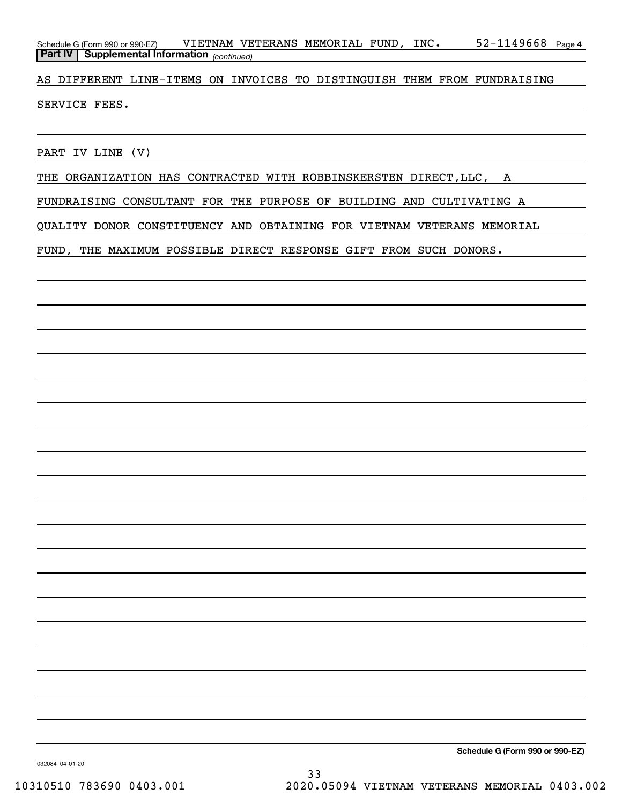Schedule G (Form 990 or 990-EZ) VIETNAM VETERANS MEMORIAL FUND,INC。 52-1149668 page 4 *(continued)* **Part IV Supplemental Information** 

AS DIFFERENT LINE-ITEMS ON INVOICES TO DISTINGUISH THEM FROM FUNDRAISING

SERVICE FEES.

PART IV LINE (V)

THE ORGANIZATION HAS CONTRACTED WITH ROBBINSKERSTEN DIRECT, LLC, A

FUNDRAISING CONSULTANT FOR THE PURPOSE OF BUILDING AND CULTIVATING A

QUALITY DONOR CONSTITUENCY AND OBTAINING FOR VIETNAM VETERANS MEMORIAL

FUND, THE MAXIMUM POSSIBLE DIRECT RESPONSE GIFT FROM SUCH DONORS.

**Schedule G (Form 990 or 990-EZ)**

032084 04-01-20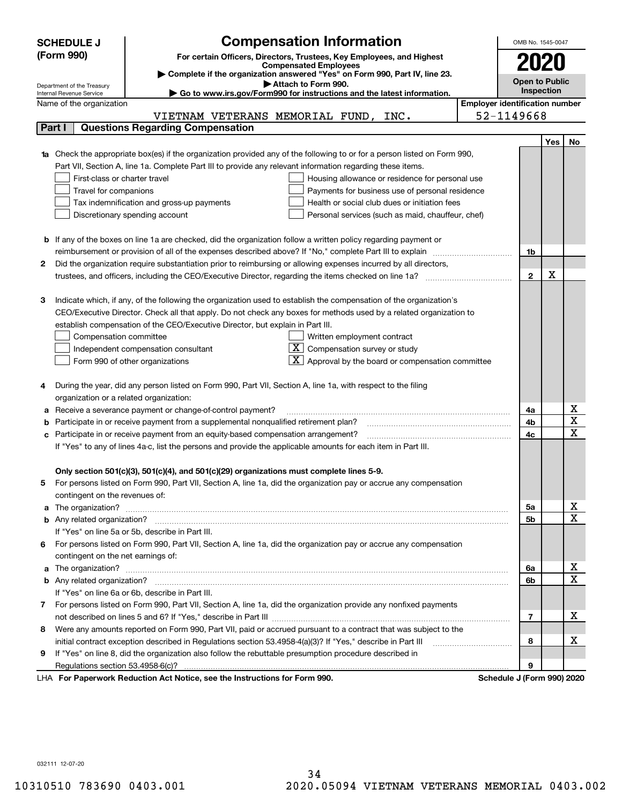|    | <b>Compensation Information</b><br><b>SCHEDULE J</b>                                                                                                    |                                       | OMB No. 1545-0047          |     |                              |  |  |  |
|----|---------------------------------------------------------------------------------------------------------------------------------------------------------|---------------------------------------|----------------------------|-----|------------------------------|--|--|--|
|    | (Form 990)<br>For certain Officers, Directors, Trustees, Key Employees, and Highest                                                                     |                                       |                            |     |                              |  |  |  |
|    | <b>Compensated Employees</b>                                                                                                                            |                                       |                            |     |                              |  |  |  |
|    | Complete if the organization answered "Yes" on Form 990, Part IV, line 23.                                                                              |                                       | <b>Open to Public</b>      |     |                              |  |  |  |
|    | Attach to Form 990.<br>Department of the Treasury<br>Go to www.irs.gov/Form990 for instructions and the latest information.<br>Internal Revenue Service |                                       | Inspection                 |     |                              |  |  |  |
|    | Name of the organization                                                                                                                                | <b>Employer identification number</b> |                            |     |                              |  |  |  |
|    | VIETNAM VETERANS MEMORIAL FUND, INC.                                                                                                                    | 52-1149668                            |                            |     |                              |  |  |  |
|    | <b>Questions Regarding Compensation</b><br>Part I                                                                                                       |                                       |                            |     |                              |  |  |  |
|    |                                                                                                                                                         |                                       |                            | Yes | No                           |  |  |  |
|    | <b>1a</b> Check the appropriate box(es) if the organization provided any of the following to or for a person listed on Form 990,                        |                                       |                            |     |                              |  |  |  |
|    | Part VII, Section A, line 1a. Complete Part III to provide any relevant information regarding these items.                                              |                                       |                            |     |                              |  |  |  |
|    | First-class or charter travel<br>Housing allowance or residence for personal use                                                                        |                                       |                            |     |                              |  |  |  |
|    | Travel for companions<br>Payments for business use of personal residence                                                                                |                                       |                            |     |                              |  |  |  |
|    | Tax indemnification and gross-up payments<br>Health or social club dues or initiation fees                                                              |                                       |                            |     |                              |  |  |  |
|    | Discretionary spending account<br>Personal services (such as maid, chauffeur, chef)                                                                     |                                       |                            |     |                              |  |  |  |
|    |                                                                                                                                                         |                                       |                            |     |                              |  |  |  |
|    | <b>b</b> If any of the boxes on line 1a are checked, did the organization follow a written policy regarding payment or                                  |                                       |                            |     |                              |  |  |  |
|    | reimbursement or provision of all of the expenses described above? If "No," complete Part III to explain                                                |                                       | 1b                         |     |                              |  |  |  |
| 2  | Did the organization require substantiation prior to reimbursing or allowing expenses incurred by all directors,                                        |                                       |                            |     |                              |  |  |  |
|    |                                                                                                                                                         |                                       | $\mathbf 2$                | x   |                              |  |  |  |
|    |                                                                                                                                                         |                                       |                            |     |                              |  |  |  |
| 3  | Indicate which, if any, of the following the organization used to establish the compensation of the organization's                                      |                                       |                            |     |                              |  |  |  |
|    | CEO/Executive Director. Check all that apply. Do not check any boxes for methods used by a related organization to                                      |                                       |                            |     |                              |  |  |  |
|    | establish compensation of the CEO/Executive Director, but explain in Part III.                                                                          |                                       |                            |     |                              |  |  |  |
|    | Compensation committee<br>Written employment contract                                                                                                   |                                       |                            |     |                              |  |  |  |
|    | Compensation survey or study<br>Independent compensation consultant                                                                                     |                                       |                            |     |                              |  |  |  |
|    | Approval by the board or compensation committee<br>Form 990 of other organizations                                                                      |                                       |                            |     |                              |  |  |  |
|    |                                                                                                                                                         |                                       |                            |     |                              |  |  |  |
| 4  | During the year, did any person listed on Form 990, Part VII, Section A, line 1a, with respect to the filing                                            |                                       |                            |     |                              |  |  |  |
|    | organization or a related organization:                                                                                                                 |                                       |                            |     |                              |  |  |  |
|    | Receive a severance payment or change-of-control payment?                                                                                               |                                       | 4a                         |     | х<br>$\overline{\mathtt{x}}$ |  |  |  |
|    | Participate in or receive payment from a supplemental nonqualified retirement plan?                                                                     |                                       | 4b                         |     | $\overline{\mathbf{x}}$      |  |  |  |
| с  | Participate in or receive payment from an equity-based compensation arrangement?                                                                        |                                       | 4c                         |     |                              |  |  |  |
|    | If "Yes" to any of lines 4a-c, list the persons and provide the applicable amounts for each item in Part III.                                           |                                       |                            |     |                              |  |  |  |
|    |                                                                                                                                                         |                                       |                            |     |                              |  |  |  |
|    | Only section 501(c)(3), 501(c)(4), and 501(c)(29) organizations must complete lines 5-9.                                                                |                                       |                            |     |                              |  |  |  |
| 5. | For persons listed on Form 990, Part VII, Section A, line 1a, did the organization pay or accrue any compensation                                       |                                       |                            |     |                              |  |  |  |
|    | contingent on the revenues of:                                                                                                                          |                                       |                            |     | <u>x</u>                     |  |  |  |
|    |                                                                                                                                                         |                                       | 5a<br>5b                   |     | $\overline{\mathbf{x}}$      |  |  |  |
|    | If "Yes" on line 5a or 5b, describe in Part III.                                                                                                        |                                       |                            |     |                              |  |  |  |
|    | 6 For persons listed on Form 990, Part VII, Section A, line 1a, did the organization pay or accrue any compensation                                     |                                       |                            |     |                              |  |  |  |
|    | contingent on the net earnings of:                                                                                                                      |                                       |                            |     |                              |  |  |  |
|    |                                                                                                                                                         |                                       | 6а                         |     | x                            |  |  |  |
|    |                                                                                                                                                         |                                       | 6b                         |     | $\overline{\mathbf{x}}$      |  |  |  |
|    | If "Yes" on line 6a or 6b, describe in Part III.                                                                                                        |                                       |                            |     |                              |  |  |  |
|    | 7 For persons listed on Form 990, Part VII, Section A, line 1a, did the organization provide any nonfixed payments                                      |                                       |                            |     |                              |  |  |  |
|    |                                                                                                                                                         |                                       | 7                          |     | х                            |  |  |  |
| 8  | Were any amounts reported on Form 990, Part VII, paid or accrued pursuant to a contract that was subject to the                                         |                                       |                            |     |                              |  |  |  |
|    |                                                                                                                                                         |                                       | 8                          |     | x                            |  |  |  |
| 9  | If "Yes" on line 8, did the organization also follow the rebuttable presumption procedure described in                                                  |                                       |                            |     |                              |  |  |  |
|    |                                                                                                                                                         |                                       | 9                          |     |                              |  |  |  |
|    | LHA For Paperwork Reduction Act Notice, see the Instructions for Form 990.                                                                              |                                       | Schedule J (Form 990) 2020 |     |                              |  |  |  |

032111 12-07-20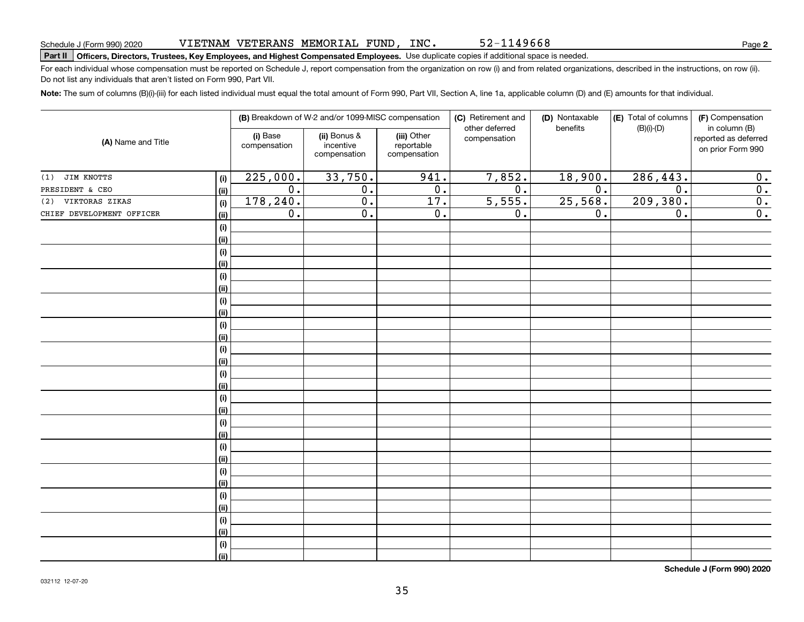### VIETNAM VETERANS MEMORIAL FUND, INC.

# **Part II Officers, Directors, Trustees, Key Employees, and Highest Compensated Employees.**  Schedule J (Form 990) 2020 Page Use duplicate copies if additional space is needed.

For each individual whose compensation must be reported on Schedule J, report compensation from the organization on row (i) and from related organizations, described in the instructions, on row (ii). Do not list any individuals that aren't listed on Form 990, Part VII.

52-1149668

**Note:**  The sum of columns (B)(i)-(iii) for each listed individual must equal the total amount of Form 990, Part VII, Section A, line 1a, applicable column (D) and (E) amounts for that individual.

| (A) Name and Title        |             | (B) Breakdown of W-2 and/or 1099-MISC compensation |                                           |                                           | (C) Retirement and             | (D) Nontaxable | (E) Total of columns<br>(F) Compensation |                                                            |  |
|---------------------------|-------------|----------------------------------------------------|-------------------------------------------|-------------------------------------------|--------------------------------|----------------|------------------------------------------|------------------------------------------------------------|--|
|                           |             | (i) Base<br>compensation                           | (ii) Bonus &<br>incentive<br>compensation | (iii) Other<br>reportable<br>compensation | other deferred<br>compensation | benefits       | $(B)(i)$ - $(D)$                         | in column (B)<br>reported as deferred<br>on prior Form 990 |  |
| (1) JIM KNOTTS            | $(\sf{i})$  | 225,000.                                           | 33,750.                                   | 941.                                      | 7,852.                         | 18,900.        | 286,443.                                 | $\mathbf 0$ .                                              |  |
| PRESIDENT & CEO           | (ii)        | $\overline{0}$ .                                   | $\mathbf 0$ .                             | $\overline{0}$ .                          | $\overline{0}$ .               | 0.             | 0.                                       | $\overline{0}$ .                                           |  |
| (2) VIKTORAS ZIKAS        | (i)         | 178,240.                                           | $\overline{0}$ .                          | 17.                                       | 5,555.                         | 25,568.        | 209,380.                                 | $\overline{0}$ .                                           |  |
| CHIEF DEVELOPMENT OFFICER | (ii)        | 0.                                                 | $\overline{0}$ .                          | 0.                                        | 0.                             | 0.             | 0.                                       | $\overline{0}$ .                                           |  |
|                           | $(\sf{i})$  |                                                    |                                           |                                           |                                |                |                                          |                                                            |  |
|                           | (ii)        |                                                    |                                           |                                           |                                |                |                                          |                                                            |  |
|                           | $(\sf{i})$  |                                                    |                                           |                                           |                                |                |                                          |                                                            |  |
|                           | (ii)        |                                                    |                                           |                                           |                                |                |                                          |                                                            |  |
|                           | $(\sf{i})$  |                                                    |                                           |                                           |                                |                |                                          |                                                            |  |
|                           | (ii)        |                                                    |                                           |                                           |                                |                |                                          |                                                            |  |
|                           | $(\sf{i})$  |                                                    |                                           |                                           |                                |                |                                          |                                                            |  |
|                           | (ii)        |                                                    |                                           |                                           |                                |                |                                          |                                                            |  |
|                           | $(\sf{i})$  |                                                    |                                           |                                           |                                |                |                                          |                                                            |  |
|                           | (ii)        |                                                    |                                           |                                           |                                |                |                                          |                                                            |  |
|                           | $(\sf{i})$  |                                                    |                                           |                                           |                                |                |                                          |                                                            |  |
|                           | (ii)        |                                                    |                                           |                                           |                                |                |                                          |                                                            |  |
|                           | $(\sf{i})$  |                                                    |                                           |                                           |                                |                |                                          |                                                            |  |
|                           | (ii)        |                                                    |                                           |                                           |                                |                |                                          |                                                            |  |
|                           | $(\sf{i})$  |                                                    |                                           |                                           |                                |                |                                          |                                                            |  |
|                           | (ii)        |                                                    |                                           |                                           |                                |                |                                          |                                                            |  |
|                           | $(\sf{i})$  |                                                    |                                           |                                           |                                |                |                                          |                                                            |  |
|                           | (ii)        |                                                    |                                           |                                           |                                |                |                                          |                                                            |  |
|                           | $(\sf{i})$  |                                                    |                                           |                                           |                                |                |                                          |                                                            |  |
|                           | (ii)        |                                                    |                                           |                                           |                                |                |                                          |                                                            |  |
|                           | $(\sf{i})$  |                                                    |                                           |                                           |                                |                |                                          |                                                            |  |
|                           | (ii)        |                                                    |                                           |                                           |                                |                |                                          |                                                            |  |
|                           | $(\sf{i})$  |                                                    |                                           |                                           |                                |                |                                          |                                                            |  |
|                           | (ii)        |                                                    |                                           |                                           |                                |                |                                          |                                                            |  |
|                           | $(\sf{i})$  |                                                    |                                           |                                           |                                |                |                                          |                                                            |  |
|                           | (ii)        |                                                    |                                           |                                           |                                |                |                                          |                                                            |  |
|                           | (i)<br>(ii) |                                                    |                                           |                                           |                                |                |                                          |                                                            |  |
|                           |             |                                                    |                                           |                                           |                                |                |                                          |                                                            |  |

**Schedule J (Form 990) 2020**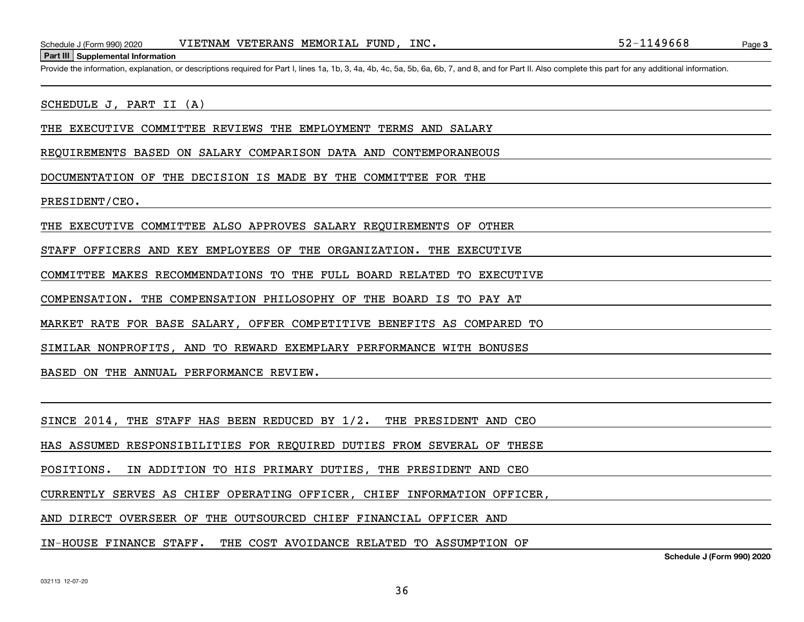Schedule J (Form 990) 2020 VIETNAM VETERANS MEMORIAL FUND, INC. 52-1149668<br>Part III Supplemental Information<br>Provide the information. explanation. or descriptions required for Part I. lines 1a. 1b. 3. 4a. 4b. 4c. 5a. 5b. 6

#### SCHEDULE J, PART II (A)

THE EXECUTIVE COMMITTEE REVIEWS THE EMPLOYMENT TERMS AND SALARY

REQUIREMENTS BASED ON SALARY COMPARISON DATA AND CONTEMPORANEOUS

DOCUMENTATION OF THE DECISION IS MADE BY THE COMMITTEE FOR THE

PRESIDENT/CEO.

THE EXECUTIVE COMMITTEE ALSO APPROVES SALARY REQUIREMENTS OF OTHER

STAFF OFFICERS AND KEY EMPLOYEES OF THE ORGANIZATION. THE EXECUTIVE

COMMITTEE MAKES RECOMMENDATIONS TO THE FULL BOARD RELATED TO EXECUTIVE

COMPENSATION. THE COMPENSATION PHILOSOPHY OF THE BOARD IS TO PAY AT

MARKET RATE FOR BASE SALARY, OFFER COMPETITIVE BENEFITS AS COMPARED TO

SIMILAR NONPROFITS, AND TO REWARD EXEMPLARY PERFORMANCE WITH BONUSES

BASED ON THE ANNUAL PERFORMANCE REVIEW.

SINCE 2014, THE STAFF HAS BEEN REDUCED BY 1/2. THE PRESIDENT AND CEO

HAS ASSUMED RESPONSIBILITIES FOR REQUIRED DUTIES FROM SEVERAL OF THESE

POSITIONS. IN ADDITION TO HIS PRIMARY DUTIES, THE PRESIDENT AND CEO

CURRENTLY SERVES AS CHIEF OPERATING OFFICER, CHIEF INFORMATION OFFICER,

AND DIRECT OVERSEER OF THE OUTSOURCED CHIEF FINANCIAL OFFICER AND

IN-HOUSE FINANCE STAFF. THE COST AVOIDANCE RELATED TO ASSUMPTION OF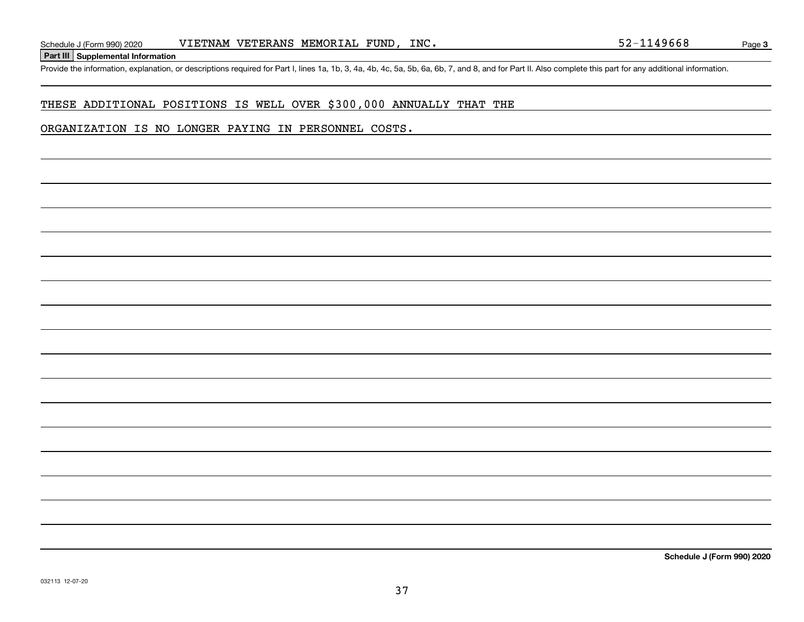**Part III Supplemental Information**

Schedule J (Form 990) 2020 VIETNAM VETERANS MEMORIAL FUND, INC. 52-1149668<br>Part III Supplemental Information<br>Provide the information, explanation, or descriptions required for Part I, lines 1a, 1b, 3, 4a, 4b, 4c, 5a, 5b, 6

### THESE ADDITIONAL POSITIONS IS WELL OVER \$300,000 ANNUALLY THAT THE

#### ORGANIZATION IS NO LONGER PAYING IN PERSONNEL COSTS.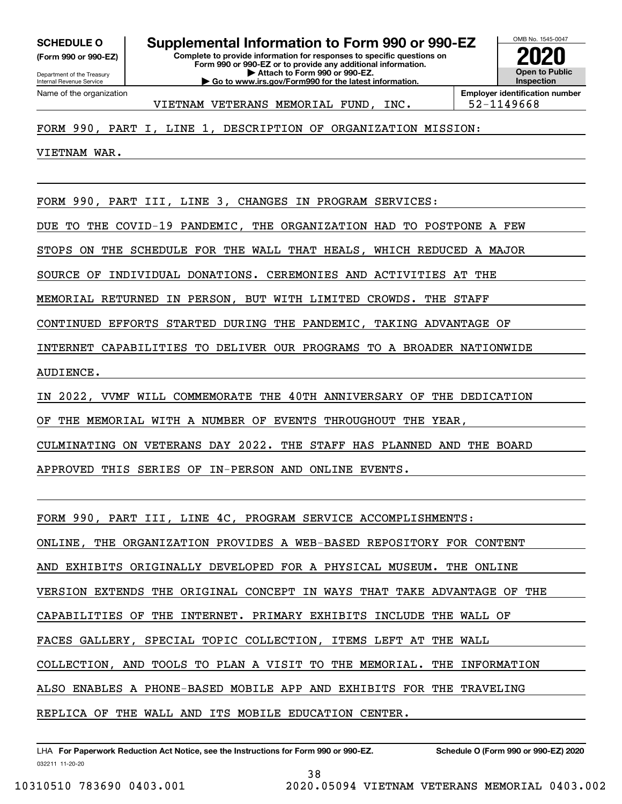**(Form 990 or 990-EZ)**

Department of the Treasury Internal Revenue Service Name of the organization

**Complete to provide information for responses to specific questions on Form 990 or 990-EZ or to provide any additional information. | Attach to Form 990 or 990-EZ. | Go to www.irs.gov/Form990 for the latest information. SCHEDULE O Supplemental Information to Form 990 or 990-EZ**



VIETNAM VETERANS MEMORIAL FUND, INC. | 52-1149668

**Employer identification number**

### FORM 990, PART I, LINE 1, DESCRIPTION OF ORGANIZATION MISSION:

VIETNAM WAR.

FORM 990, PART III, LINE 3, CHANGES IN PROGRAM SERVICES:

DUE TO THE COVID-19 PANDEMIC, THE ORGANIZATION HAD TO POSTPONE A FEW

STOPS ON THE SCHEDULE FOR THE WALL THAT HEALS, WHICH REDUCED A MAJOR

SOURCE OF INDIVIDUAL DONATIONS. CEREMONIES AND ACTIVITIES AT THE

MEMORIAL RETURNED IN PERSON, BUT WITH LIMITED CROWDS. THE STAFF

CONTINUED EFFORTS STARTED DURING THE PANDEMIC, TAKING ADVANTAGE OF

INTERNET CAPABILITIES TO DELIVER OUR PROGRAMS TO A BROADER NATIONWIDE

AUDIENCE.

IN 2022, VVMF WILL COMMEMORATE THE 40TH ANNIVERSARY OF THE DEDICATION

OF THE MEMORIAL WITH A NUMBER OF EVENTS THROUGHOUT THE YEAR,

CULMINATING ON VETERANS DAY 2022. THE STAFF HAS PLANNED AND THE BOARD

APPROVED THIS SERIES OF IN-PERSON AND ONLINE EVENTS.

FORM 990, PART III, LINE 4C, PROGRAM SERVICE ACCOMPLISHMENTS:

ONLINE, THE ORGANIZATION PROVIDES A WEB-BASED REPOSITORY FOR CONTENT

AND EXHIBITS ORIGINALLY DEVELOPED FOR A PHYSICAL MUSEUM. THE ONLINE

VERSION EXTENDS THE ORIGINAL CONCEPT IN WAYS THAT TAKE ADVANTAGE OF THE

CAPABILITIES OF THE INTERNET. PRIMARY EXHIBITS INCLUDE THE WALL OF

FACES GALLERY, SPECIAL TOPIC COLLECTION, ITEMS LEFT AT THE WALL

COLLECTION, AND TOOLS TO PLAN A VISIT TO THE MEMORIAL. THE INFORMATION

ALSO ENABLES A PHONE-BASED MOBILE APP AND EXHIBITS FOR THE TRAVELING

REPLICA OF THE WALL AND ITS MOBILE EDUCATION CENTER.

032211 11-20-20 LHA For Paperwork Reduction Act Notice, see the Instructions for Form 990 or 990-EZ. Schedule O (Form 990 or 990-EZ) 2020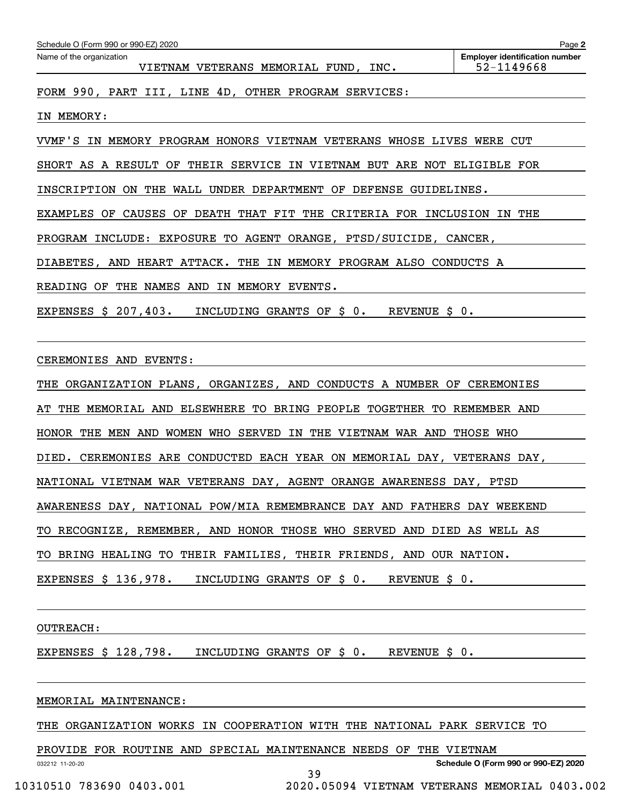| Schedule O (Form 990 or 990-EZ) 2020<br>Name of the organization          | <b>Employer identification number</b> |
|---------------------------------------------------------------------------|---------------------------------------|
| VIETNAM VETERANS MEMORIAL FUND, INC.                                      | 52-1149668                            |
| FORM 990, PART III, LINE 4D, OTHER PROGRAM SERVICES:                      |                                       |
| IN MEMORY:                                                                |                                       |
| VVMF'S IN MEMORY PROGRAM HONORS VIETNAM VETERANS WHOSE LIVES WERE CUT     |                                       |
| SHORT AS A RESULT OF THEIR SERVICE IN VIETNAM BUT ARE NOT ELIGIBLE FOR    |                                       |
| INSCRIPTION ON THE WALL UNDER DEPARTMENT OF DEFENSE GUIDELINES.           |                                       |
| EXAMPLES OF CAUSES OF DEATH THAT FIT THE CRITERIA FOR INCLUSION IN THE    |                                       |
| PROGRAM INCLUDE: EXPOSURE TO AGENT ORANGE, PTSD/SUICIDE, CANCER,          |                                       |
| DIABETES, AND HEART ATTACK. THE IN MEMORY PROGRAM ALSO CONDUCTS A         |                                       |
| READING OF THE NAMES AND IN MEMORY EVENTS.                                |                                       |
| EXPENSES \$ 207,403.<br>INCLUDING GRANTS OF \$0.<br>REVENUE S 0.          |                                       |
|                                                                           |                                       |
| CEREMONIES AND EVENTS:                                                    |                                       |
| THE ORGANIZATION PLANS, ORGANIZES, AND CONDUCTS A NUMBER OF CEREMONIES    |                                       |
| THE MEMORIAL AND ELSEWHERE TO BRING PEOPLE TOGETHER TO REMEMBER AND<br>AT |                                       |
| HONOR THE MEN AND WOMEN WHO SERVED IN THE VIETNAM WAR AND THOSE WHO       |                                       |
| DIED. CEREMONIES ARE CONDUCTED EACH YEAR ON MEMORIAL DAY, VETERANS DAY,   |                                       |
| NATIONAL VIETNAM WAR VETERANS DAY, AGENT ORANGE AWARENESS DAY, PTSD       |                                       |
| AWARENESS DAY, NATIONAL POW/MIA REMEMBRANCE DAY AND FATHERS DAY WEEKEND   |                                       |
| TO RECOGNIZE, REMEMBER, AND HONOR THOSE WHO SERVED AND DIED AS WELL AS    |                                       |

TO BRING HEALING TO THEIR FAMILIES, THEIR FRIENDS, AND OUR NATION.

EXPENSES \$ 136,978. INCLUDING GRANTS OF \$ 0. REVENUE \$ 0.

OUTREACH:

EXPENSES \$ 128,798. INCLUDING GRANTS OF \$ 0. REVENUE \$ 0.

#### MEMORIAL MAINTENANCE:

THE ORGANIZATION WORKS IN COOPERATION WITH THE NATIONAL PARK SERVICE TO

39

PROVIDE FOR ROUTINE AND SPECIAL MAINTENANCE NEEDS OF THE VIETNAM

032212 11-20-20

**Schedule O (Form 990 or 990-EZ) 2020**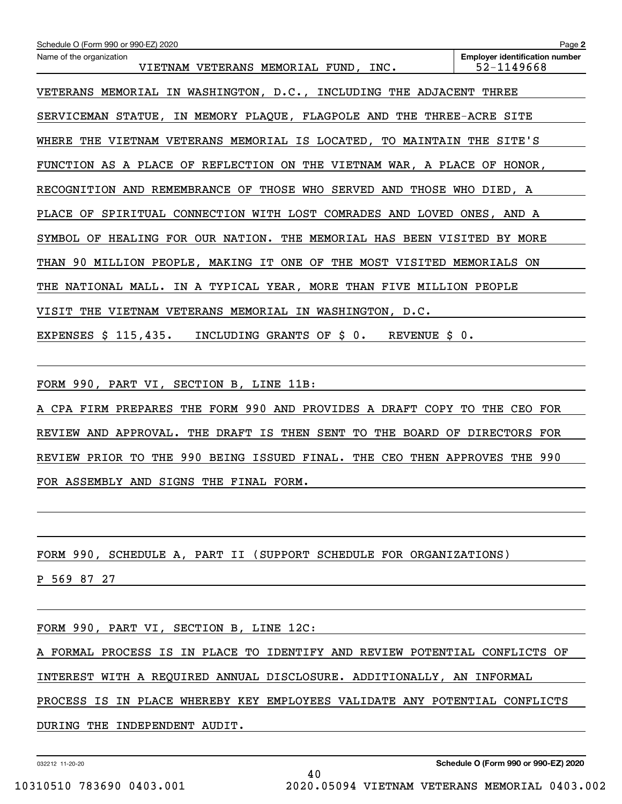| Schedule O (Form 990 or 990-EZ) 2020                                      | Page 2                                              |
|---------------------------------------------------------------------------|-----------------------------------------------------|
| Name of the organization<br>VIETNAM VETERANS MEMORIAL FUND, INC.          | <b>Employer identification number</b><br>52-1149668 |
| VETERANS MEMORIAL IN WASHINGTON, D.C., INCLUDING THE ADJACENT THREE       |                                                     |
| SERVICEMAN STATUE, IN MEMORY PLAQUE, FLAGPOLE AND THE THREE-ACRE SITE     |                                                     |
| WHERE<br>THE VIETNAM VETERANS MEMORIAL IS LOCATED, TO MAINTAIN THE SITE'S |                                                     |
| FUNCTION AS A PLACE OF REFLECTION ON THE VIETNAM WAR, A PLACE OF HONOR,   |                                                     |
| RECOGNITION AND REMEMBRANCE OF THOSE WHO SERVED AND THOSE WHO DIED, A     |                                                     |
| PLACE OF SPIRITUAL CONNECTION WITH LOST COMRADES AND LOVED ONES, AND A    |                                                     |
| SYMBOL OF HEALING FOR OUR NATION. THE MEMORIAL HAS BEEN VISITED BY MORE   |                                                     |
| THAN 90 MILLION PEOPLE, MAKING IT ONE OF THE MOST VISITED MEMORIALS ON    |                                                     |
| NATIONAL MALL. IN A TYPICAL YEAR, MORE THAN FIVE MILLION PEOPLE<br>THE    |                                                     |
| VISIT<br>THE VIETNAM VETERANS MEMORIAL IN WASHINGTON, D.C.                |                                                     |
| REVENUE \$ 0.<br>EXPENSES $$115,435.$<br>INCLUDING GRANTS OF \$ 0.        |                                                     |
| FORM 990, PART VI, SECTION B, LINE 11B:                                   |                                                     |
| A CPA FIRM PREPARES THE FORM 990 AND PROVIDES A DRAFT COPY TO THE CEO FOR |                                                     |
| THE DRAFT IS THEN SENT<br>REVIEW AND APPROVAL.                            | TO THE BOARD OF DIRECTORS FOR                       |
| REVIEW PRIOR TO THE 990 BEING ISSUED FINAL. THE CEO THEN APPROVES THE 990 |                                                     |
| FOR ASSEMBLY AND SIGNS THE FINAL FORM.                                    |                                                     |
| FORM 990, SCHEDULE A, PART II (SUPPORT SCHEDULE FOR ORGANIZATIONS)        |                                                     |

P 569 87 27

FORM 990, PART VI, SECTION B, LINE 12C:

A FORMAL PROCESS IS IN PLACE TO IDENTIFY AND REVIEW POTENTIAL CONFLICTS OF

INTEREST WITH A REQUIRED ANNUAL DISCLOSURE. ADDITIONALLY, AN INFORMAL

PROCESS IS IN PLACE WHEREBY KEY EMPLOYEES VALIDATE ANY POTENTIAL CONFLICTS

DURING THE INDEPENDENT AUDIT.

032212 11-20-20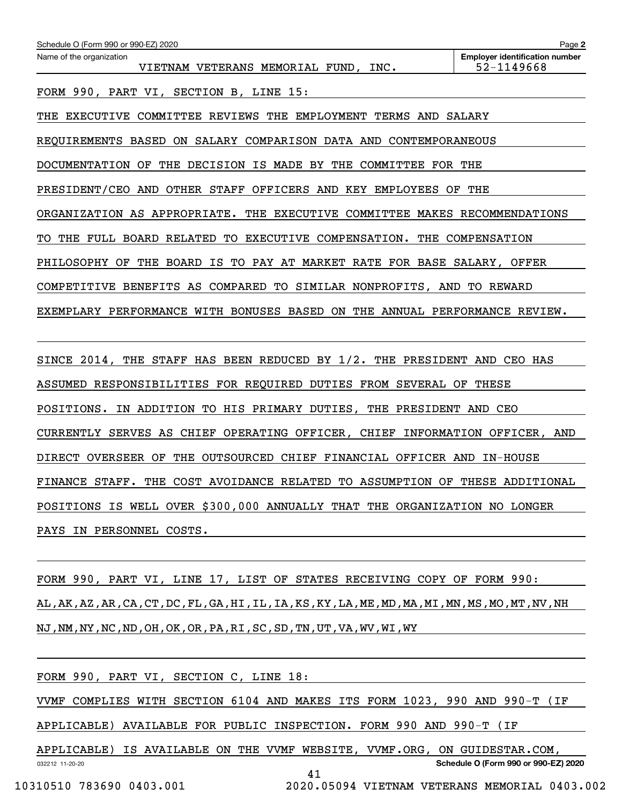| Schedule O (Form 990 or 990-EZ) 2020                                                                      | Page 2                                              |  |  |  |  |  |
|-----------------------------------------------------------------------------------------------------------|-----------------------------------------------------|--|--|--|--|--|
| Name of the organization<br>VIETNAM VETERANS MEMORIAL FUND, INC.                                          | <b>Employer identification number</b><br>52-1149668 |  |  |  |  |  |
| FORM 990, PART VI, SECTION B, LINE 15:                                                                    |                                                     |  |  |  |  |  |
| <b>EXECUTIVE</b><br>COMMITTEE<br>REVIEWS<br>THE<br>EMPLOYMENT<br>TERMS<br>AND<br>SALARY<br>THE            |                                                     |  |  |  |  |  |
| BASED<br>ON<br>SALARY COMPARISON DATA AND<br>CONTEMPORANEOUS<br>REOUIREMENTS                              |                                                     |  |  |  |  |  |
| THE DECISION IS<br><b>DOCUMENTATION</b><br>OF<br>MADE BY<br>THE<br>COMMITTEE<br>FOR<br>THE                |                                                     |  |  |  |  |  |
| PRESIDENT/CEO AND OTHER STAFF OFFICERS AND KEY EMPLOYEES<br>OF.                                           | THE                                                 |  |  |  |  |  |
| ORGANIZATION AS APPROPRIATE. THE EXECUTIVE COMMITTEE MAKES                                                | RECOMMENDATIONS                                     |  |  |  |  |  |
| EXECUTIVE COMPENSATION.<br>TO THE FULL<br>BOARD RELATED<br>TO                                             | THE COMPENSATION                                    |  |  |  |  |  |
| THE BOARD<br>IS TO PAY AT MARKET RATE FOR BASE<br>PHILOSOPHY<br>OF                                        | SALARY,<br>OFFER                                    |  |  |  |  |  |
| BENEFITS AS COMPARED TO SIMILAR NONPROFITS, AND TO<br>COMPETITIVE                                         | REWARD                                              |  |  |  |  |  |
| EXEMPLARY PERFORMANCE<br>WITH<br><b>BONUSES</b><br>BASED<br>ON<br>THE<br>ANNUAL<br>PERFORMANCE<br>REVIEW. |                                                     |  |  |  |  |  |
|                                                                                                           |                                                     |  |  |  |  |  |

SINCE 2014, THE STAFF HAS BEEN REDUCED BY 1/2. THE PRESIDENT AND CEO HAS ASSUMED RESPONSIBILITIES FOR REQUIRED DUTIES FROM SEVERAL OF THESE POSITIONS. IN ADDITION TO HIS PRIMARY DUTIES, THE PRESIDENT AND CEO CURRENTLY SERVES AS CHIEF OPERATING OFFICER, CHIEF INFORMATION OFFICER, AND DIRECT OVERSEER OF THE OUTSOURCED CHIEF FINANCIAL OFFICER AND IN-HOUSE FINANCE STAFF. THE COST AVOIDANCE RELATED TO ASSUMPTION OF THESE ADDITIONAL POSITIONS IS WELL OVER \$300,000 ANNUALLY THAT THE ORGANIZATION NO LONGER PAYS IN PERSONNEL COSTS.

FORM 990, PART VI, LINE 17, LIST OF STATES RECEIVING COPY OF FORM 990: AL,AK,AZ,AR,CA,CT,DC,FL,GA,HI,IL,IA,KS,KY,LA,ME,MD,MA,MI,MN,MS,MO,MT,NV,NH NJ,NM,NY,NC,ND,OH,OK,OR,PA,RI,SC,SD,TN,UT,VA,WV,WI,WY

032212 11-20-20 **Schedule O (Form 990 or 990-EZ) 2020** FORM 990, PART VI, SECTION C, LINE 18: VVMF COMPLIES WITH SECTION 6104 AND MAKES ITS FORM 1023, 990 AND 990-T (IF APPLICABLE) AVAILABLE FOR PUBLIC INSPECTION. FORM 990 AND 990-T (IF APPLICABLE) IS AVAILABLE ON THE VVMF WEBSITE, VVMF.ORG, ON GUIDESTAR.COM, 41

10310510 783690 0403.001 2020.05094 VIETNAM VETERANS MEMORIAL 0403.002